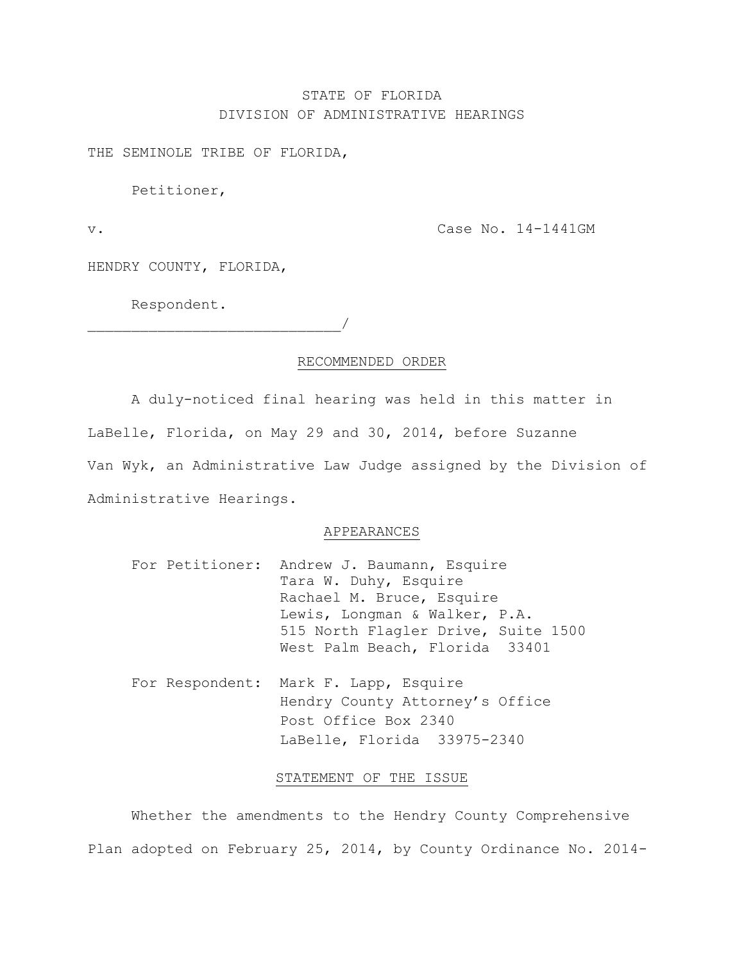# STATE OF FLORIDA DIVISION OF ADMINISTRATIVE HEARINGS

THE SEMINOLE TRIBE OF FLORIDA,

Petitioner,

v. Case No. 14-1441GM

HENDRY COUNTY, FLORIDA,

Respondent.

 $\overline{\phantom{a}}$ 

## RECOMMENDED ORDER

A duly-noticed final hearing was held in this matter in LaBelle, Florida, on May 29 and 30, 2014, before Suzanne Van Wyk, an Administrative Law Judge assigned by the Division of Administrative Hearings.

#### APPEARANCES

|  | For Petitioner: Andrew J. Baumann, Esquire |
|--|--------------------------------------------|
|  | Tara W. Duhy, Esquire                      |
|  | Rachael M. Bruce, Esquire                  |
|  | Lewis, Longman & Walker, P.A.              |
|  | 515 North Flagler Drive, Suite 1500        |
|  | West Palm Beach, Florida 33401             |

For Respondent: Mark F. Lapp, Esquire Hendry County Attorney's Office Post Office Box 2340 LaBelle, Florida 33975-2340

#### STATEMENT OF THE ISSUE

Whether the amendments to the Hendry County Comprehensive Plan adopted on February 25, 2014, by County Ordinance No. 2014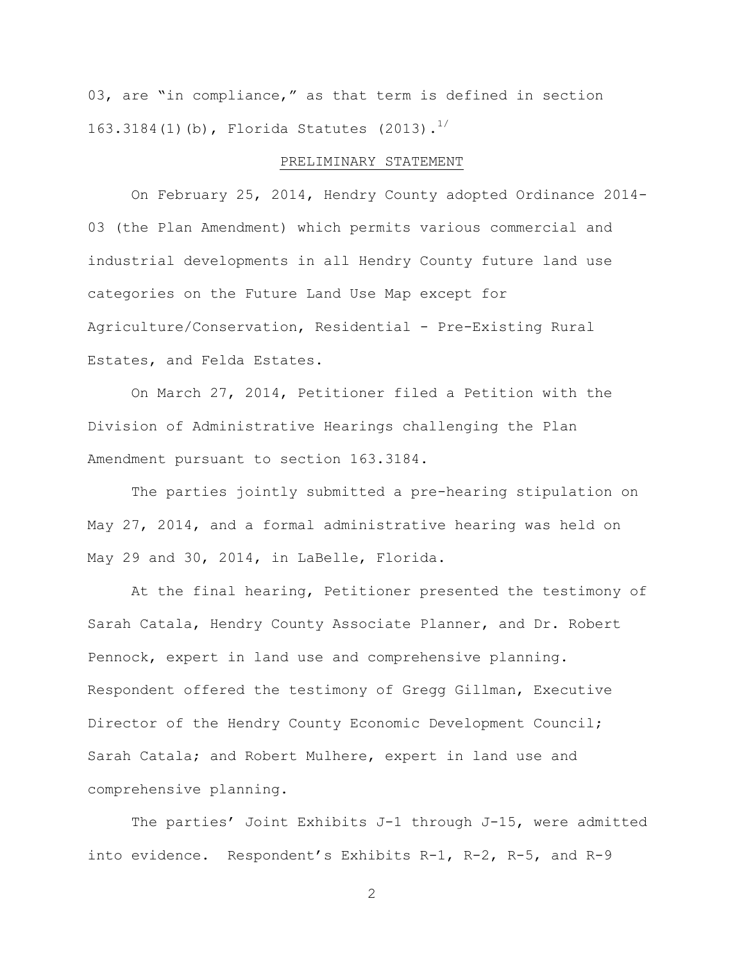03, are "in compliance," as that term is defined in section 163.3184(1)(b), Florida Statutes (2013).<sup>1/</sup>

## PRELIMINARY STATEMENT

On February 25, 2014, Hendry County adopted Ordinance 2014- 03 (the Plan Amendment) which permits various commercial and industrial developments in all Hendry County future land use categories on the Future Land Use Map except for Agriculture/Conservation, Residential - Pre-Existing Rural Estates, and Felda Estates.

On March 27, 2014, Petitioner filed a Petition with the Division of Administrative Hearings challenging the Plan Amendment pursuant to section 163.3184.

The parties jointly submitted a pre-hearing stipulation on May 27, 2014, and a formal administrative hearing was held on May 29 and 30, 2014, in LaBelle, Florida.

At the final hearing, Petitioner presented the testimony of Sarah Catala, Hendry County Associate Planner, and Dr. Robert Pennock, expert in land use and comprehensive planning. Respondent offered the testimony of Gregg Gillman, Executive Director of the Hendry County Economic Development Council; Sarah Catala; and Robert Mulhere, expert in land use and comprehensive planning.

The parties' Joint Exhibits J-1 through J-15, were admitted into evidence. Respondent's Exhibits R-1, R-2, R-5, and R-9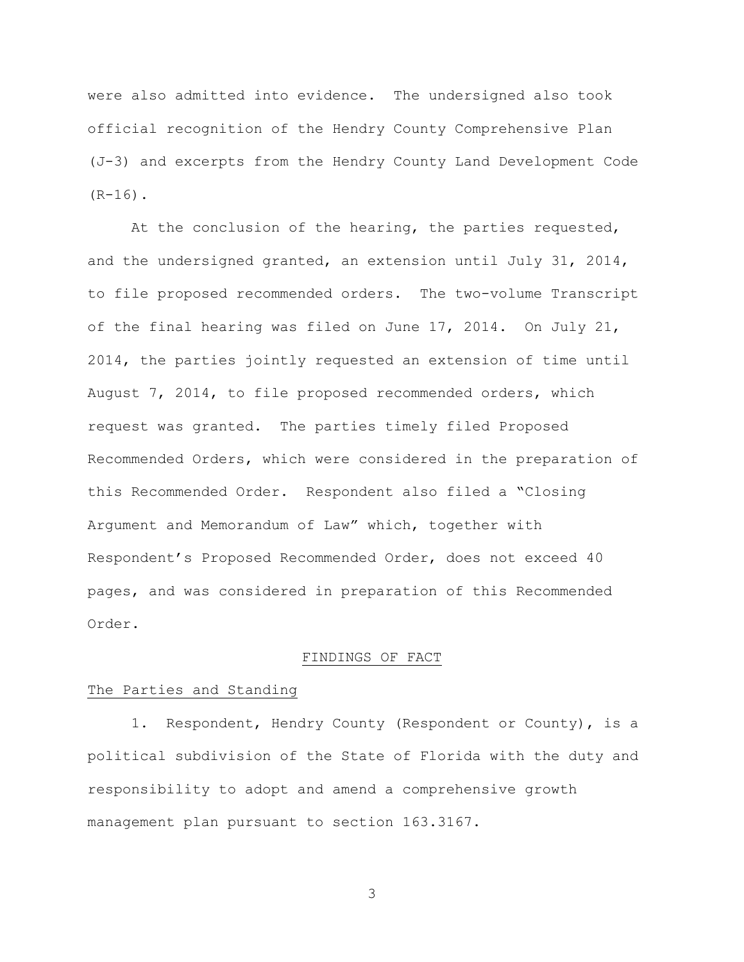were also admitted into evidence. The undersigned also took official recognition of the Hendry County Comprehensive Plan (J-3) and excerpts from the Hendry County Land Development Code  $(R-16)$ .

At the conclusion of the hearing, the parties requested, and the undersigned granted, an extension until July 31, 2014, to file proposed recommended orders. The two-volume Transcript of the final hearing was filed on June 17, 2014. On July 21, 2014, the parties jointly requested an extension of time until August 7, 2014, to file proposed recommended orders, which request was granted. The parties timely filed Proposed Recommended Orders, which were considered in the preparation of this Recommended Order. Respondent also filed a "Closing Argument and Memorandum of Law" which, together with Respondent's Proposed Recommended Order, does not exceed 40 pages, and was considered in preparation of this Recommended Order.

## FINDINGS OF FACT

## The Parties and Standing

1. Respondent, Hendry County (Respondent or County), is a political subdivision of the State of Florida with the duty and responsibility to adopt and amend a comprehensive growth management plan pursuant to section 163.3167.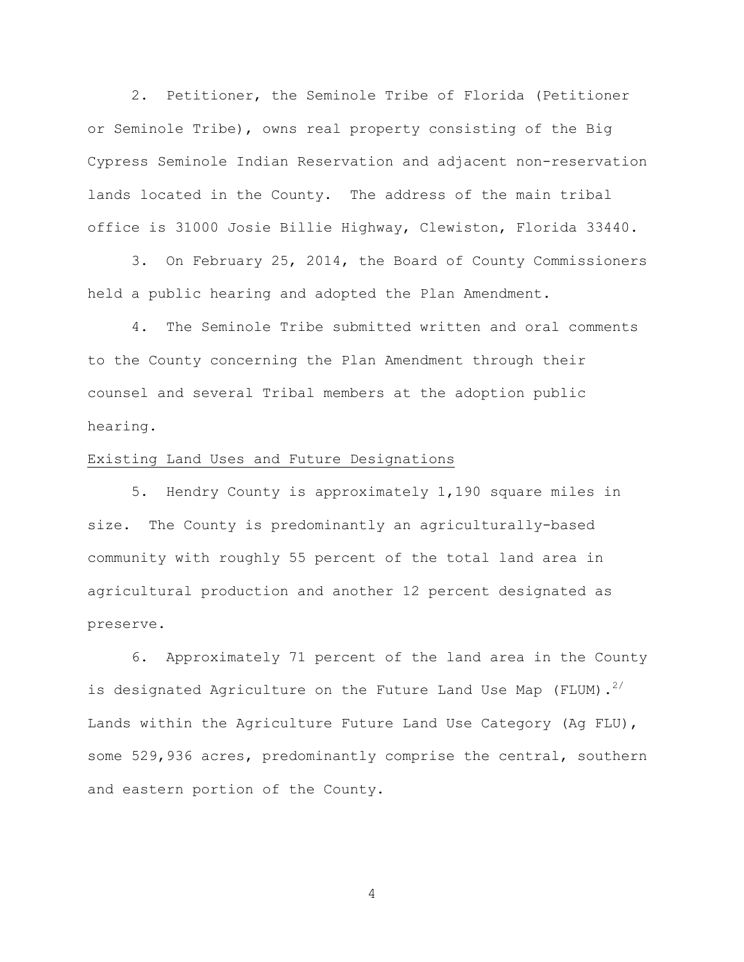2. Petitioner, the Seminole Tribe of Florida (Petitioner or Seminole Tribe), owns real property consisting of the Big Cypress Seminole Indian Reservation and adjacent non-reservation lands located in the County. The address of the main tribal office is 31000 Josie Billie Highway, Clewiston, Florida 33440.

3. On February 25, 2014, the Board of County Commissioners held a public hearing and adopted the Plan Amendment.

4. The Seminole Tribe submitted written and oral comments to the County concerning the Plan Amendment through their counsel and several Tribal members at the adoption public hearing.

# Existing Land Uses and Future Designations

5. Hendry County is approximately 1,190 square miles in size. The County is predominantly an agriculturally-based community with roughly 55 percent of the total land area in agricultural production and another 12 percent designated as preserve.

6. Approximately 71 percent of the land area in the County is designated Agriculture on the Future Land Use Map (FLUM). $^{2/}$ Lands within the Agriculture Future Land Use Category (Ag FLU), some 529,936 acres, predominantly comprise the central, southern and eastern portion of the County.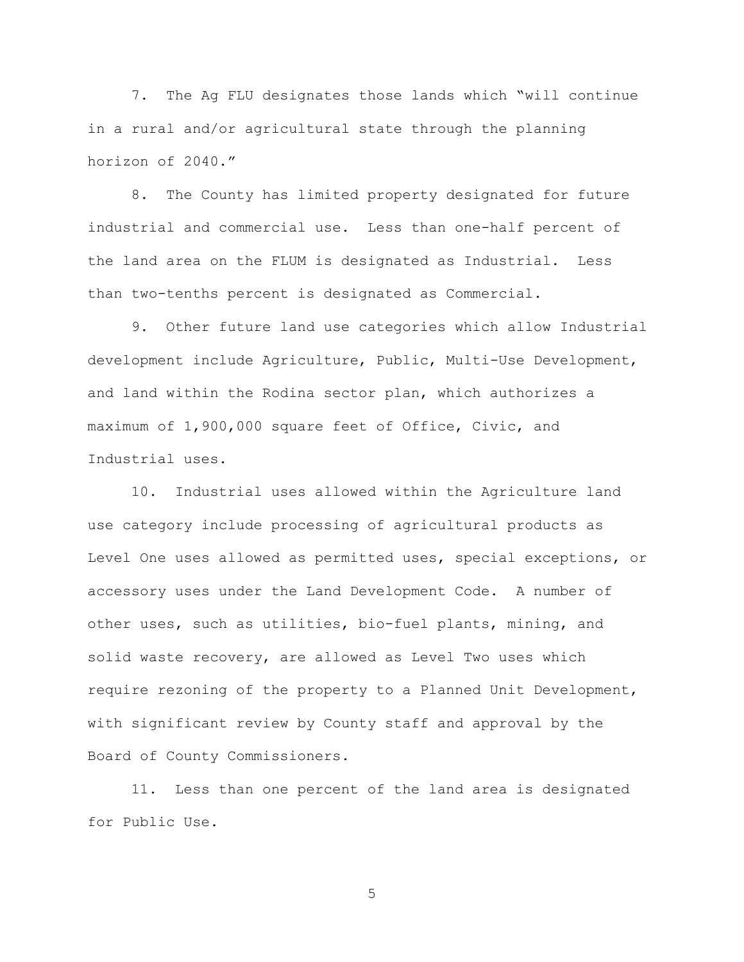7. The Ag FLU designates those lands which "will continue in a rural and/or agricultural state through the planning horizon of 2040."

8. The County has limited property designated for future industrial and commercial use. Less than one-half percent of the land area on the FLUM is designated as Industrial. Less than two-tenths percent is designated as Commercial.

9. Other future land use categories which allow Industrial development include Agriculture, Public, Multi-Use Development, and land within the Rodina sector plan, which authorizes a maximum of 1,900,000 square feet of Office, Civic, and Industrial uses.

10. Industrial uses allowed within the Agriculture land use category include processing of agricultural products as Level One uses allowed as permitted uses, special exceptions, or accessory uses under the Land Development Code. A number of other uses, such as utilities, bio-fuel plants, mining, and solid waste recovery, are allowed as Level Two uses which require rezoning of the property to a Planned Unit Development, with significant review by County staff and approval by the Board of County Commissioners.

11. Less than one percent of the land area is designated for Public Use.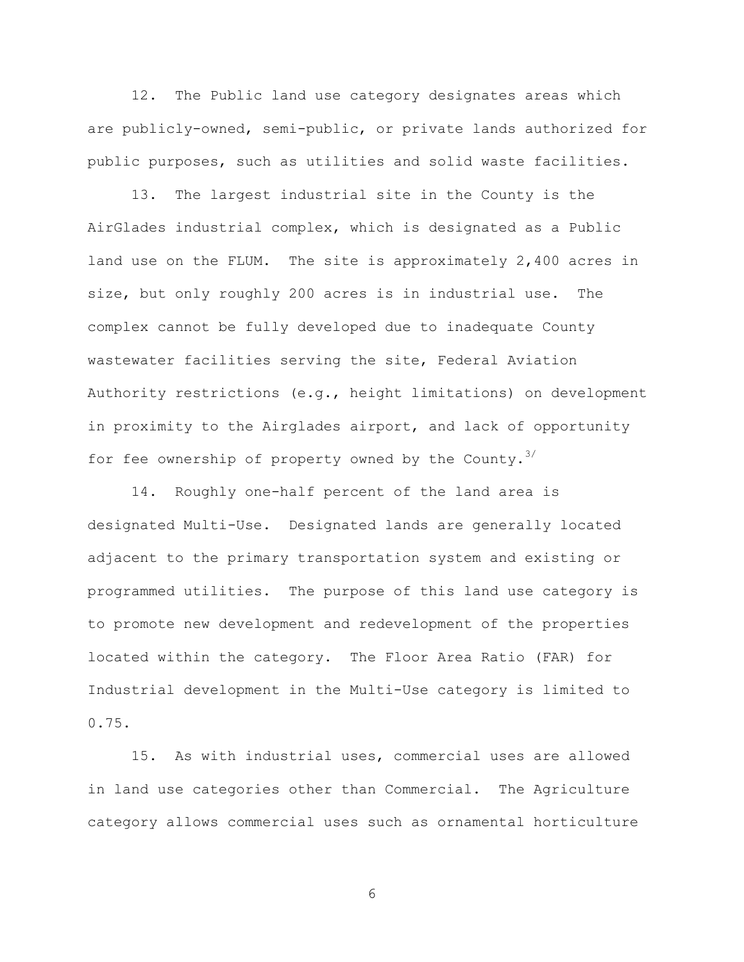12. The Public land use category designates areas which are publicly-owned, semi-public, or private lands authorized for public purposes, such as utilities and solid waste facilities.

13. The largest industrial site in the County is the AirGlades industrial complex, which is designated as a Public land use on the FLUM. The site is approximately 2,400 acres in size, but only roughly 200 acres is in industrial use. The complex cannot be fully developed due to inadequate County wastewater facilities serving the site, Federal Aviation Authority restrictions (e.g., height limitations) on development in proximity to the Airglades airport, and lack of opportunity for fee ownership of property owned by the County.<sup>3/</sup>

14. Roughly one-half percent of the land area is designated Multi-Use. Designated lands are generally located adjacent to the primary transportation system and existing or programmed utilities. The purpose of this land use category is to promote new development and redevelopment of the properties located within the category. The Floor Area Ratio (FAR) for Industrial development in the Multi-Use category is limited to 0.75.

15. As with industrial uses, commercial uses are allowed in land use categories other than Commercial. The Agriculture category allows commercial uses such as ornamental horticulture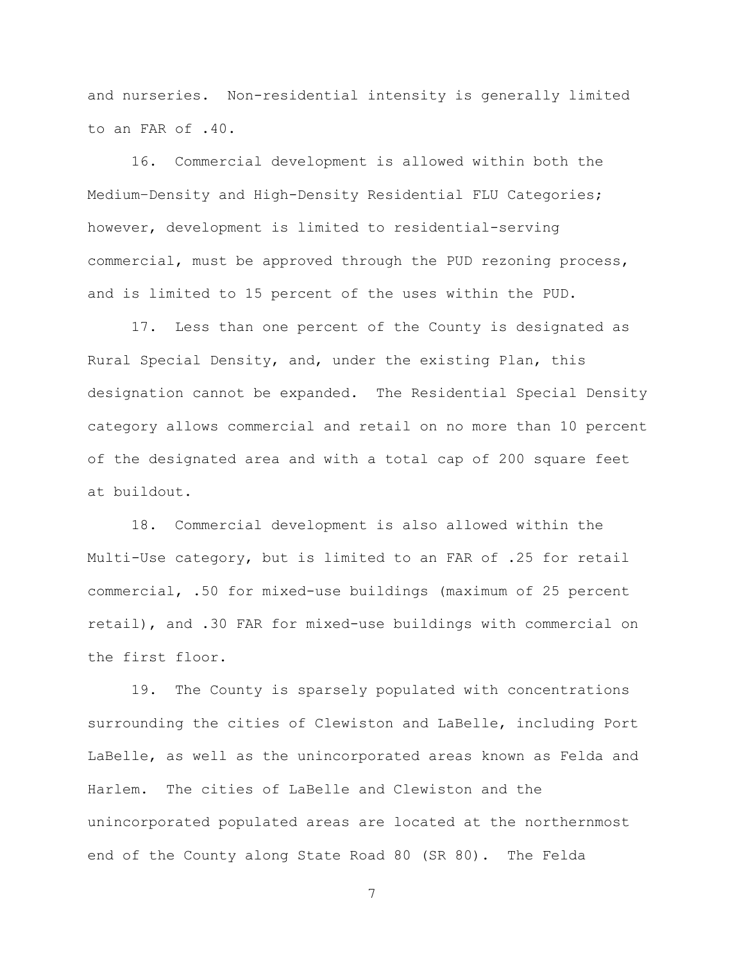and nurseries. Non-residential intensity is generally limited to an FAR of .40.

16. Commercial development is allowed within both the Medium–Density and High-Density Residential FLU Categories; however, development is limited to residential-serving commercial, must be approved through the PUD rezoning process, and is limited to 15 percent of the uses within the PUD.

17. Less than one percent of the County is designated as Rural Special Density, and, under the existing Plan, this designation cannot be expanded. The Residential Special Density category allows commercial and retail on no more than 10 percent of the designated area and with a total cap of 200 square feet at buildout.

18. Commercial development is also allowed within the Multi-Use category, but is limited to an FAR of .25 for retail commercial, .50 for mixed-use buildings (maximum of 25 percent retail), and .30 FAR for mixed-use buildings with commercial on the first floor.

19. The County is sparsely populated with concentrations surrounding the cities of Clewiston and LaBelle, including Port LaBelle, as well as the unincorporated areas known as Felda and Harlem. The cities of LaBelle and Clewiston and the unincorporated populated areas are located at the northernmost end of the County along State Road 80 (SR 80). The Felda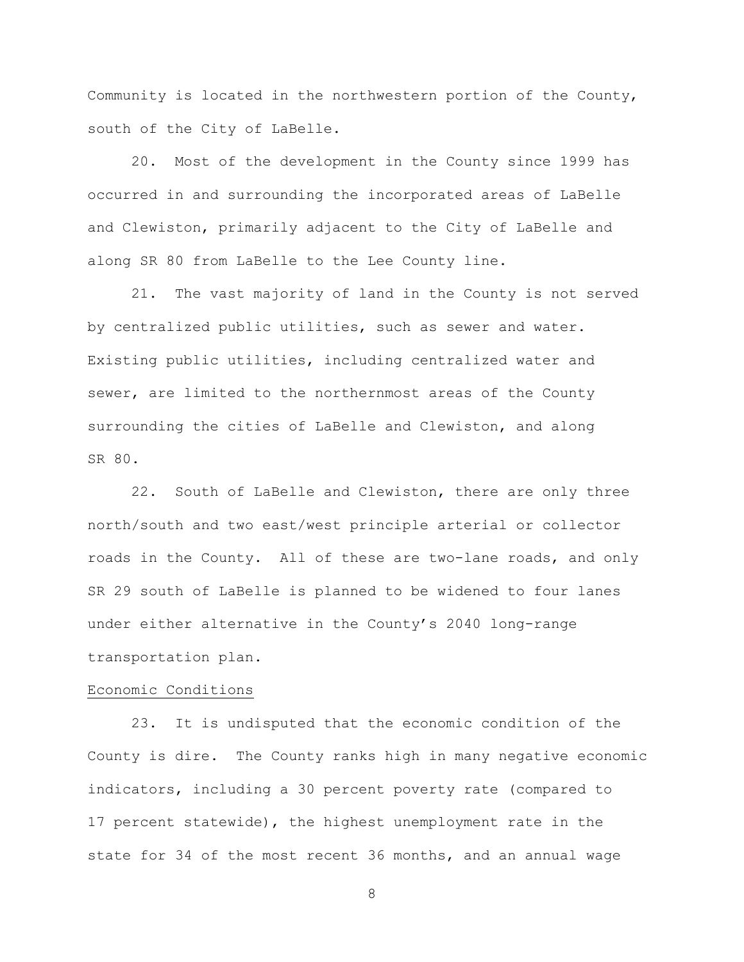Community is located in the northwestern portion of the County, south of the City of LaBelle.

20. Most of the development in the County since 1999 has occurred in and surrounding the incorporated areas of LaBelle and Clewiston, primarily adjacent to the City of LaBelle and along SR 80 from LaBelle to the Lee County line.

21. The vast majority of land in the County is not served by centralized public utilities, such as sewer and water. Existing public utilities, including centralized water and sewer, are limited to the northernmost areas of the County surrounding the cities of LaBelle and Clewiston, and along SR 80.

22. South of LaBelle and Clewiston, there are only three north/south and two east/west principle arterial or collector roads in the County. All of these are two-lane roads, and only SR 29 south of LaBelle is planned to be widened to four lanes under either alternative in the County's 2040 long-range transportation plan.

#### Economic Conditions

23. It is undisputed that the economic condition of the County is dire. The County ranks high in many negative economic indicators, including a 30 percent poverty rate (compared to 17 percent statewide), the highest unemployment rate in the state for 34 of the most recent 36 months, and an annual wage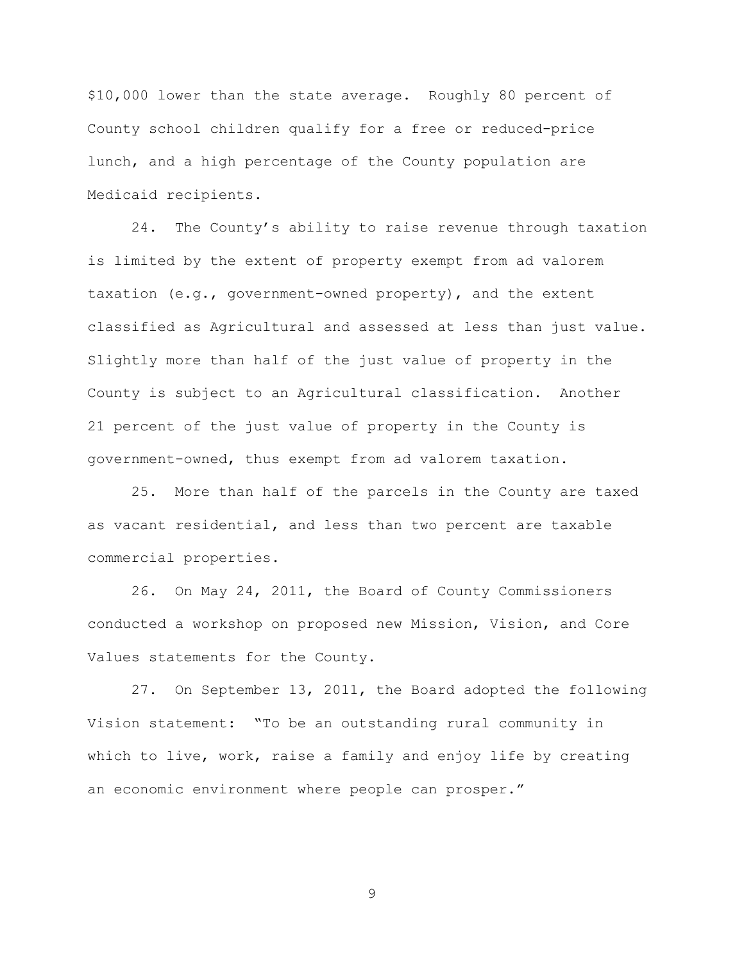\$10,000 lower than the state average. Roughly 80 percent of County school children qualify for a free or reduced-price lunch, and a high percentage of the County population are Medicaid recipients.

24. The County's ability to raise revenue through taxation is limited by the extent of property exempt from ad valorem taxation (e.g., government-owned property), and the extent classified as Agricultural and assessed at less than just value. Slightly more than half of the just value of property in the County is subject to an Agricultural classification. Another 21 percent of the just value of property in the County is government-owned, thus exempt from ad valorem taxation.

25. More than half of the parcels in the County are taxed as vacant residential, and less than two percent are taxable commercial properties.

26. On May 24, 2011, the Board of County Commissioners conducted a workshop on proposed new Mission, Vision, and Core Values statements for the County.

27. On September 13, 2011, the Board adopted the following Vision statement: "To be an outstanding rural community in which to live, work, raise a family and enjoy life by creating an economic environment where people can prosper."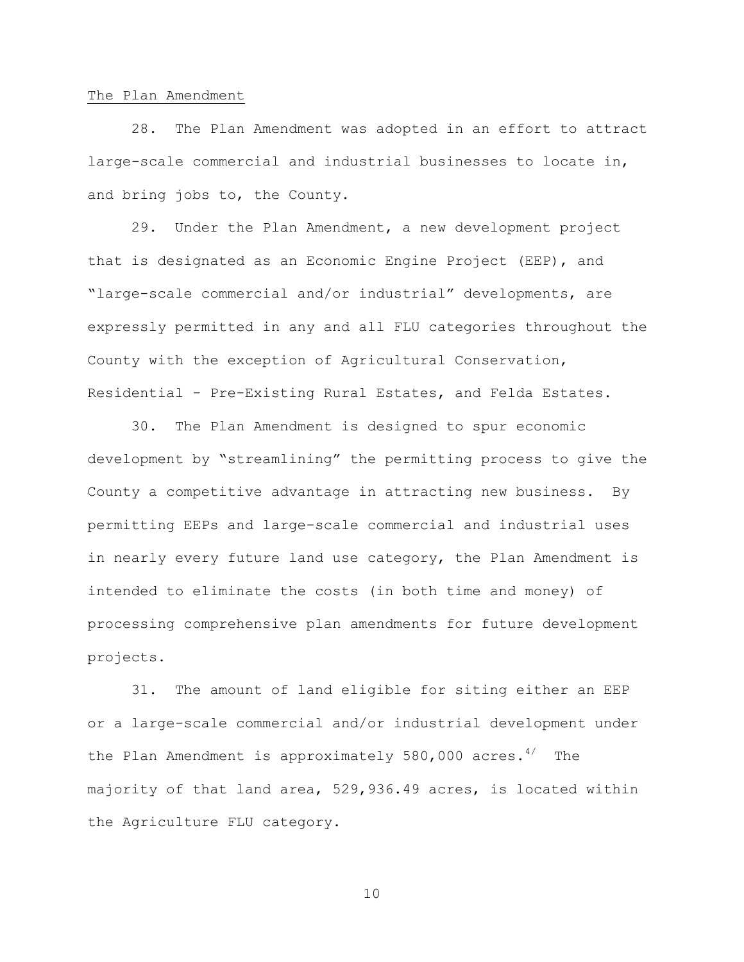#### The Plan Amendment

28. The Plan Amendment was adopted in an effort to attract large-scale commercial and industrial businesses to locate in, and bring jobs to, the County.

29. Under the Plan Amendment, a new development project that is designated as an Economic Engine Project (EEP), and "large-scale commercial and/or industrial" developments, are expressly permitted in any and all FLU categories throughout the County with the exception of Agricultural Conservation, Residential - Pre-Existing Rural Estates, and Felda Estates.

30. The Plan Amendment is designed to spur economic development by "streamlining" the permitting process to give the County a competitive advantage in attracting new business. By permitting EEPs and large-scale commercial and industrial uses in nearly every future land use category, the Plan Amendment is intended to eliminate the costs (in both time and money) of processing comprehensive plan amendments for future development projects.

31. The amount of land eligible for siting either an EEP or a large-scale commercial and/or industrial development under the Plan Amendment is approximately 580,000 acres.<sup>4/</sup> The majority of that land area, 529,936.49 acres, is located within the Agriculture FLU category.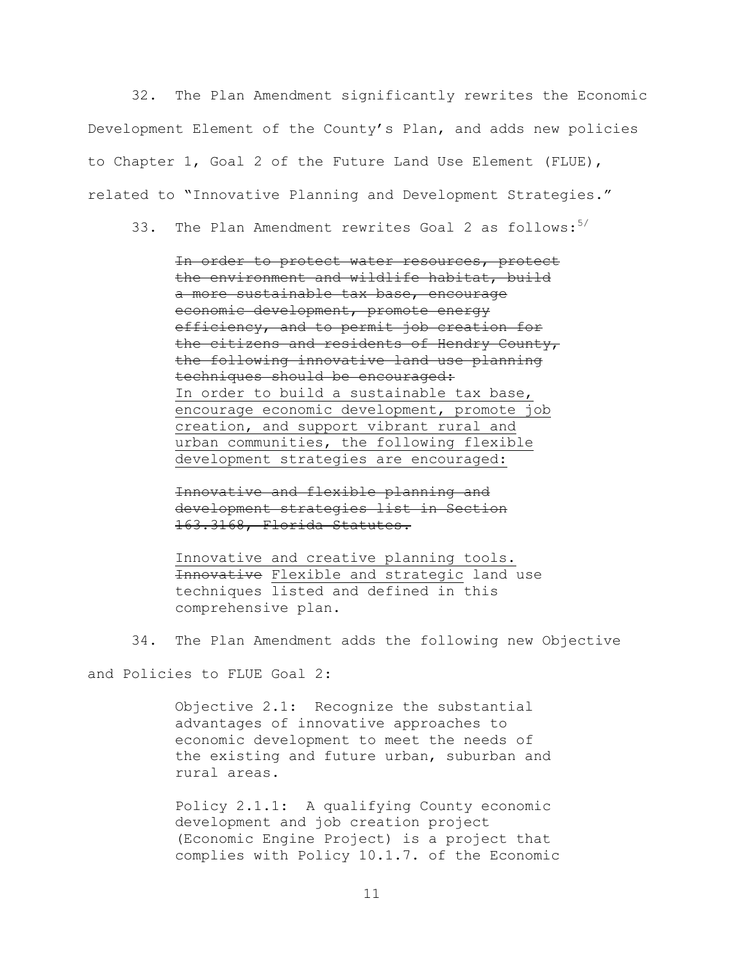32. The Plan Amendment significantly rewrites the Economic Development Element of the County's Plan, and adds new policies to Chapter 1, Goal 2 of the Future Land Use Element (FLUE), related to "Innovative Planning and Development Strategies."

33. The Plan Amendment rewrites Goal 2 as follows: $5/$ 

In order to protect water resources, protect the environment and wildlife habitat, build a more sustainable tax base, encourage economic development, promote energy efficiency, and to permit job creation for the citizens and residents of Hendry County, the following innovative land use planning techniques should be encouraged: In order to build a sustainable tax base, encourage economic development, promote job creation, and support vibrant rural and urban communities, the following flexible development strategies are encouraged:

Innovative and flexible planning and development strategies list in Section 163.3168, Florida Statutes.

Innovative and creative planning tools. Innovative Flexible and strategic land use techniques listed and defined in this comprehensive plan.

34. The Plan Amendment adds the following new Objective

and Policies to FLUE Goal 2:

Objective 2.1: Recognize the substantial advantages of innovative approaches to economic development to meet the needs of the existing and future urban, suburban and rural areas.

Policy 2.1.1: A qualifying County economic development and job creation project (Economic Engine Project) is a project that complies with Policy 10.1.7. of the Economic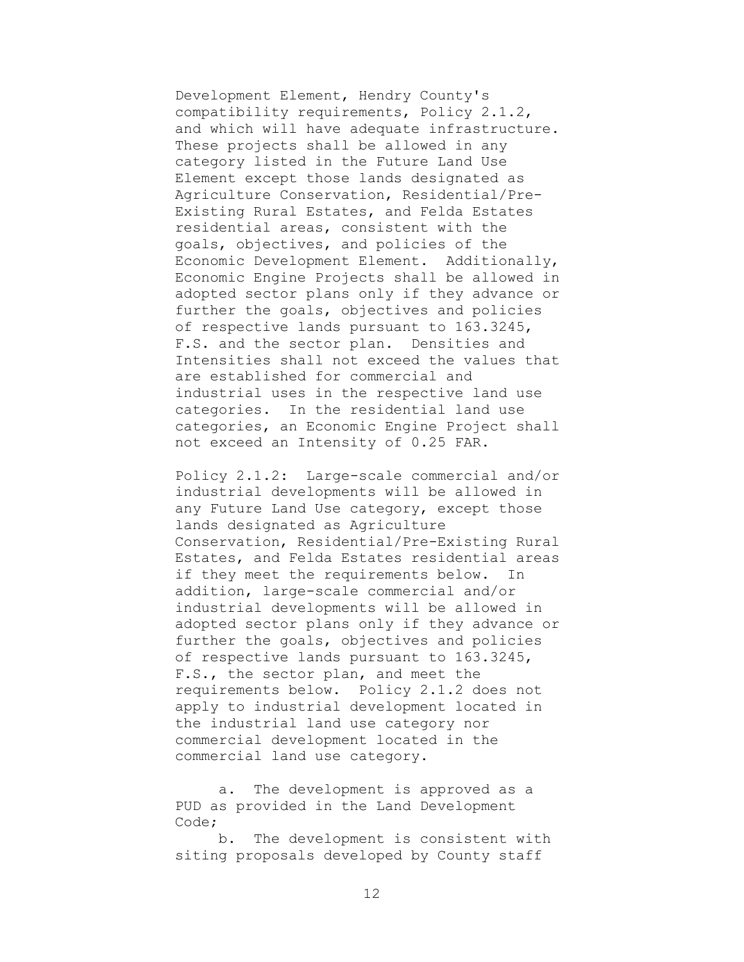Development Element, Hendry County's compatibility requirements, Policy 2.1.2, and which will have adequate infrastructure. These projects shall be allowed in any category listed in the Future Land Use Element except those lands designated as Agriculture Conservation, Residential/Pre-Existing Rural Estates, and Felda Estates residential areas, consistent with the goals, objectives, and policies of the Economic Development Element. Additionally, Economic Engine Projects shall be allowed in adopted sector plans only if they advance or further the goals, objectives and policies of respective lands pursuant to 163.3245, F.S. and the sector plan. Densities and Intensities shall not exceed the values that are established for commercial and industrial uses in the respective land use categories. In the residential land use categories, an Economic Engine Project shall not exceed an Intensity of 0.25 FAR.

Policy 2.1.2: Large-scale commercial and/or industrial developments will be allowed in any Future Land Use category, except those lands designated as Agriculture Conservation, Residential/Pre-Existing Rural Estates, and Felda Estates residential areas if they meet the requirements below. In addition, large-scale commercial and/or industrial developments will be allowed in adopted sector plans only if they advance or further the goals, objectives and policies of respective lands pursuant to 163.3245, F.S., the sector plan, and meet the requirements below. Policy 2.1.2 does not apply to industrial development located in the industrial land use category nor commercial development located in the commercial land use category.

a. The development is approved as a PUD as provided in the Land Development Code;

b. The development is consistent with siting proposals developed by County staff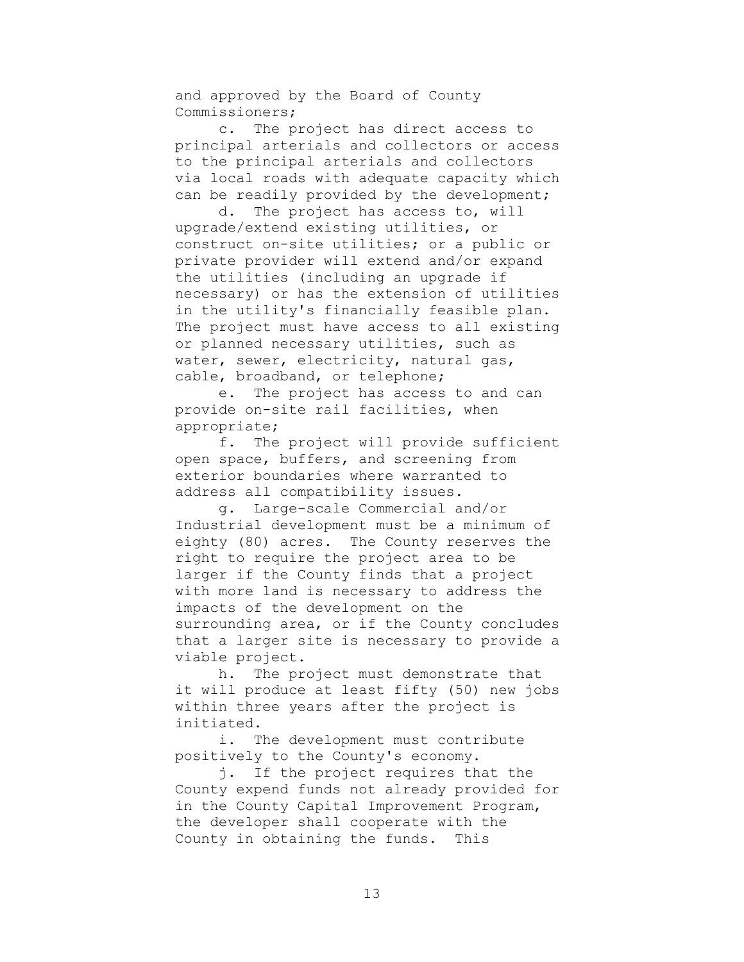and approved by the Board of County Commissioners;

c. The project has direct access to principal arterials and collectors or access to the principal arterials and collectors via local roads with adequate capacity which can be readily provided by the development;

d. The project has access to, will upgrade/extend existing utilities, or construct on-site utilities; or a public or private provider will extend and/or expand the utilities (including an upgrade if necessary) or has the extension of utilities in the utility's financially feasible plan. The project must have access to all existing or planned necessary utilities, such as water, sewer, electricity, natural gas, cable, broadband, or telephone;

e. The project has access to and can provide on-site rail facilities, when appropriate;

f. The project will provide sufficient open space, buffers, and screening from exterior boundaries where warranted to address all compatibility issues.

g. Large-scale Commercial and/or Industrial development must be a minimum of eighty (80) acres. The County reserves the right to require the project area to be larger if the County finds that a project with more land is necessary to address the impacts of the development on the surrounding area, or if the County concludes that a larger site is necessary to provide a viable project.

h. The project must demonstrate that it will produce at least fifty (50) new jobs within three years after the project is initiated.

i. The development must contribute positively to the County's economy.

j. If the project requires that the County expend funds not already provided for in the County Capital Improvement Program, the developer shall cooperate with the County in obtaining the funds. This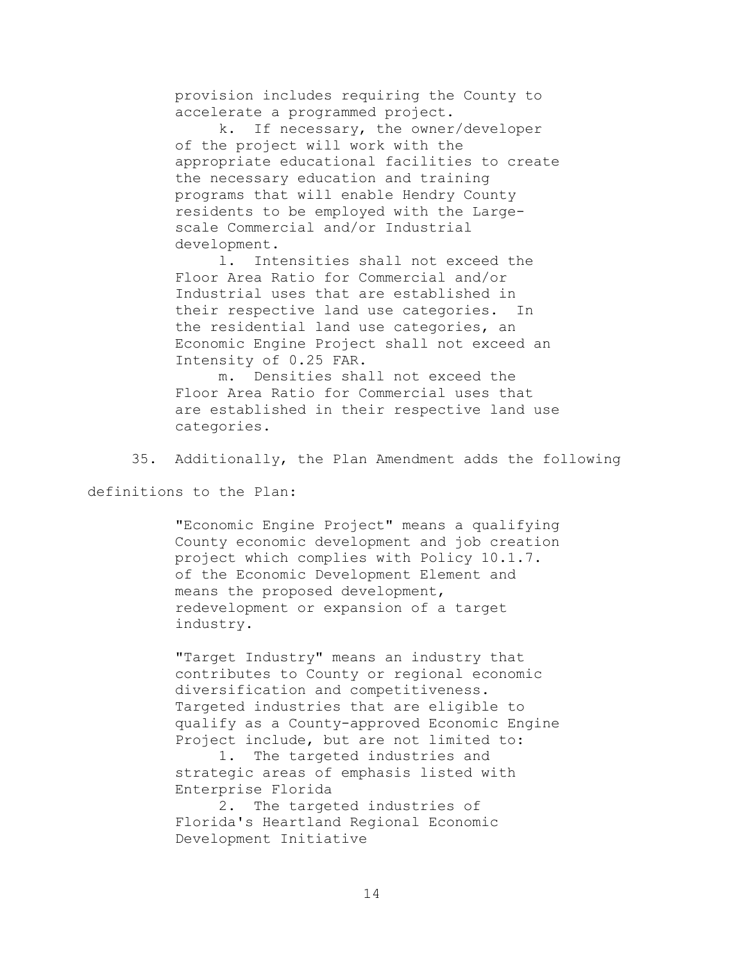provision includes requiring the County to accelerate a programmed project.

k. If necessary, the owner/developer of the project will work with the appropriate educational facilities to create the necessary education and training programs that will enable Hendry County residents to be employed with the Largescale Commercial and/or Industrial development.

l. Intensities shall not exceed the Floor Area Ratio for Commercial and/or Industrial uses that are established in their respective land use categories. In the residential land use categories, an Economic Engine Project shall not exceed an Intensity of 0.25 FAR.

m. Densities shall not exceed the Floor Area Ratio for Commercial uses that are established in their respective land use categories.

35. Additionally, the Plan Amendment adds the following

definitions to the Plan:

"Economic Engine Project" means a qualifying County economic development and job creation project which complies with Policy 10.1.7. of the Economic Development Element and means the proposed development, redevelopment or expansion of a target industry.

"Target Industry" means an industry that contributes to County or regional economic diversification and competitiveness. Targeted industries that are eligible to qualify as a County-approved Economic Engine Project include, but are not limited to:

1. The targeted industries and strategic areas of emphasis listed with Enterprise Florida

2. The targeted industries of Florida's Heartland Regional Economic Development Initiative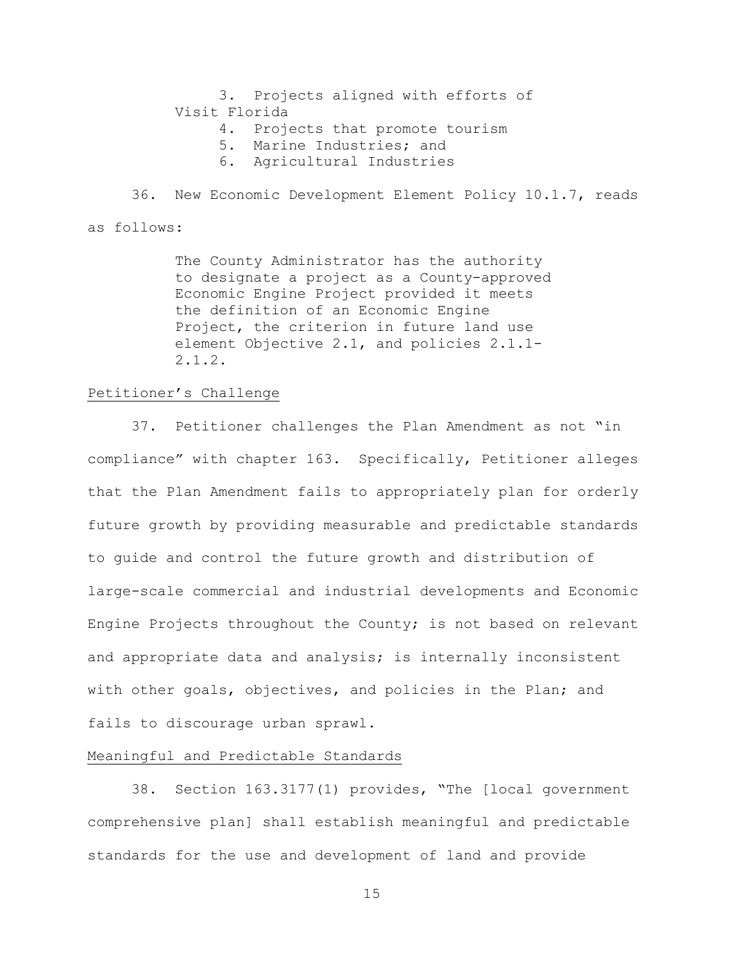3. Projects aligned with efforts of Visit Florida

- 4. Projects that promote tourism
- 5. Marine Industries; and
- 6. Agricultural Industries

36. New Economic Development Element Policy 10.1.7, reads

as follows:

The County Administrator has the authority to designate a project as a County-approved Economic Engine Project provided it meets the definition of an Economic Engine Project, the criterion in future land use element Objective 2.1, and policies 2.1.1- 2.1.2.

## Petitioner's Challenge

37. Petitioner challenges the Plan Amendment as not "in compliance" with chapter 163. Specifically, Petitioner alleges that the Plan Amendment fails to appropriately plan for orderly future growth by providing measurable and predictable standards to guide and control the future growth and distribution of large-scale commercial and industrial developments and Economic Engine Projects throughout the County; is not based on relevant and appropriate data and analysis; is internally inconsistent with other goals, objectives, and policies in the Plan; and fails to discourage urban sprawl.

## Meaningful and Predictable Standards

38. Section 163.3177(1) provides, "The [local government comprehensive plan] shall establish meaningful and predictable standards for the use and development of land and provide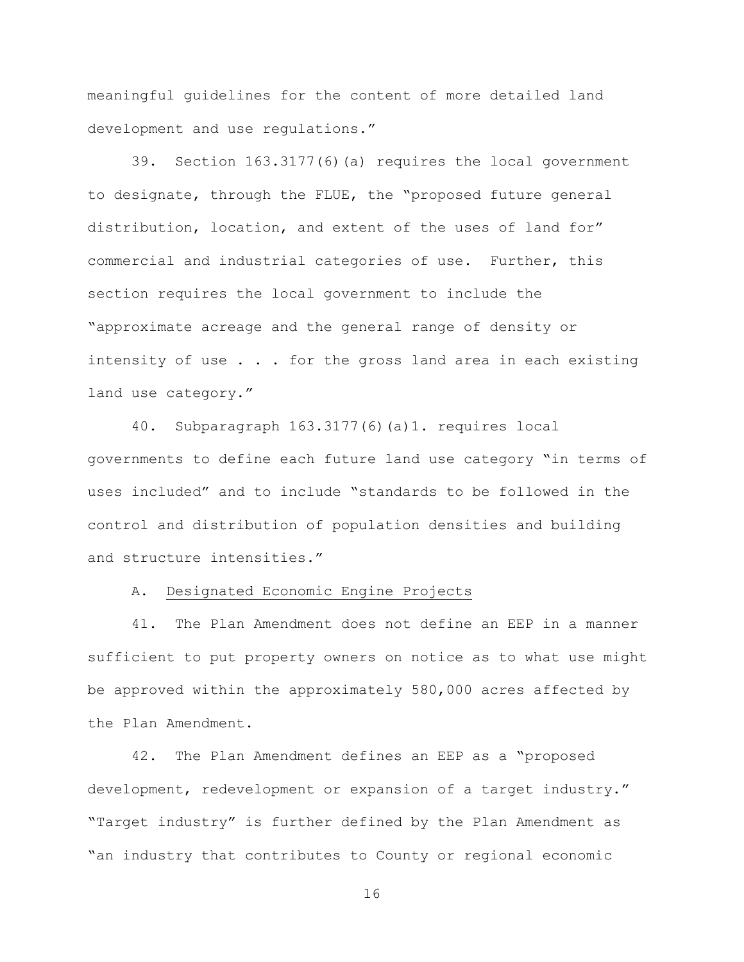meaningful guidelines for the content of more detailed land development and use regulations."

39. Section 163.3177(6)(a) requires the local government to designate, through the FLUE, the "proposed future general distribution, location, and extent of the uses of land for" commercial and industrial categories of use. Further, this section requires the local government to include the "approximate acreage and the general range of density or intensity of use . . . for the gross land area in each existing land use category."

40. Subparagraph 163.3177(6)(a)1. requires local governments to define each future land use category "in terms of uses included" and to include "standards to be followed in the control and distribution of population densities and building and structure intensities."

## A. Designated Economic Engine Projects

41. The Plan Amendment does not define an EEP in a manner sufficient to put property owners on notice as to what use might be approved within the approximately 580,000 acres affected by the Plan Amendment.

42. The Plan Amendment defines an EEP as a "proposed development, redevelopment or expansion of a target industry." "Target industry" is further defined by the Plan Amendment as "an industry that contributes to County or regional economic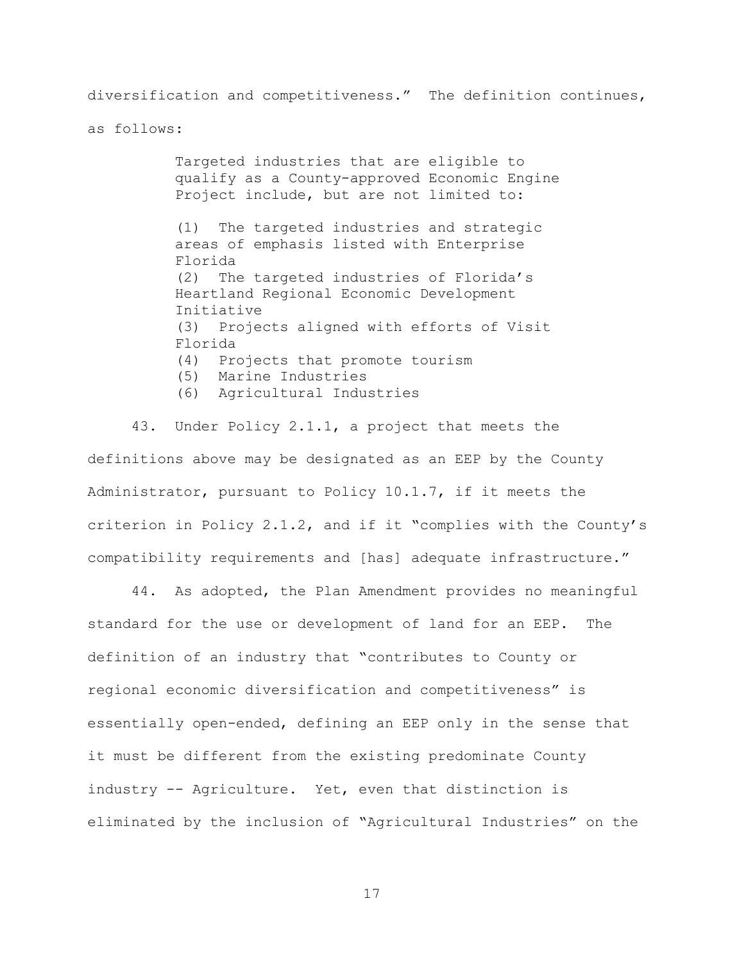diversification and competitiveness." The definition continues,

as follows:

Targeted industries that are eligible to qualify as a County-approved Economic Engine Project include, but are not limited to: (1) The targeted industries and strategic areas of emphasis listed with Enterprise Florida (2) The targeted industries of Florida's Heartland Regional Economic Development Initiative (3) Projects aligned with efforts of Visit Florida (4) Projects that promote tourism (5) Marine Industries (6) Agricultural Industries

43. Under Policy 2.1.1, a project that meets the definitions above may be designated as an EEP by the County Administrator, pursuant to Policy 10.1.7, if it meets the criterion in Policy 2.1.2, and if it "complies with the County's compatibility requirements and [has] adequate infrastructure."

44. As adopted, the Plan Amendment provides no meaningful standard for the use or development of land for an EEP. The definition of an industry that "contributes to County or regional economic diversification and competitiveness" is essentially open-ended, defining an EEP only in the sense that it must be different from the existing predominate County industry -- Agriculture. Yet, even that distinction is eliminated by the inclusion of "Agricultural Industries" on the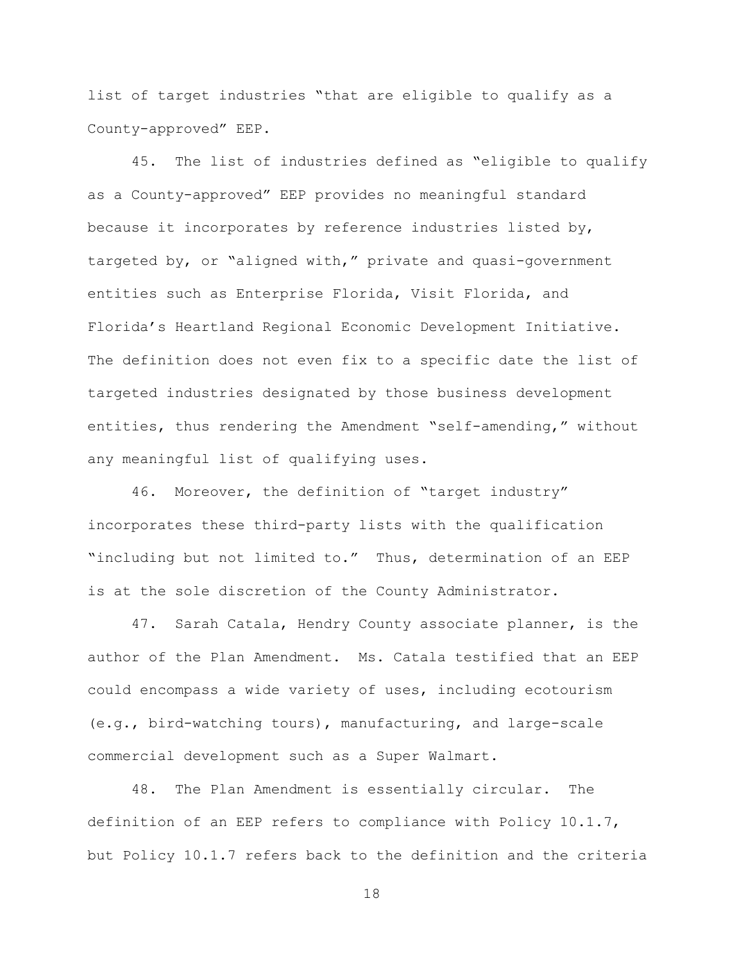list of target industries "that are eligible to qualify as a County-approved" EEP.

45. The list of industries defined as "eligible to qualify as a County-approved" EEP provides no meaningful standard because it incorporates by reference industries listed by, targeted by, or "aligned with," private and quasi-government entities such as Enterprise Florida, Visit Florida, and Florida's Heartland Regional Economic Development Initiative. The definition does not even fix to a specific date the list of targeted industries designated by those business development entities, thus rendering the Amendment "self-amending," without any meaningful list of qualifying uses.

46. Moreover, the definition of "target industry" incorporates these third-party lists with the qualification "including but not limited to." Thus, determination of an EEP is at the sole discretion of the County Administrator.

47. Sarah Catala, Hendry County associate planner, is the author of the Plan Amendment. Ms. Catala testified that an EEP could encompass a wide variety of uses, including ecotourism (e.g., bird-watching tours), manufacturing, and large-scale commercial development such as a Super Walmart.

48. The Plan Amendment is essentially circular. The definition of an EEP refers to compliance with Policy 10.1.7, but Policy 10.1.7 refers back to the definition and the criteria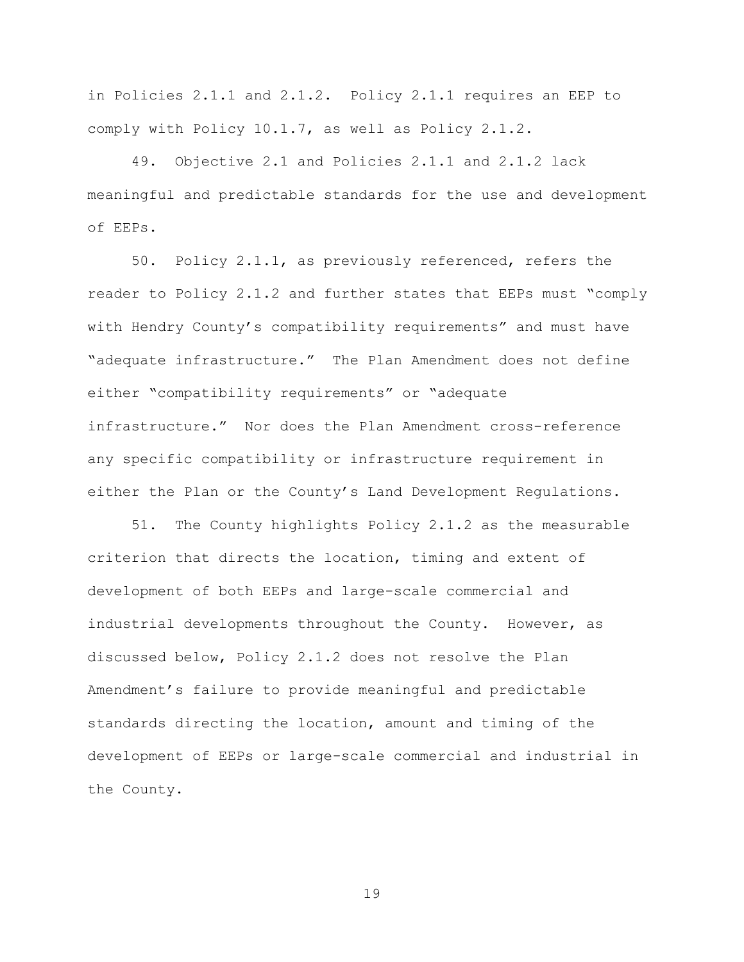in Policies 2.1.1 and 2.1.2. Policy 2.1.1 requires an EEP to comply with Policy 10.1.7, as well as Policy 2.1.2.

49. Objective 2.1 and Policies 2.1.1 and 2.1.2 lack meaningful and predictable standards for the use and development of EEPs.

50. Policy 2.1.1, as previously referenced, refers the reader to Policy 2.1.2 and further states that EEPs must "comply with Hendry County's compatibility requirements" and must have "adequate infrastructure." The Plan Amendment does not define either "compatibility requirements" or "adequate infrastructure." Nor does the Plan Amendment cross-reference any specific compatibility or infrastructure requirement in either the Plan or the County's Land Development Regulations.

51. The County highlights Policy 2.1.2 as the measurable criterion that directs the location, timing and extent of development of both EEPs and large-scale commercial and industrial developments throughout the County. However, as discussed below, Policy 2.1.2 does not resolve the Plan Amendment's failure to provide meaningful and predictable standards directing the location, amount and timing of the development of EEPs or large-scale commercial and industrial in the County.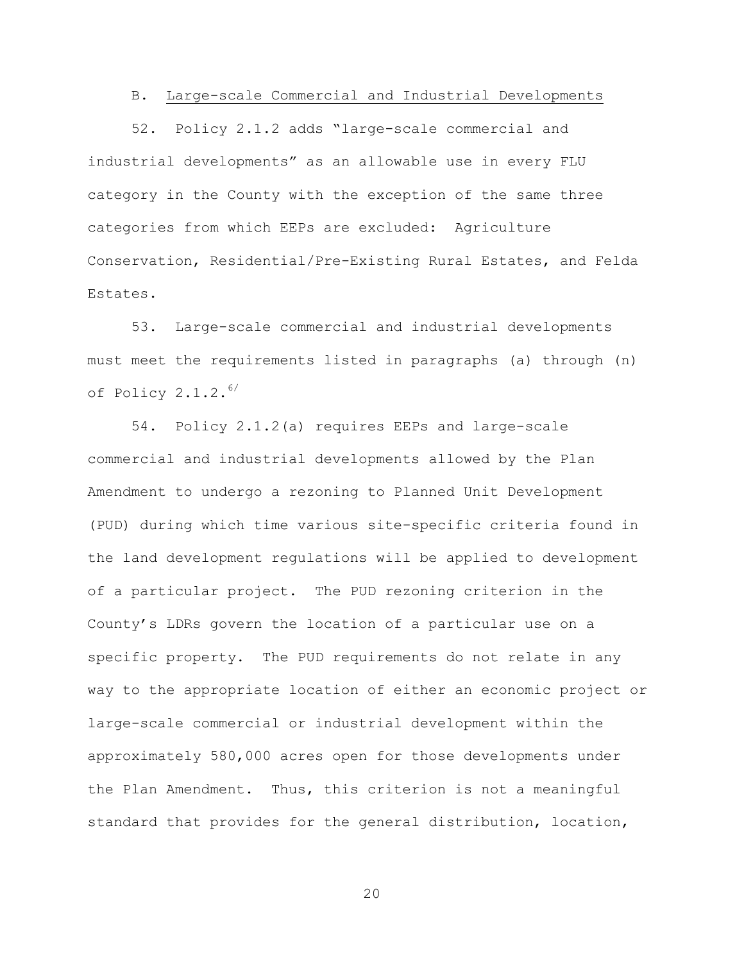## B. Large-scale Commercial and Industrial Developments

52. Policy 2.1.2 adds "large-scale commercial and industrial developments" as an allowable use in every FLU category in the County with the exception of the same three categories from which EEPs are excluded: Agriculture Conservation, Residential/Pre-Existing Rural Estates, and Felda Estates.

53. Large-scale commercial and industrial developments must meet the requirements listed in paragraphs (a) through (n) of Policy 2.1.2. 6/

54. Policy 2.1.2(a) requires EEPs and large-scale commercial and industrial developments allowed by the Plan Amendment to undergo a rezoning to Planned Unit Development (PUD) during which time various site-specific criteria found in the land development regulations will be applied to development of a particular project. The PUD rezoning criterion in the County's LDRs govern the location of a particular use on a specific property. The PUD requirements do not relate in any way to the appropriate location of either an economic project or large-scale commercial or industrial development within the approximately 580,000 acres open for those developments under the Plan Amendment. Thus, this criterion is not a meaningful standard that provides for the general distribution, location,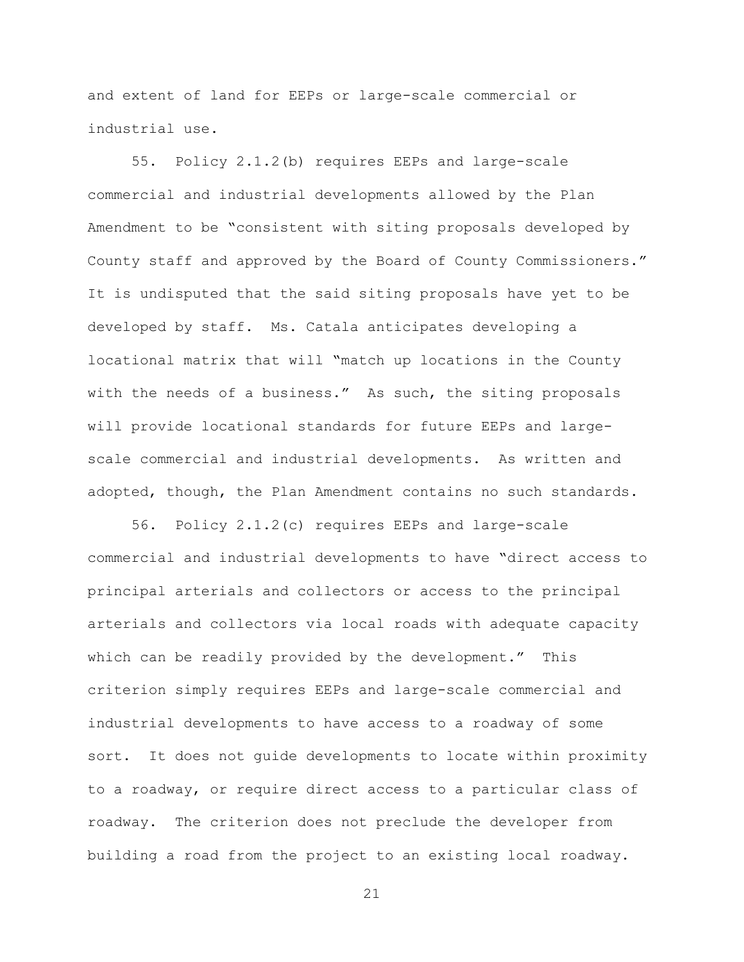and extent of land for EEPs or large-scale commercial or industrial use.

55. Policy 2.1.2(b) requires EEPs and large-scale commercial and industrial developments allowed by the Plan Amendment to be "consistent with siting proposals developed by County staff and approved by the Board of County Commissioners." It is undisputed that the said siting proposals have yet to be developed by staff. Ms. Catala anticipates developing a locational matrix that will "match up locations in the County with the needs of a business." As such, the siting proposals will provide locational standards for future EEPs and largescale commercial and industrial developments. As written and adopted, though, the Plan Amendment contains no such standards.

56. Policy 2.1.2(c) requires EEPs and large-scale commercial and industrial developments to have "direct access to principal arterials and collectors or access to the principal arterials and collectors via local roads with adequate capacity which can be readily provided by the development." This criterion simply requires EEPs and large-scale commercial and industrial developments to have access to a roadway of some sort. It does not guide developments to locate within proximity to a roadway, or require direct access to a particular class of roadway. The criterion does not preclude the developer from building a road from the project to an existing local roadway.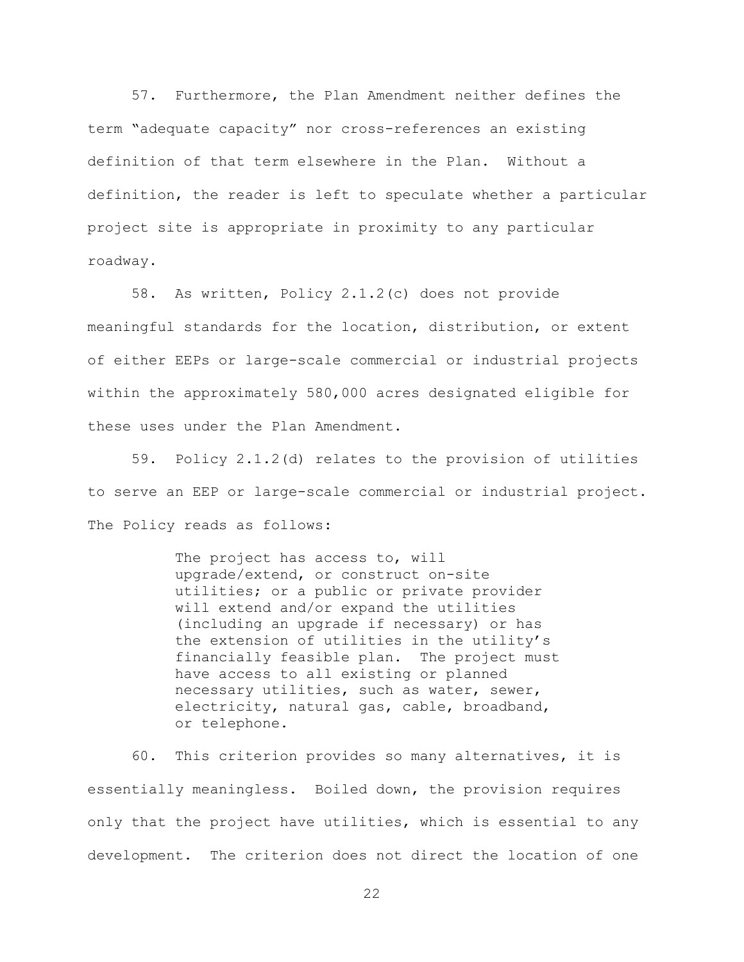57. Furthermore, the Plan Amendment neither defines the term "adequate capacity" nor cross-references an existing definition of that term elsewhere in the Plan. Without a definition, the reader is left to speculate whether a particular project site is appropriate in proximity to any particular roadway.

58. As written, Policy 2.1.2(c) does not provide meaningful standards for the location, distribution, or extent of either EEPs or large-scale commercial or industrial projects within the approximately 580,000 acres designated eligible for these uses under the Plan Amendment.

59. Policy 2.1.2(d) relates to the provision of utilities to serve an EEP or large-scale commercial or industrial project. The Policy reads as follows:

> The project has access to, will upgrade/extend, or construct on-site utilities; or a public or private provider will extend and/or expand the utilities (including an upgrade if necessary) or has the extension of utilities in the utility's financially feasible plan. The project must have access to all existing or planned necessary utilities, such as water, sewer, electricity, natural gas, cable, broadband, or telephone.

60. This criterion provides so many alternatives, it is essentially meaningless. Boiled down, the provision requires only that the project have utilities, which is essential to any development. The criterion does not direct the location of one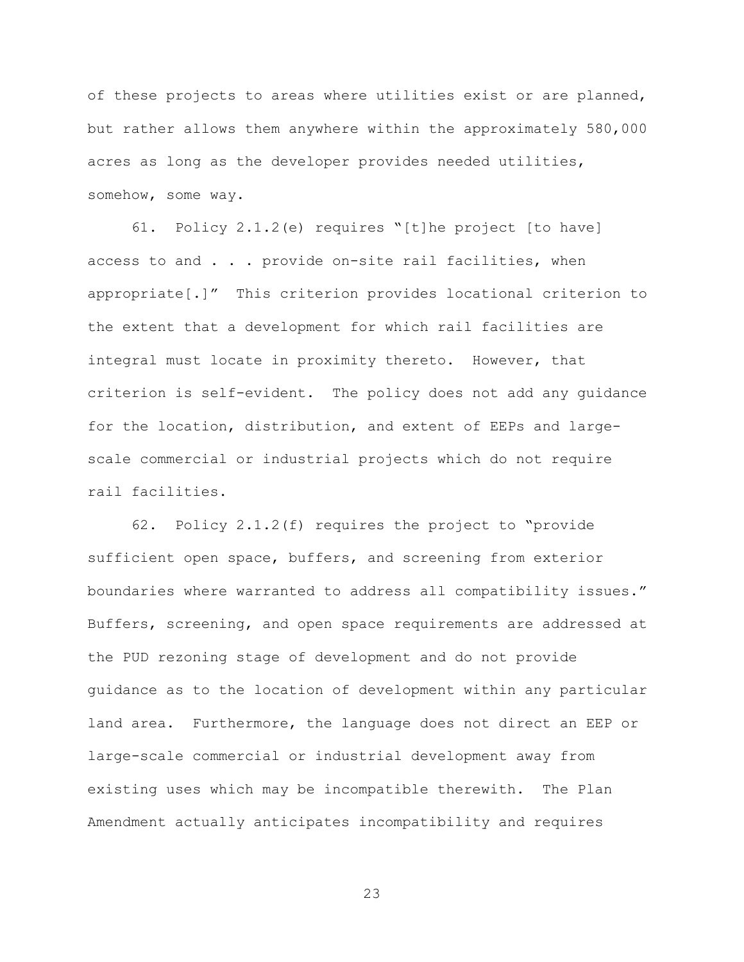of these projects to areas where utilities exist or are planned, but rather allows them anywhere within the approximately 580,000 acres as long as the developer provides needed utilities, somehow, some way.

61. Policy 2.1.2(e) requires "[t]he project [to have] access to and . . . provide on-site rail facilities, when appropriate[.]" This criterion provides locational criterion to the extent that a development for which rail facilities are integral must locate in proximity thereto. However, that criterion is self-evident. The policy does not add any guidance for the location, distribution, and extent of EEPs and largescale commercial or industrial projects which do not require rail facilities.

62. Policy 2.1.2(f) requires the project to "provide sufficient open space, buffers, and screening from exterior boundaries where warranted to address all compatibility issues." Buffers, screening, and open space requirements are addressed at the PUD rezoning stage of development and do not provide guidance as to the location of development within any particular land area. Furthermore, the language does not direct an EEP or large-scale commercial or industrial development away from existing uses which may be incompatible therewith. The Plan Amendment actually anticipates incompatibility and requires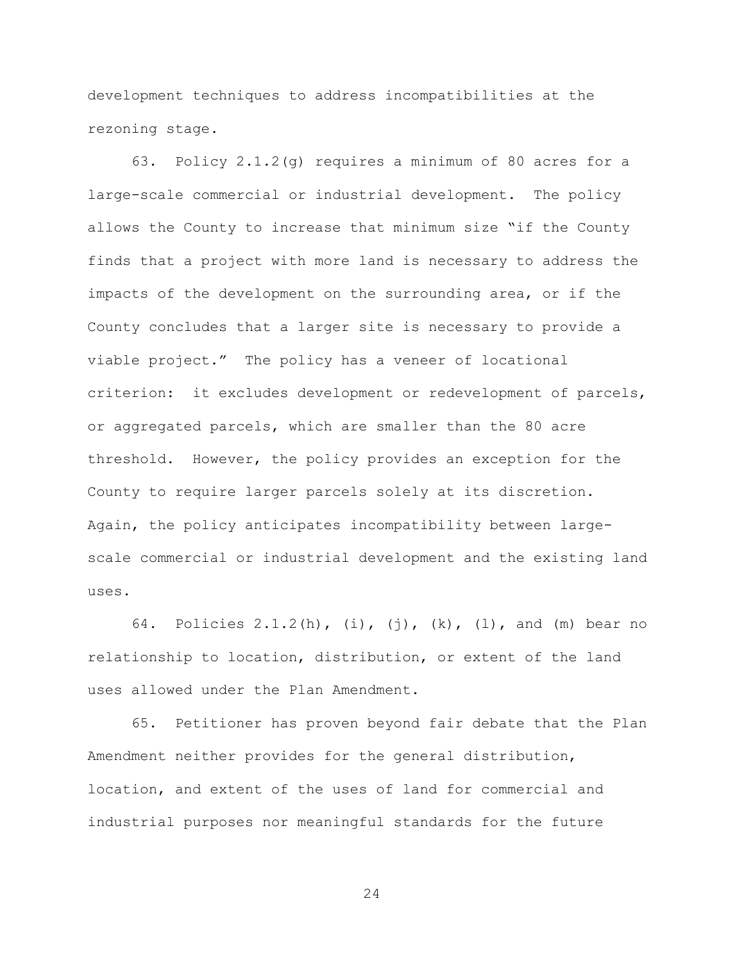development techniques to address incompatibilities at the rezoning stage.

63. Policy 2.1.2(g) requires a minimum of 80 acres for a large-scale commercial or industrial development. The policy allows the County to increase that minimum size "if the County finds that a project with more land is necessary to address the impacts of the development on the surrounding area, or if the County concludes that a larger site is necessary to provide a viable project." The policy has a veneer of locational criterion: it excludes development or redevelopment of parcels, or aggregated parcels, which are smaller than the 80 acre threshold. However, the policy provides an exception for the County to require larger parcels solely at its discretion. Again, the policy anticipates incompatibility between largescale commercial or industrial development and the existing land uses.

64. Policies 2.1.2(h), (i), (j), (k), (l), and (m) bear no relationship to location, distribution, or extent of the land uses allowed under the Plan Amendment.

65. Petitioner has proven beyond fair debate that the Plan Amendment neither provides for the general distribution, location, and extent of the uses of land for commercial and industrial purposes nor meaningful standards for the future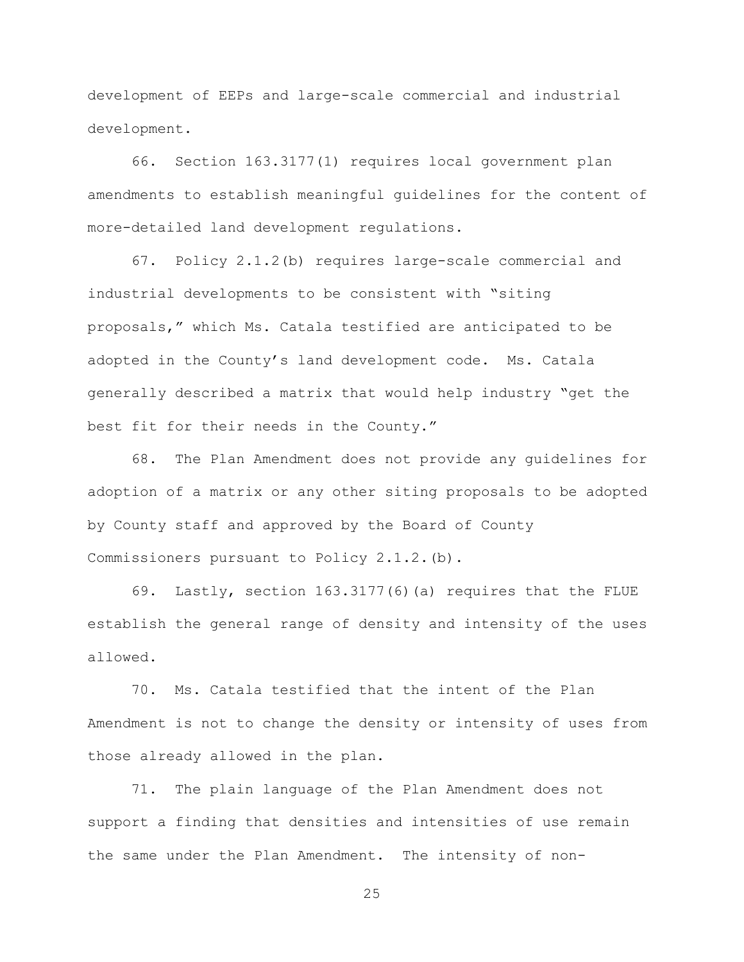development of EEPs and large-scale commercial and industrial development.

66. Section 163.3177(1) requires local government plan amendments to establish meaningful guidelines for the content of more-detailed land development regulations.

67. Policy 2.1.2(b) requires large-scale commercial and industrial developments to be consistent with "siting proposals," which Ms. Catala testified are anticipated to be adopted in the County's land development code. Ms. Catala generally described a matrix that would help industry "get the best fit for their needs in the County."

68. The Plan Amendment does not provide any guidelines for adoption of a matrix or any other siting proposals to be adopted by County staff and approved by the Board of County Commissioners pursuant to Policy 2.1.2.(b).

69. Lastly, section 163.3177(6)(a) requires that the FLUE establish the general range of density and intensity of the uses allowed.

70. Ms. Catala testified that the intent of the Plan Amendment is not to change the density or intensity of uses from those already allowed in the plan.

71. The plain language of the Plan Amendment does not support a finding that densities and intensities of use remain the same under the Plan Amendment. The intensity of non-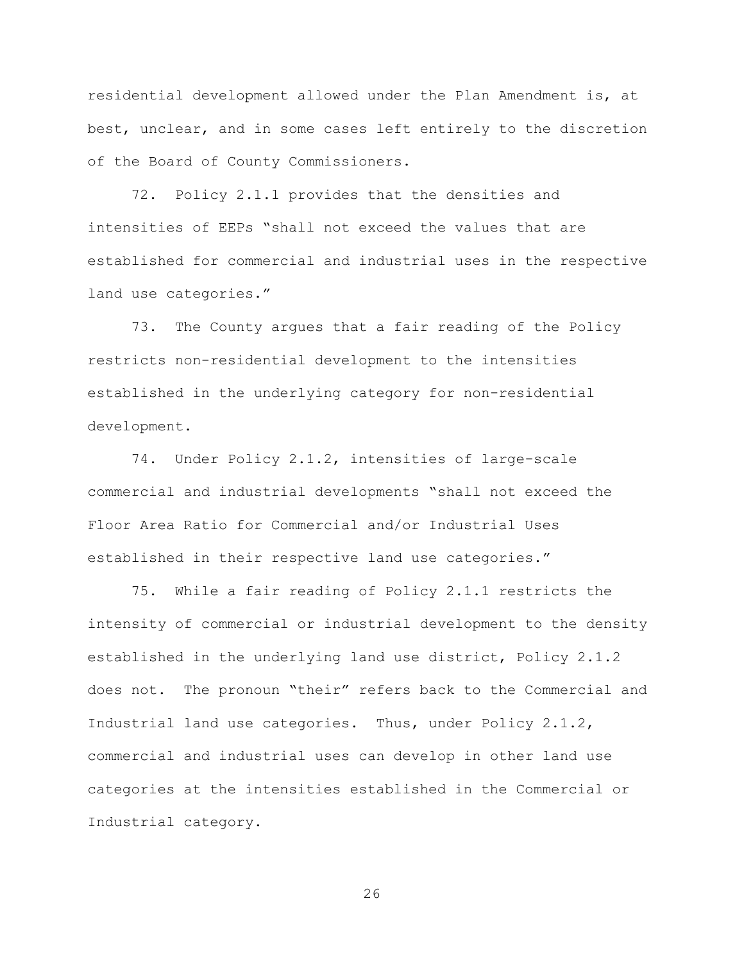residential development allowed under the Plan Amendment is, at best, unclear, and in some cases left entirely to the discretion of the Board of County Commissioners.

72. Policy 2.1.1 provides that the densities and intensities of EEPs "shall not exceed the values that are established for commercial and industrial uses in the respective land use categories."

73. The County argues that a fair reading of the Policy restricts non-residential development to the intensities established in the underlying category for non-residential development.

74. Under Policy 2.1.2, intensities of large-scale commercial and industrial developments "shall not exceed the Floor Area Ratio for Commercial and/or Industrial Uses established in their respective land use categories."

75. While a fair reading of Policy 2.1.1 restricts the intensity of commercial or industrial development to the density established in the underlying land use district, Policy 2.1.2 does not. The pronoun "their" refers back to the Commercial and Industrial land use categories. Thus, under Policy 2.1.2, commercial and industrial uses can develop in other land use categories at the intensities established in the Commercial or Industrial category.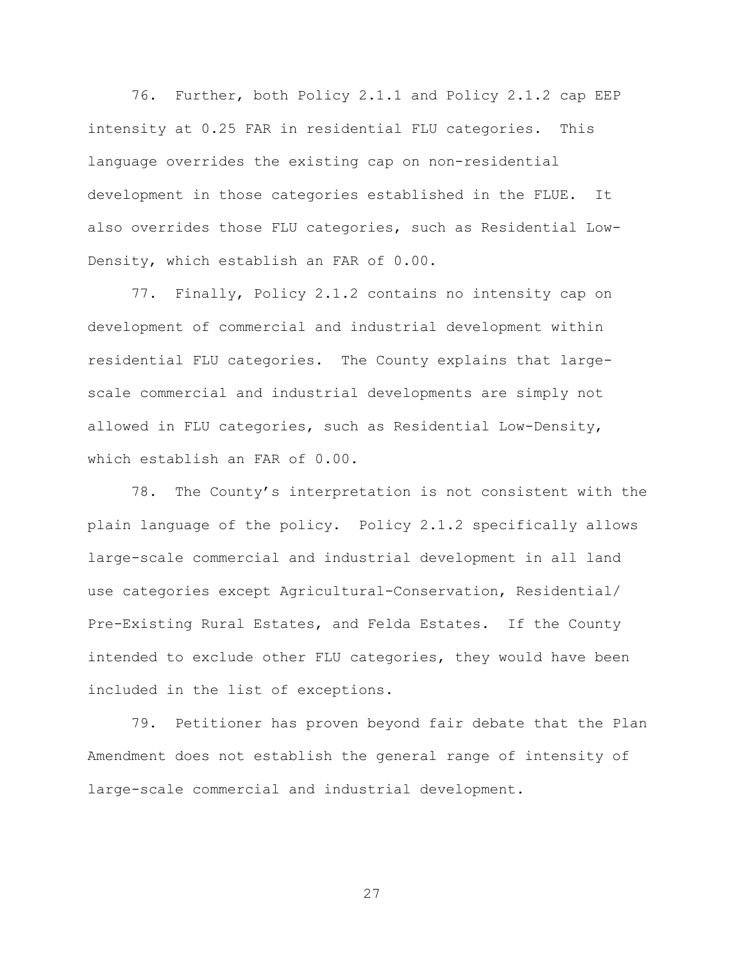76. Further, both Policy 2.1.1 and Policy 2.1.2 cap EEP intensity at 0.25 FAR in residential FLU categories. This language overrides the existing cap on non-residential development in those categories established in the FLUE. It also overrides those FLU categories, such as Residential Low-Density, which establish an FAR of 0.00.

77. Finally, Policy 2.1.2 contains no intensity cap on development of commercial and industrial development within residential FLU categories. The County explains that largescale commercial and industrial developments are simply not allowed in FLU categories, such as Residential Low-Density, which establish an FAR of 0.00.

78. The County's interpretation is not consistent with the plain language of the policy. Policy 2.1.2 specifically allows large-scale commercial and industrial development in all land use categories except Agricultural-Conservation, Residential/ Pre-Existing Rural Estates, and Felda Estates. If the County intended to exclude other FLU categories, they would have been included in the list of exceptions.

79. Petitioner has proven beyond fair debate that the Plan Amendment does not establish the general range of intensity of large-scale commercial and industrial development.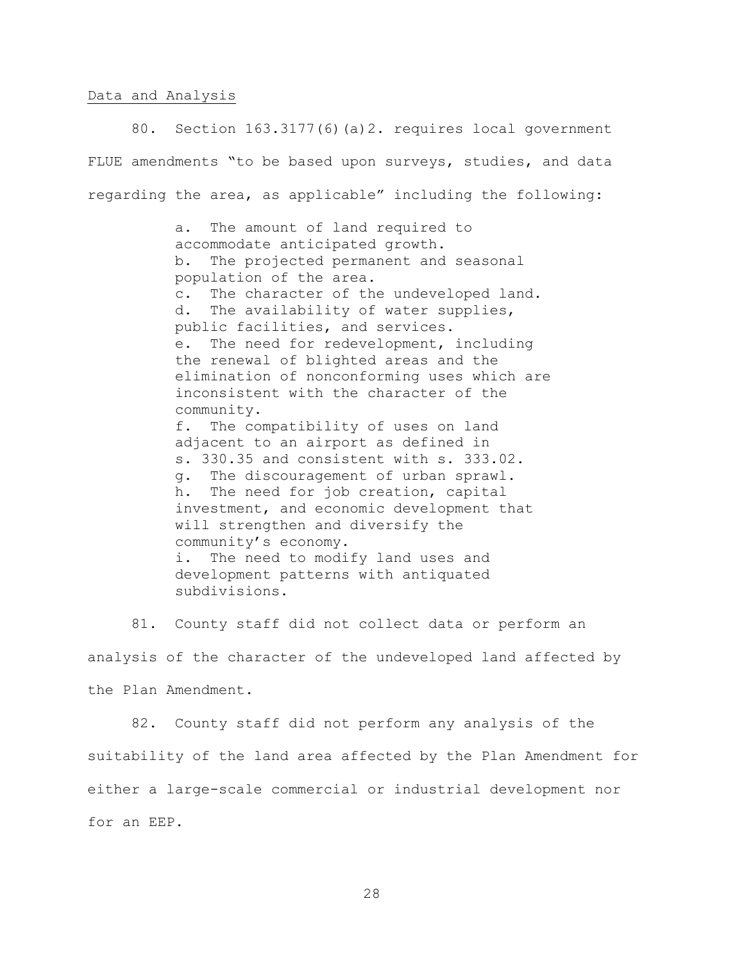#### Data and Analysis

80. Section 163.3177(6)(a)2. requires local government FLUE amendments "to be based upon surveys, studies, and data regarding the area, as applicable" including the following:

> a. The amount of land required to accommodate anticipated growth. b. The projected permanent and seasonal population of the area. c. The character of the undeveloped land. d. The availability of water supplies, public facilities, and services. e. The need for redevelopment, including the renewal of blighted areas and the elimination of nonconforming uses which are inconsistent with the character of the community. f. The compatibility of uses on land adjacent to an airport as defined in s. 330.35 and consistent with s. 333.02. g. The discouragement of urban sprawl. h. The need for job creation, capital investment, and economic development that will strengthen and diversify the community's economy. i. The need to modify land uses and development patterns with antiquated subdivisions.

81. County staff did not collect data or perform an analysis of the character of the undeveloped land affected by the Plan Amendment.

82. County staff did not perform any analysis of the suitability of the land area affected by the Plan Amendment for either a large-scale commercial or industrial development nor for an EEP.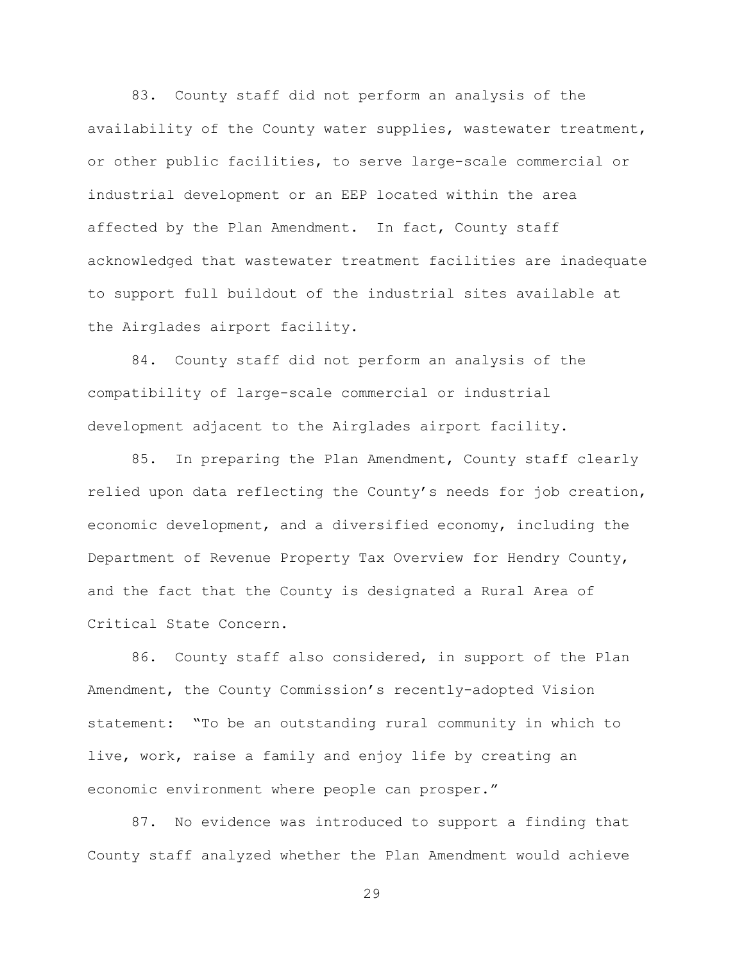83. County staff did not perform an analysis of the availability of the County water supplies, wastewater treatment, or other public facilities, to serve large-scale commercial or industrial development or an EEP located within the area affected by the Plan Amendment. In fact, County staff acknowledged that wastewater treatment facilities are inadequate to support full buildout of the industrial sites available at the Airglades airport facility.

84. County staff did not perform an analysis of the compatibility of large-scale commercial or industrial development adjacent to the Airglades airport facility.

85. In preparing the Plan Amendment, County staff clearly relied upon data reflecting the County's needs for job creation, economic development, and a diversified economy, including the Department of Revenue Property Tax Overview for Hendry County, and the fact that the County is designated a Rural Area of Critical State Concern.

86. County staff also considered, in support of the Plan Amendment, the County Commission's recently-adopted Vision statement: "To be an outstanding rural community in which to live, work, raise a family and enjoy life by creating an economic environment where people can prosper."

87. No evidence was introduced to support a finding that County staff analyzed whether the Plan Amendment would achieve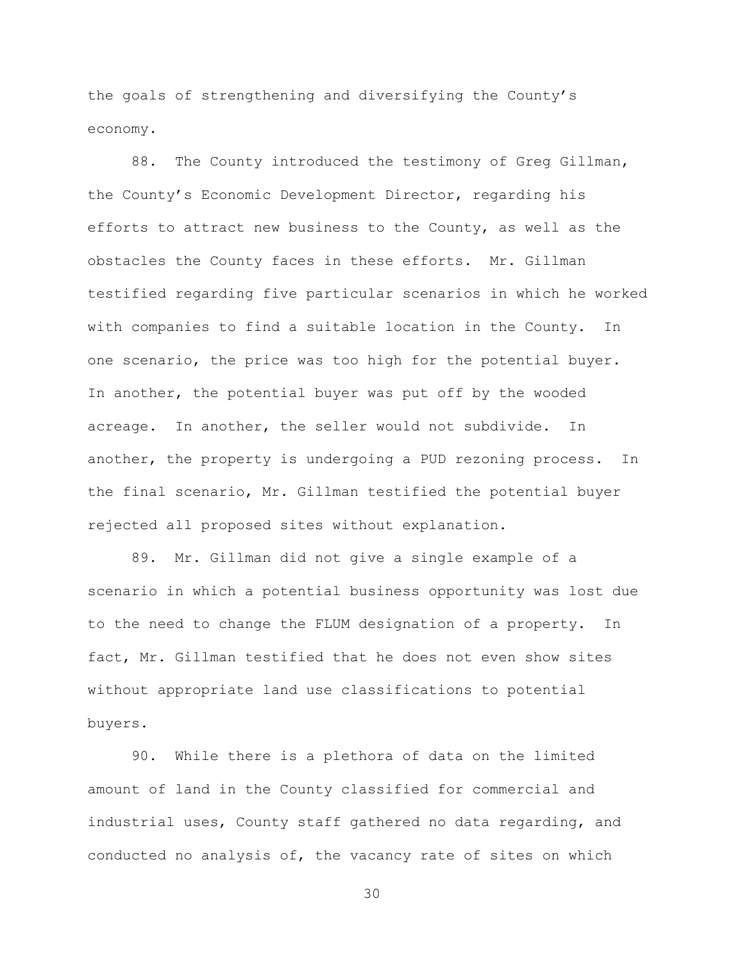the goals of strengthening and diversifying the County's economy.

88. The County introduced the testimony of Greg Gillman, the County's Economic Development Director, regarding his efforts to attract new business to the County, as well as the obstacles the County faces in these efforts. Mr. Gillman testified regarding five particular scenarios in which he worked with companies to find a suitable location in the County. In one scenario, the price was too high for the potential buyer. In another, the potential buyer was put off by the wooded acreage. In another, the seller would not subdivide. In another, the property is undergoing a PUD rezoning process. In the final scenario, Mr. Gillman testified the potential buyer rejected all proposed sites without explanation.

89. Mr. Gillman did not give a single example of a scenario in which a potential business opportunity was lost due to the need to change the FLUM designation of a property. In fact, Mr. Gillman testified that he does not even show sites without appropriate land use classifications to potential buyers.

90. While there is a plethora of data on the limited amount of land in the County classified for commercial and industrial uses, County staff gathered no data regarding, and conducted no analysis of, the vacancy rate of sites on which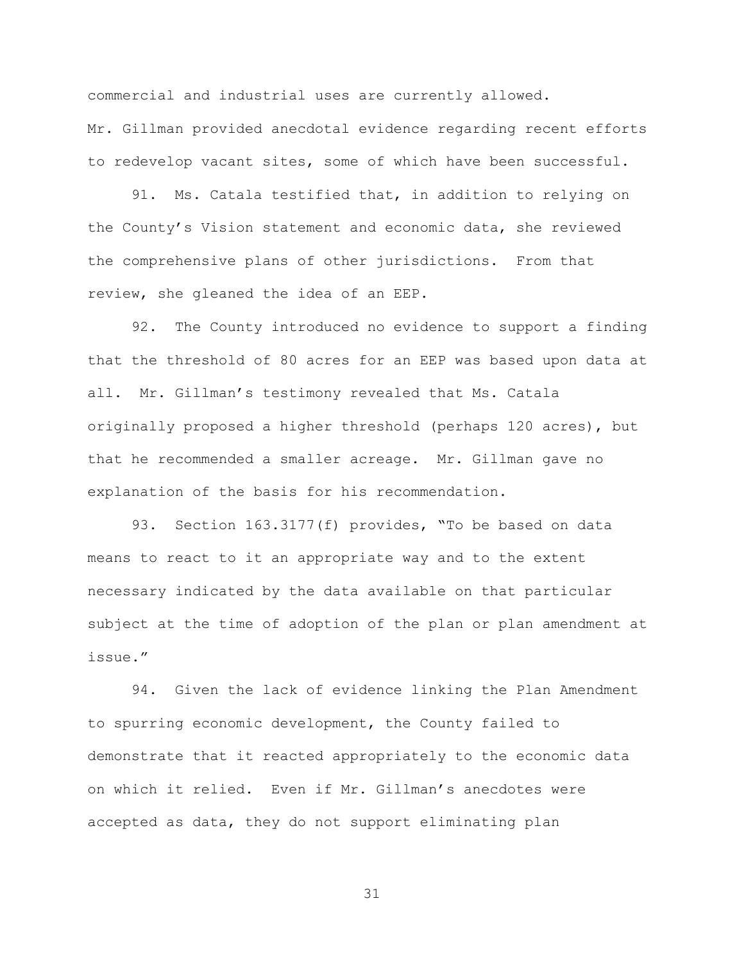commercial and industrial uses are currently allowed. Mr. Gillman provided anecdotal evidence regarding recent efforts to redevelop vacant sites, some of which have been successful.

91. Ms. Catala testified that, in addition to relying on the County's Vision statement and economic data, she reviewed the comprehensive plans of other jurisdictions. From that review, she gleaned the idea of an EEP.

92. The County introduced no evidence to support a finding that the threshold of 80 acres for an EEP was based upon data at all. Mr. Gillman's testimony revealed that Ms. Catala originally proposed a higher threshold (perhaps 120 acres), but that he recommended a smaller acreage. Mr. Gillman gave no explanation of the basis for his recommendation.

93. Section 163.3177(f) provides, "To be based on data means to react to it an appropriate way and to the extent necessary indicated by the data available on that particular subject at the time of adoption of the plan or plan amendment at issue."

94. Given the lack of evidence linking the Plan Amendment to spurring economic development, the County failed to demonstrate that it reacted appropriately to the economic data on which it relied. Even if Mr. Gillman's anecdotes were accepted as data, they do not support eliminating plan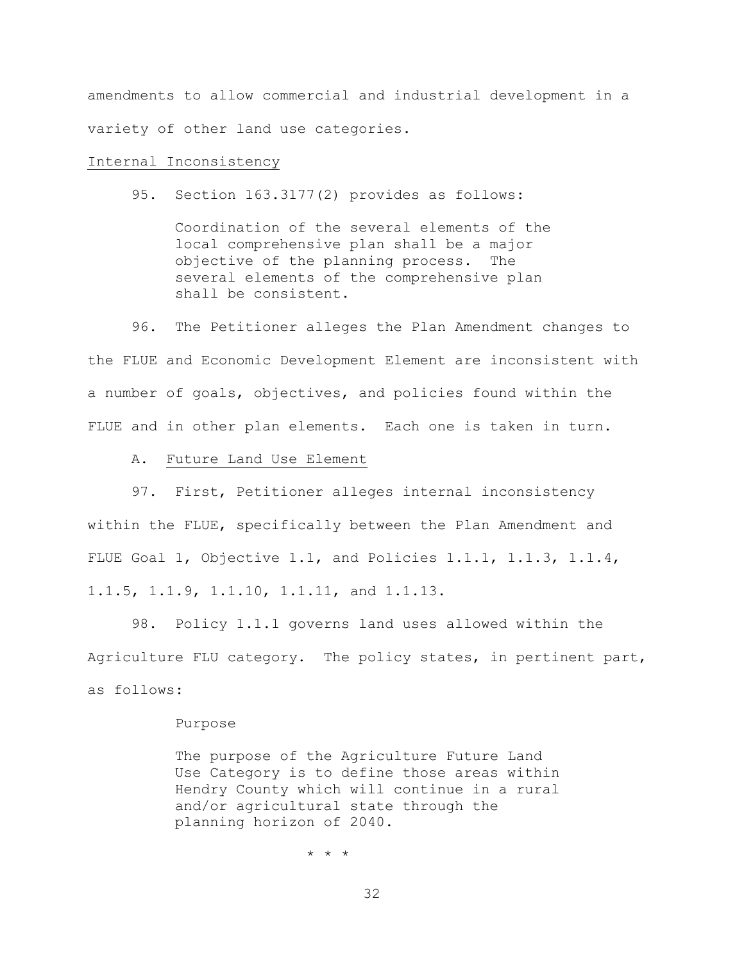amendments to allow commercial and industrial development in a variety of other land use categories.

## Internal Inconsistency

95. Section 163.3177(2) provides as follows:

Coordination of the several elements of the local comprehensive plan shall be a major objective of the planning process. The several elements of the comprehensive plan shall be consistent.

96. The Petitioner alleges the Plan Amendment changes to the FLUE and Economic Development Element are inconsistent with a number of goals, objectives, and policies found within the FLUE and in other plan elements. Each one is taken in turn.

A. Future Land Use Element

97. First, Petitioner alleges internal inconsistency within the FLUE, specifically between the Plan Amendment and FLUE Goal 1, Objective 1.1, and Policies 1.1.1, 1.1.3, 1.1.4, 1.1.5, 1.1.9, 1.1.10, 1.1.11, and 1.1.13.

98. Policy 1.1.1 governs land uses allowed within the Agriculture FLU category. The policy states, in pertinent part, as follows:

#### Purpose

The purpose of the Agriculture Future Land Use Category is to define those areas within Hendry County which will continue in a rural and/or agricultural state through the planning horizon of 2040.

\* \* \*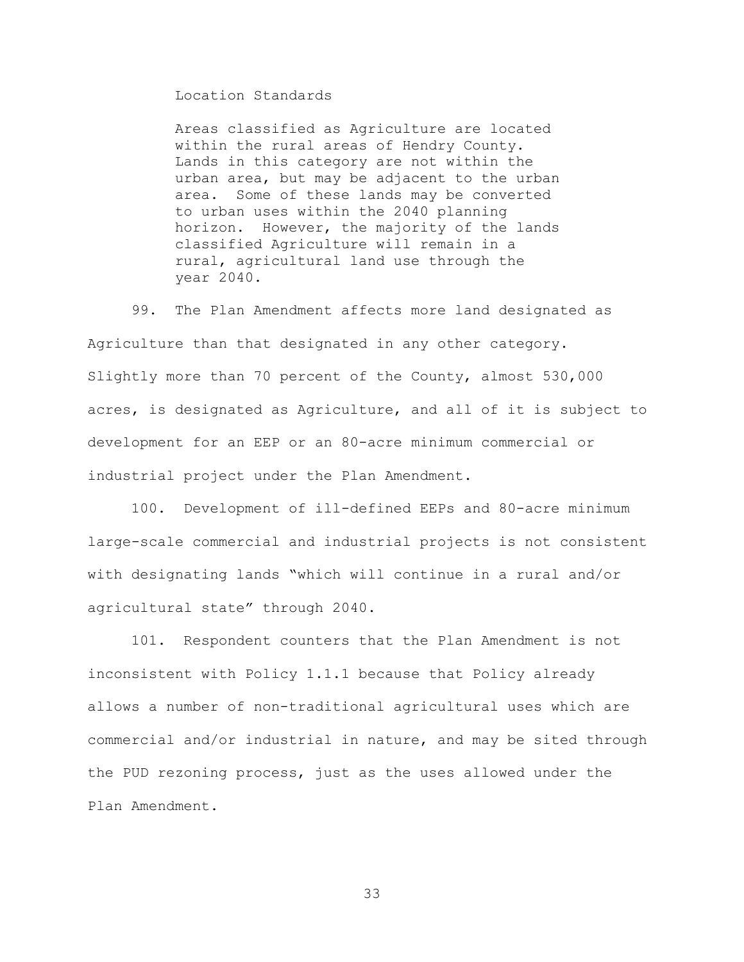Location Standards

Areas classified as Agriculture are located within the rural areas of Hendry County. Lands in this category are not within the urban area, but may be adjacent to the urban area. Some of these lands may be converted to urban uses within the 2040 planning horizon. However, the majority of the lands classified Agriculture will remain in a rural, agricultural land use through the year 2040.

99. The Plan Amendment affects more land designated as Agriculture than that designated in any other category. Slightly more than 70 percent of the County, almost 530,000 acres, is designated as Agriculture, and all of it is subject to development for an EEP or an 80-acre minimum commercial or industrial project under the Plan Amendment.

100. Development of ill-defined EEPs and 80-acre minimum large-scale commercial and industrial projects is not consistent with designating lands "which will continue in a rural and/or agricultural state" through 2040.

101. Respondent counters that the Plan Amendment is not inconsistent with Policy 1.1.1 because that Policy already allows a number of non-traditional agricultural uses which are commercial and/or industrial in nature, and may be sited through the PUD rezoning process, just as the uses allowed under the Plan Amendment.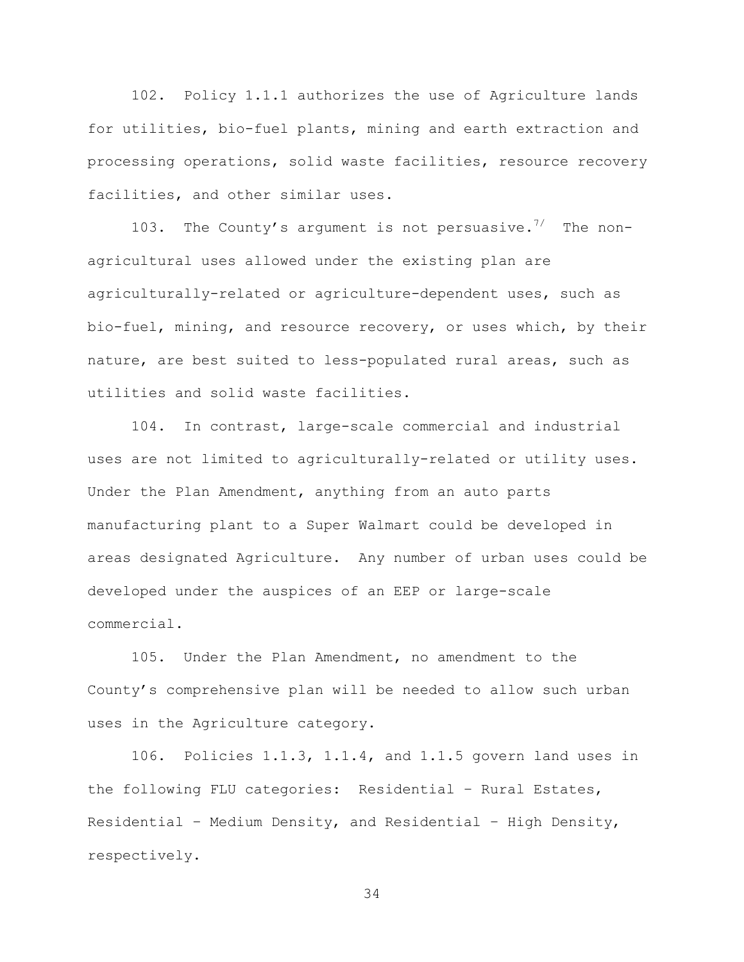102. Policy 1.1.1 authorizes the use of Agriculture lands for utilities, bio-fuel plants, mining and earth extraction and processing operations, solid waste facilities, resource recovery facilities, and other similar uses.

103. The County's argument is not persuasive.<sup>7/</sup> The nonagricultural uses allowed under the existing plan are agriculturally-related or agriculture-dependent uses, such as bio-fuel, mining, and resource recovery, or uses which, by their nature, are best suited to less-populated rural areas, such as utilities and solid waste facilities.

104. In contrast, large-scale commercial and industrial uses are not limited to agriculturally-related or utility uses. Under the Plan Amendment, anything from an auto parts manufacturing plant to a Super Walmart could be developed in areas designated Agriculture. Any number of urban uses could be developed under the auspices of an EEP or large-scale commercial.

105. Under the Plan Amendment, no amendment to the County's comprehensive plan will be needed to allow such urban uses in the Agriculture category.

106. Policies 1.1.3, 1.1.4, and 1.1.5 govern land uses in the following FLU categories: Residential – Rural Estates, Residential – Medium Density, and Residential – High Density, respectively.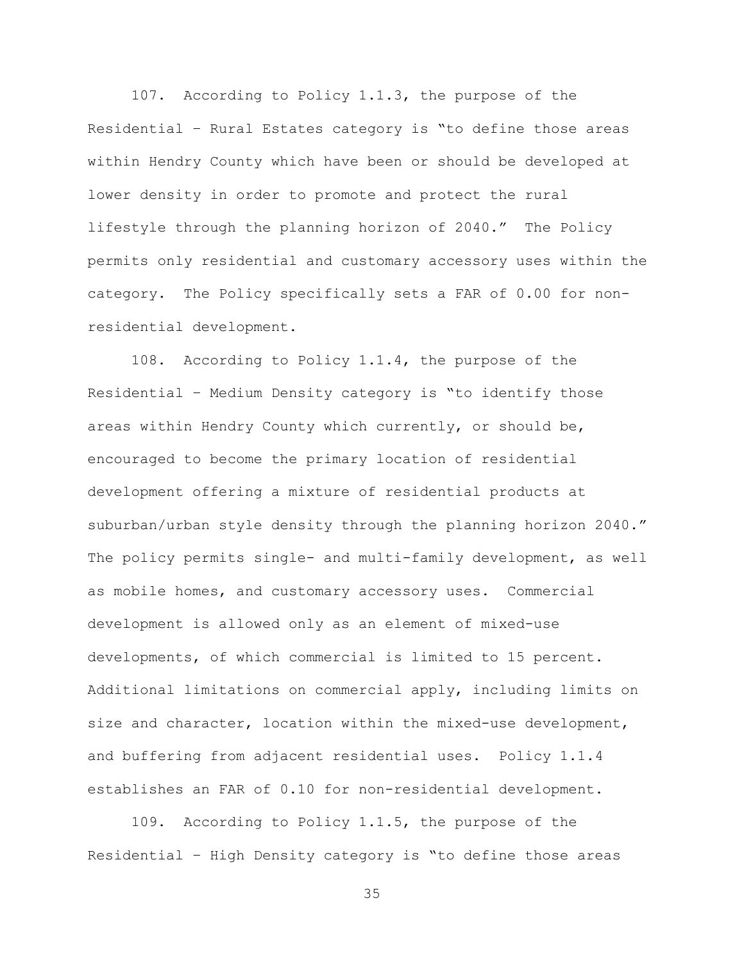107. According to Policy 1.1.3, the purpose of the Residential – Rural Estates category is "to define those areas within Hendry County which have been or should be developed at lower density in order to promote and protect the rural lifestyle through the planning horizon of 2040." The Policy permits only residential and customary accessory uses within the category. The Policy specifically sets a FAR of 0.00 for nonresidential development.

108. According to Policy 1.1.4, the purpose of the Residential – Medium Density category is "to identify those areas within Hendry County which currently, or should be, encouraged to become the primary location of residential development offering a mixture of residential products at suburban/urban style density through the planning horizon 2040." The policy permits single- and multi-family development, as well as mobile homes, and customary accessory uses. Commercial development is allowed only as an element of mixed-use developments, of which commercial is limited to 15 percent. Additional limitations on commercial apply, including limits on size and character, location within the mixed-use development, and buffering from adjacent residential uses. Policy 1.1.4 establishes an FAR of 0.10 for non-residential development.

109. According to Policy 1.1.5, the purpose of the Residential – High Density category is "to define those areas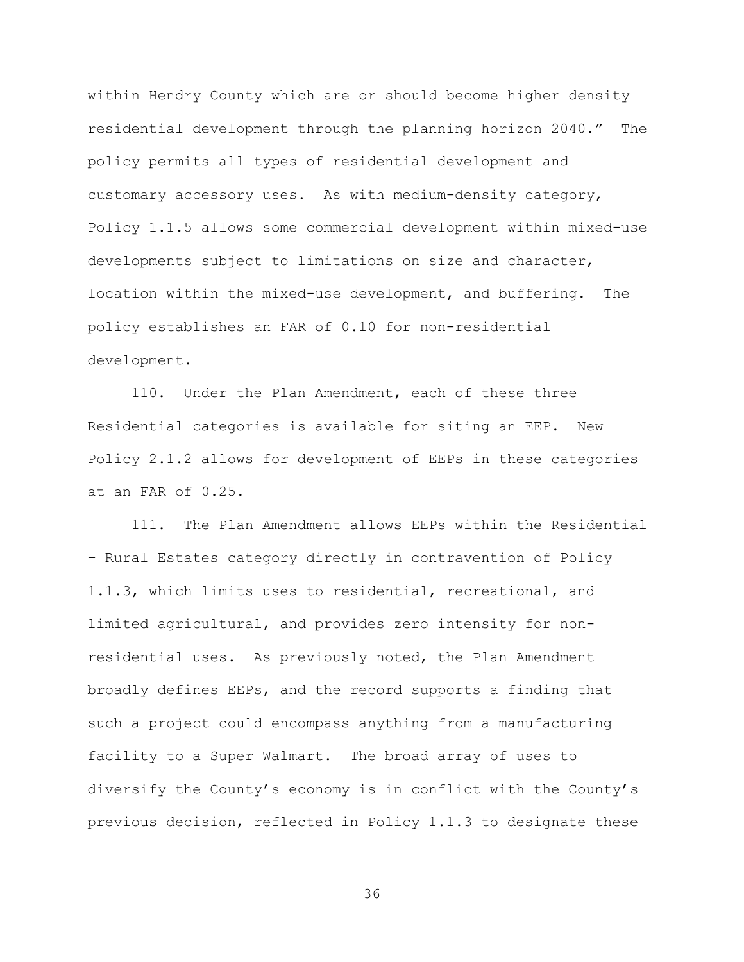within Hendry County which are or should become higher density residential development through the planning horizon 2040." The policy permits all types of residential development and customary accessory uses. As with medium-density category, Policy 1.1.5 allows some commercial development within mixed-use developments subject to limitations on size and character, location within the mixed-use development, and buffering. The policy establishes an FAR of 0.10 for non-residential development.

110. Under the Plan Amendment, each of these three Residential categories is available for siting an EEP. New Policy 2.1.2 allows for development of EEPs in these categories at an FAR of 0.25.

111. The Plan Amendment allows EEPs within the Residential – Rural Estates category directly in contravention of Policy 1.1.3, which limits uses to residential, recreational, and limited agricultural, and provides zero intensity for nonresidential uses. As previously noted, the Plan Amendment broadly defines EEPs, and the record supports a finding that such a project could encompass anything from a manufacturing facility to a Super Walmart. The broad array of uses to diversify the County's economy is in conflict with the County's previous decision, reflected in Policy 1.1.3 to designate these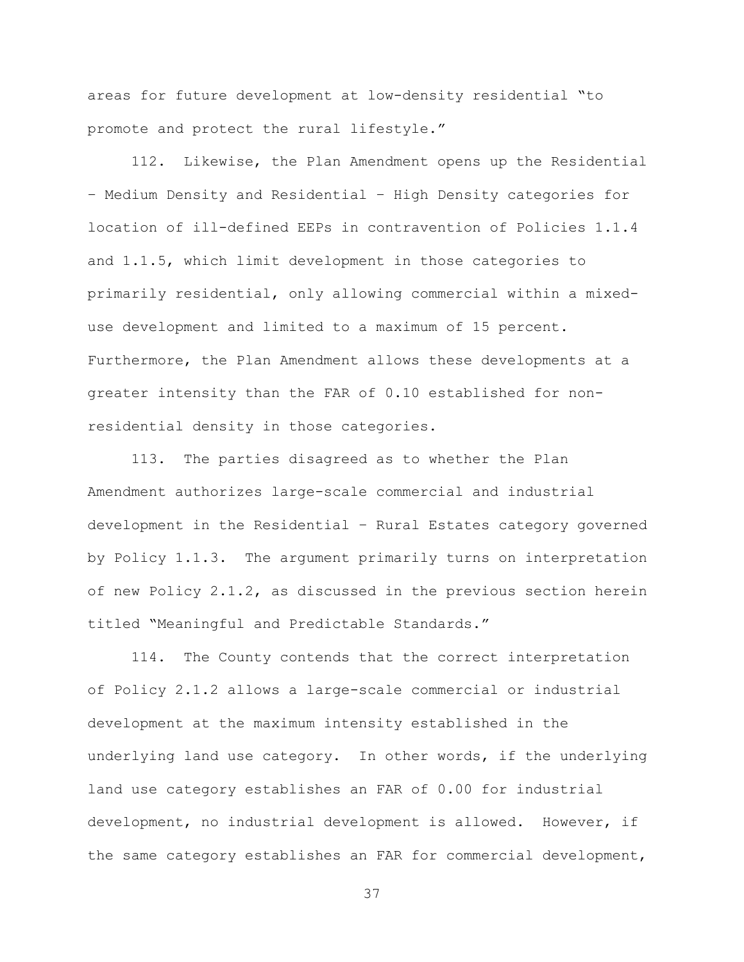areas for future development at low-density residential "to promote and protect the rural lifestyle."

112. Likewise, the Plan Amendment opens up the Residential – Medium Density and Residential – High Density categories for location of ill-defined EEPs in contravention of Policies 1.1.4 and 1.1.5, which limit development in those categories to primarily residential, only allowing commercial within a mixeduse development and limited to a maximum of 15 percent. Furthermore, the Plan Amendment allows these developments at a greater intensity than the FAR of 0.10 established for nonresidential density in those categories.

113. The parties disagreed as to whether the Plan Amendment authorizes large-scale commercial and industrial development in the Residential – Rural Estates category governed by Policy 1.1.3. The argument primarily turns on interpretation of new Policy 2.1.2, as discussed in the previous section herein titled "Meaningful and Predictable Standards."

114. The County contends that the correct interpretation of Policy 2.1.2 allows a large-scale commercial or industrial development at the maximum intensity established in the underlying land use category. In other words, if the underlying land use category establishes an FAR of 0.00 for industrial development, no industrial development is allowed. However, if the same category establishes an FAR for commercial development,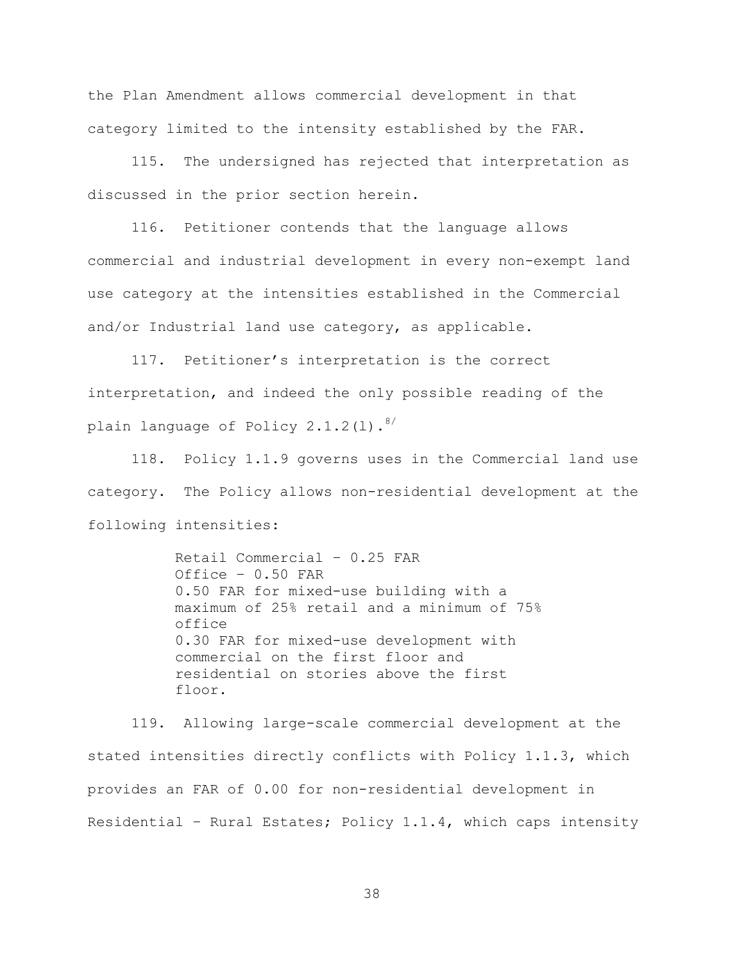the Plan Amendment allows commercial development in that category limited to the intensity established by the FAR.

115. The undersigned has rejected that interpretation as discussed in the prior section herein.

116. Petitioner contends that the language allows commercial and industrial development in every non-exempt land use category at the intensities established in the Commercial and/or Industrial land use category, as applicable.

117. Petitioner's interpretation is the correct interpretation, and indeed the only possible reading of the plain language of Policy  $2.1.2(1).$ <sup>8/</sup>

118. Policy 1.1.9 governs uses in the Commercial land use category. The Policy allows non-residential development at the following intensities:

> Retail Commercial – 0.25 FAR Office – 0.50 FAR 0.50 FAR for mixed-use building with a maximum of 25% retail and a minimum of 75% office 0.30 FAR for mixed-use development with commercial on the first floor and residential on stories above the first floor.

119. Allowing large-scale commercial development at the stated intensities directly conflicts with Policy 1.1.3, which provides an FAR of 0.00 for non-residential development in Residential – Rural Estates; Policy 1.1.4, which caps intensity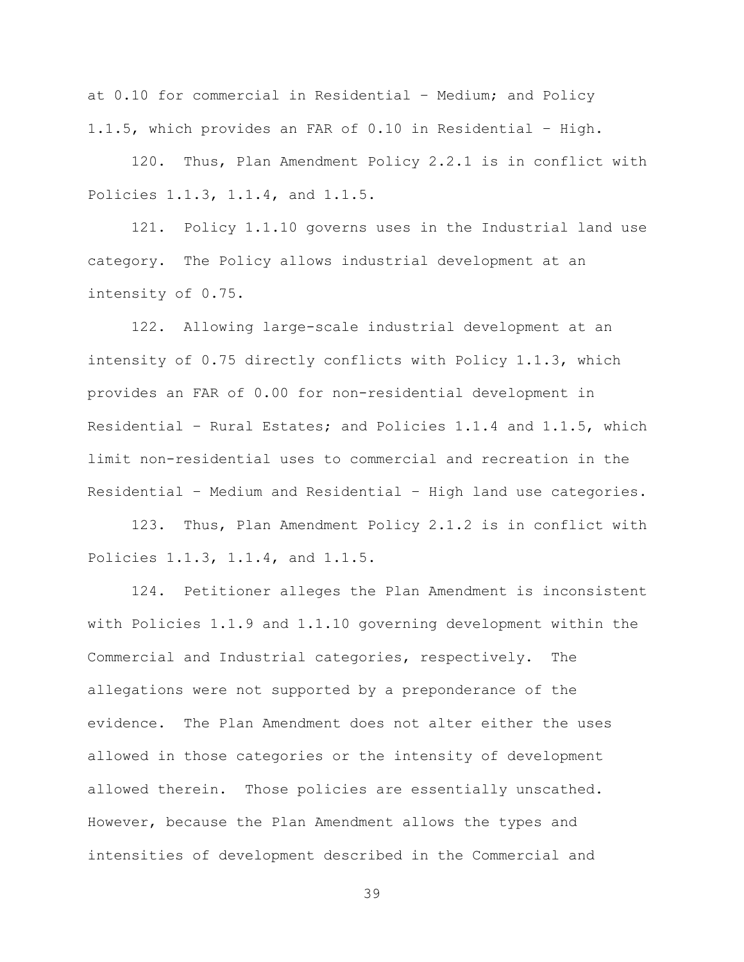at 0.10 for commercial in Residential – Medium; and Policy 1.1.5, which provides an FAR of 0.10 in Residential – High.

120. Thus, Plan Amendment Policy 2.2.1 is in conflict with Policies 1.1.3, 1.1.4, and 1.1.5.

121. Policy 1.1.10 governs uses in the Industrial land use category. The Policy allows industrial development at an intensity of 0.75.

122. Allowing large-scale industrial development at an intensity of 0.75 directly conflicts with Policy 1.1.3, which provides an FAR of 0.00 for non-residential development in Residential – Rural Estates; and Policies 1.1.4 and 1.1.5, which limit non-residential uses to commercial and recreation in the Residential – Medium and Residential – High land use categories.

123. Thus, Plan Amendment Policy 2.1.2 is in conflict with Policies 1.1.3, 1.1.4, and 1.1.5.

124. Petitioner alleges the Plan Amendment is inconsistent with Policies 1.1.9 and 1.1.10 governing development within the Commercial and Industrial categories, respectively. The allegations were not supported by a preponderance of the evidence. The Plan Amendment does not alter either the uses allowed in those categories or the intensity of development allowed therein. Those policies are essentially unscathed. However, because the Plan Amendment allows the types and intensities of development described in the Commercial and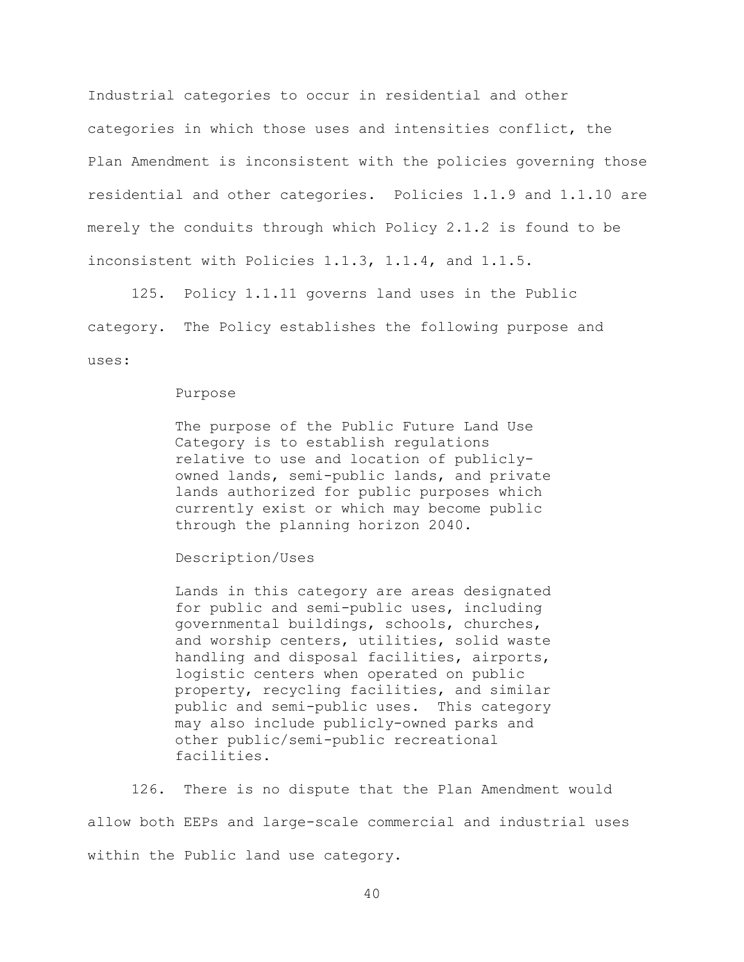Industrial categories to occur in residential and other categories in which those uses and intensities conflict, the Plan Amendment is inconsistent with the policies governing those residential and other categories. Policies 1.1.9 and 1.1.10 are merely the conduits through which Policy 2.1.2 is found to be inconsistent with Policies 1.1.3, 1.1.4, and 1.1.5.

125. Policy 1.1.11 governs land uses in the Public category. The Policy establishes the following purpose and uses:

#### Purpose

The purpose of the Public Future Land Use Category is to establish regulations relative to use and location of publiclyowned lands, semi-public lands, and private lands authorized for public purposes which currently exist or which may become public through the planning horizon 2040.

# Description/Uses

Lands in this category are areas designated for public and semi-public uses, including governmental buildings, schools, churches, and worship centers, utilities, solid waste handling and disposal facilities, airports, logistic centers when operated on public property, recycling facilities, and similar public and semi-public uses. This category may also include publicly-owned parks and other public/semi-public recreational facilities.

126. There is no dispute that the Plan Amendment would allow both EEPs and large-scale commercial and industrial uses within the Public land use category.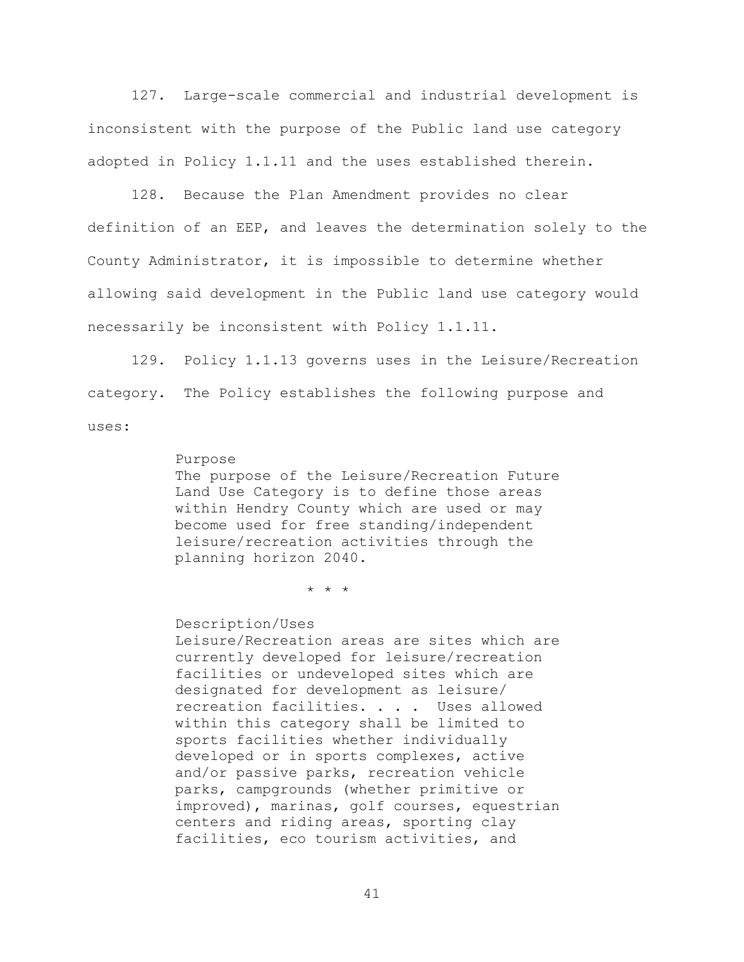127. Large-scale commercial and industrial development is inconsistent with the purpose of the Public land use category adopted in Policy 1.1.11 and the uses established therein.

128. Because the Plan Amendment provides no clear definition of an EEP, and leaves the determination solely to the County Administrator, it is impossible to determine whether allowing said development in the Public land use category would necessarily be inconsistent with Policy 1.1.11.

129. Policy 1.1.13 governs uses in the Leisure/Recreation category. The Policy establishes the following purpose and uses:

#### Purpose

The purpose of the Leisure/Recreation Future Land Use Category is to define those areas within Hendry County which are used or may become used for free standing/independent leisure/recreation activities through the planning horizon 2040.

\* \* \*

Description/Uses Leisure/Recreation areas are sites which are currently developed for leisure/recreation facilities or undeveloped sites which are designated for development as leisure/ recreation facilities. . . . Uses allowed within this category shall be limited to sports facilities whether individually developed or in sports complexes, active and/or passive parks, recreation vehicle parks, campgrounds (whether primitive or improved), marinas, golf courses, equestrian centers and riding areas, sporting clay facilities, eco tourism activities, and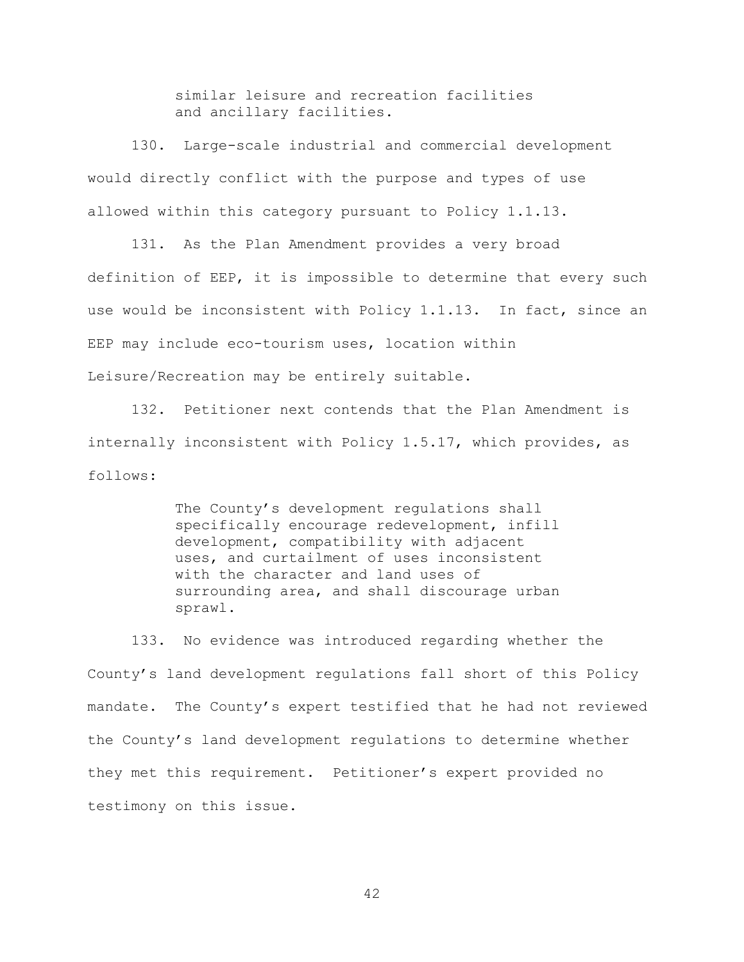similar leisure and recreation facilities and ancillary facilities.

130. Large-scale industrial and commercial development would directly conflict with the purpose and types of use allowed within this category pursuant to Policy 1.1.13.

131. As the Plan Amendment provides a very broad definition of EEP, it is impossible to determine that every such use would be inconsistent with Policy 1.1.13. In fact, since an EEP may include eco-tourism uses, location within Leisure/Recreation may be entirely suitable.

132. Petitioner next contends that the Plan Amendment is internally inconsistent with Policy 1.5.17, which provides, as follows:

> The County's development requiations shall specifically encourage redevelopment, infill development, compatibility with adjacent uses, and curtailment of uses inconsistent with the character and land uses of surrounding area, and shall discourage urban sprawl.

133. No evidence was introduced regarding whether the County's land development regulations fall short of this Policy mandate. The County's expert testified that he had not reviewed the County's land development regulations to determine whether they met this requirement. Petitioner's expert provided no testimony on this issue.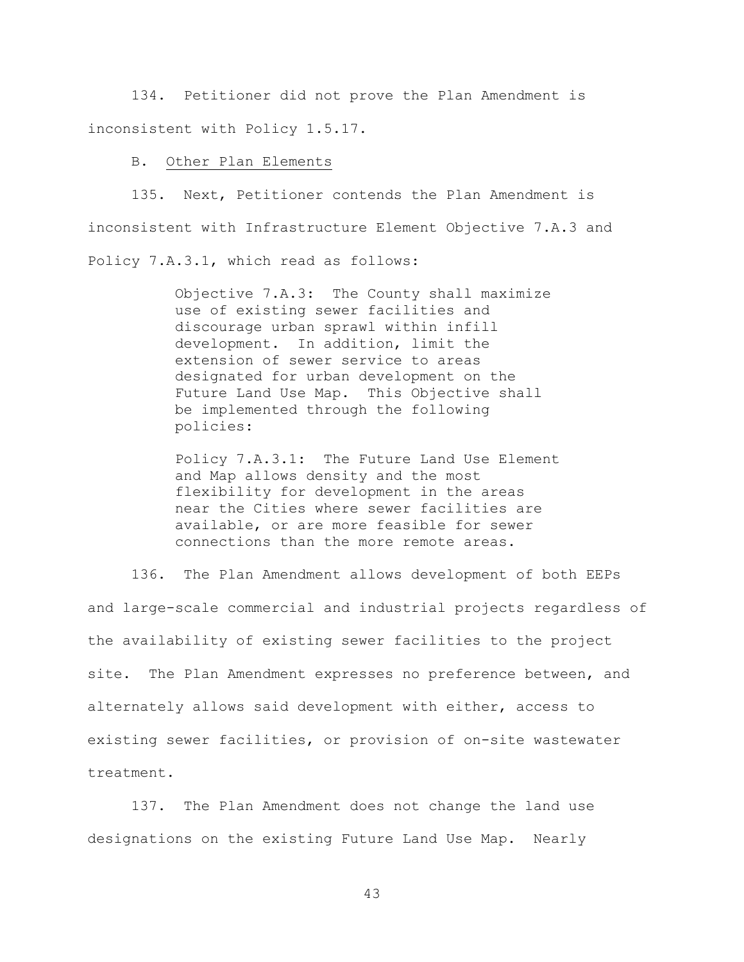134. Petitioner did not prove the Plan Amendment is inconsistent with Policy 1.5.17.

## B. Other Plan Elements

135. Next, Petitioner contends the Plan Amendment is inconsistent with Infrastructure Element Objective 7.A.3 and Policy 7.A.3.1, which read as follows:

> Objective 7.A.3: The County shall maximize use of existing sewer facilities and discourage urban sprawl within infill development. In addition, limit the extension of sewer service to areas designated for urban development on the Future Land Use Map. This Objective shall be implemented through the following policies:

Policy 7.A.3.1: The Future Land Use Element and Map allows density and the most flexibility for development in the areas near the Cities where sewer facilities are available, or are more feasible for sewer connections than the more remote areas.

136. The Plan Amendment allows development of both EEPs and large-scale commercial and industrial projects regardless of the availability of existing sewer facilities to the project site. The Plan Amendment expresses no preference between, and alternately allows said development with either, access to existing sewer facilities, or provision of on-site wastewater treatment.

137. The Plan Amendment does not change the land use designations on the existing Future Land Use Map. Nearly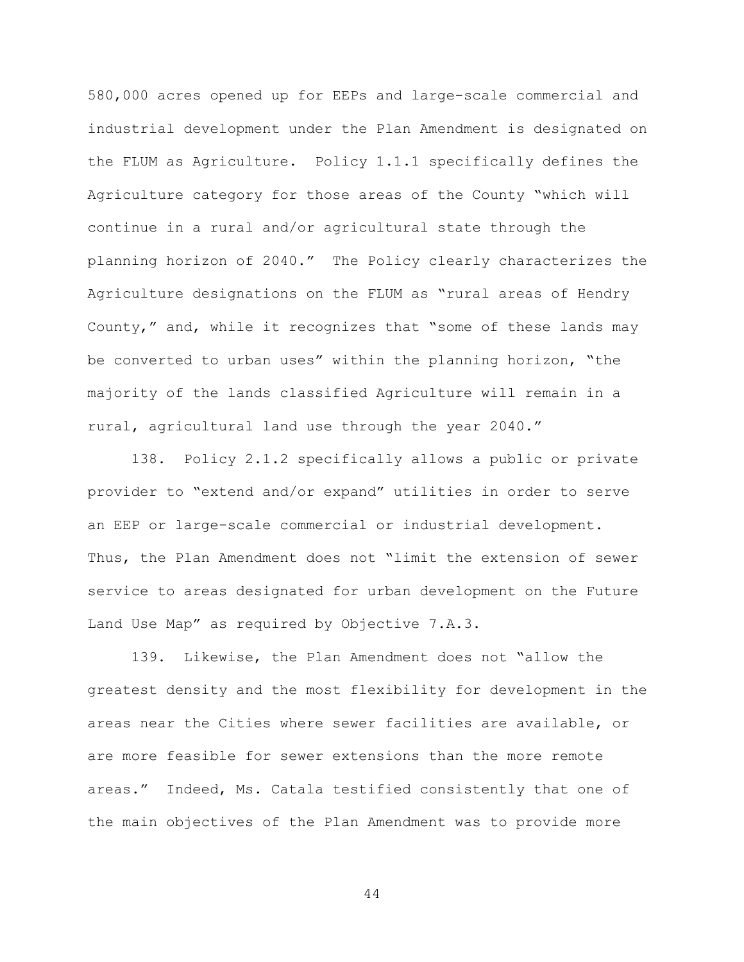580,000 acres opened up for EEPs and large-scale commercial and industrial development under the Plan Amendment is designated on the FLUM as Agriculture. Policy 1.1.1 specifically defines the Agriculture category for those areas of the County "which will continue in a rural and/or agricultural state through the planning horizon of 2040." The Policy clearly characterizes the Agriculture designations on the FLUM as "rural areas of Hendry County," and, while it recognizes that "some of these lands may be converted to urban uses" within the planning horizon, "the majority of the lands classified Agriculture will remain in a rural, agricultural land use through the year 2040."

138. Policy 2.1.2 specifically allows a public or private provider to "extend and/or expand" utilities in order to serve an EEP or large-scale commercial or industrial development. Thus, the Plan Amendment does not "limit the extension of sewer service to areas designated for urban development on the Future Land Use Map" as required by Objective 7.A.3.

139. Likewise, the Plan Amendment does not "allow the greatest density and the most flexibility for development in the areas near the Cities where sewer facilities are available, or are more feasible for sewer extensions than the more remote areas." Indeed, Ms. Catala testified consistently that one of the main objectives of the Plan Amendment was to provide more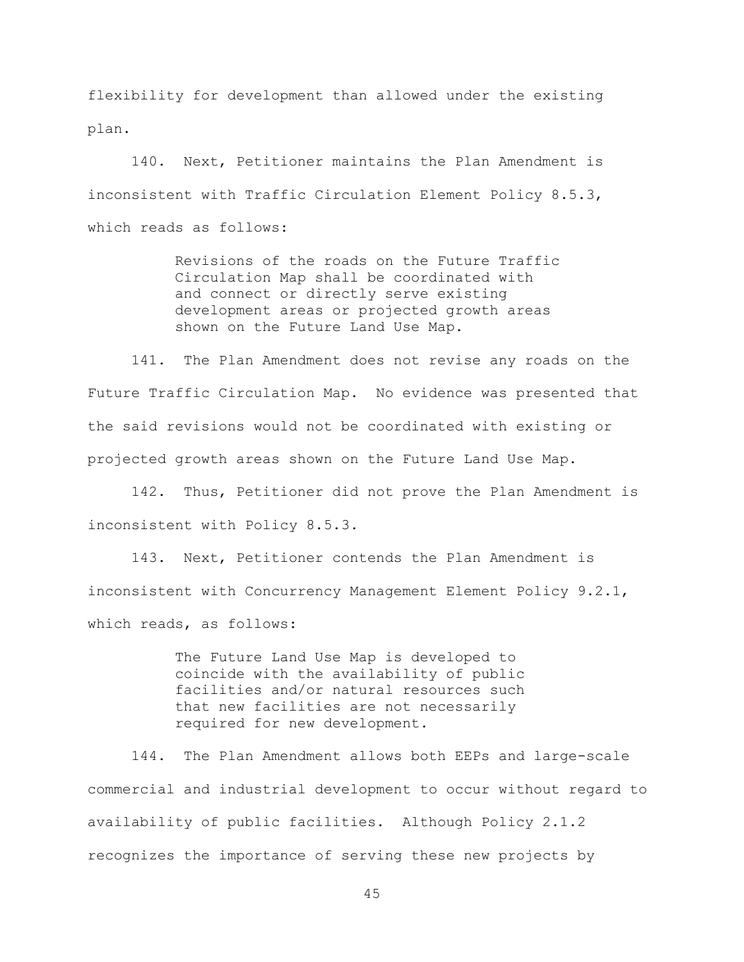flexibility for development than allowed under the existing plan.

140. Next, Petitioner maintains the Plan Amendment is inconsistent with Traffic Circulation Element Policy 8.5.3, which reads as follows:

> Revisions of the roads on the Future Traffic Circulation Map shall be coordinated with and connect or directly serve existing development areas or projected growth areas shown on the Future Land Use Map.

141. The Plan Amendment does not revise any roads on the Future Traffic Circulation Map. No evidence was presented that the said revisions would not be coordinated with existing or projected growth areas shown on the Future Land Use Map.

142. Thus, Petitioner did not prove the Plan Amendment is inconsistent with Policy 8.5.3.

143. Next, Petitioner contends the Plan Amendment is inconsistent with Concurrency Management Element Policy 9.2.1, which reads, as follows:

> The Future Land Use Map is developed to coincide with the availability of public facilities and/or natural resources such that new facilities are not necessarily required for new development.

144. The Plan Amendment allows both EEPs and large-scale commercial and industrial development to occur without regard to availability of public facilities. Although Policy 2.1.2 recognizes the importance of serving these new projects by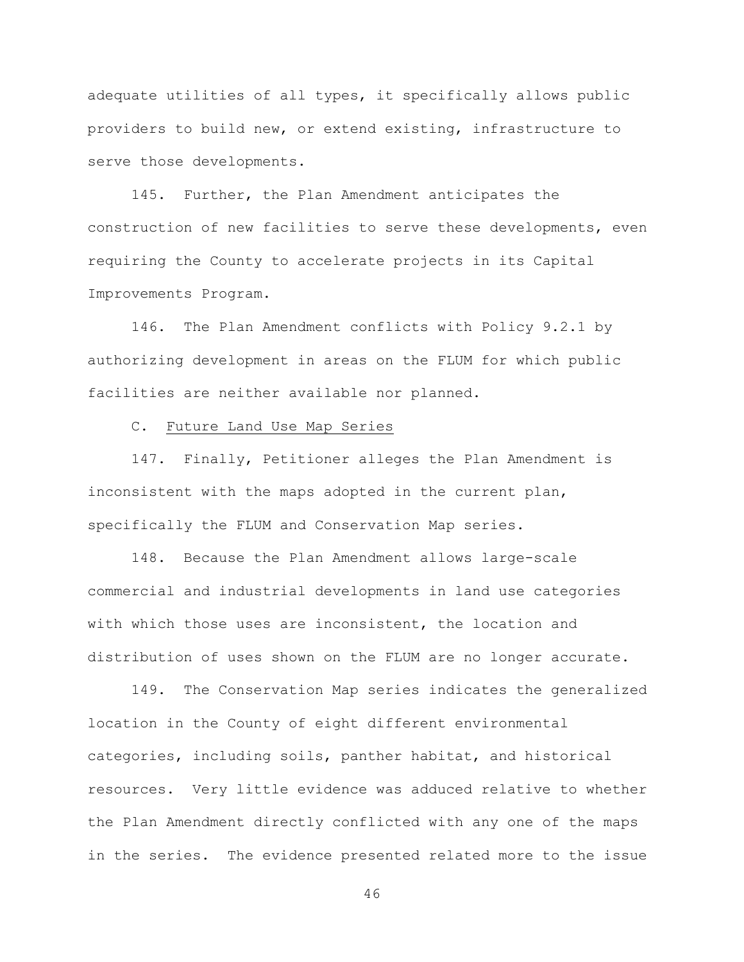adequate utilities of all types, it specifically allows public providers to build new, or extend existing, infrastructure to serve those developments.

145. Further, the Plan Amendment anticipates the construction of new facilities to serve these developments, even requiring the County to accelerate projects in its Capital Improvements Program.

146. The Plan Amendment conflicts with Policy 9.2.1 by authorizing development in areas on the FLUM for which public facilities are neither available nor planned.

## C. Future Land Use Map Series

147. Finally, Petitioner alleges the Plan Amendment is inconsistent with the maps adopted in the current plan, specifically the FLUM and Conservation Map series.

148. Because the Plan Amendment allows large-scale commercial and industrial developments in land use categories with which those uses are inconsistent, the location and distribution of uses shown on the FLUM are no longer accurate.

149. The Conservation Map series indicates the generalized location in the County of eight different environmental categories, including soils, panther habitat, and historical resources. Very little evidence was adduced relative to whether the Plan Amendment directly conflicted with any one of the maps in the series. The evidence presented related more to the issue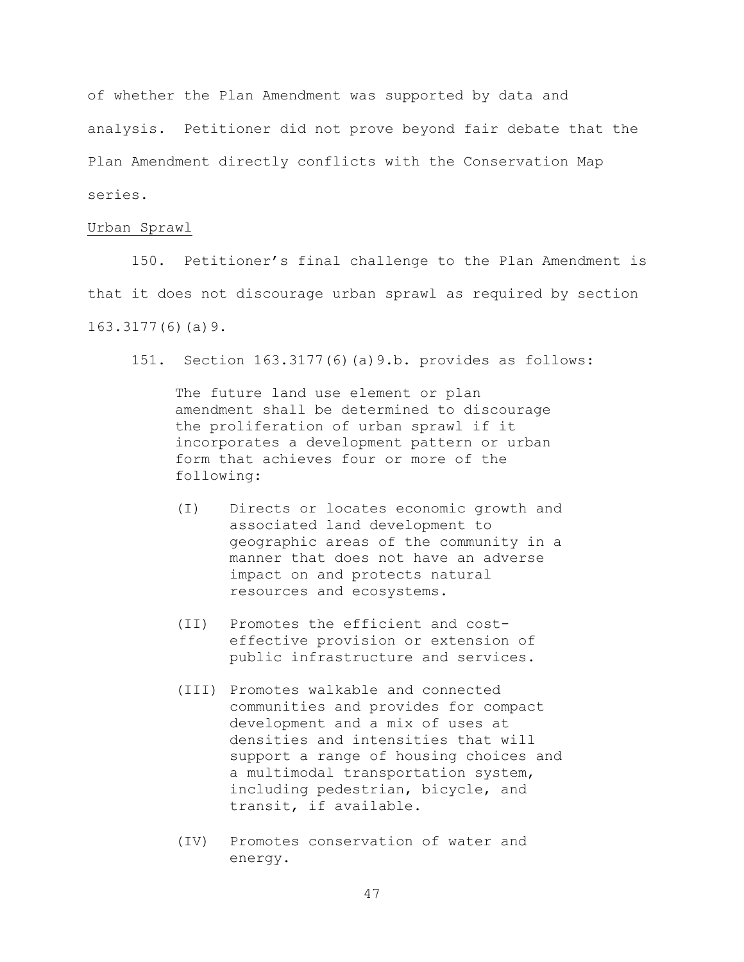of whether the Plan Amendment was supported by data and analysis. Petitioner did not prove beyond fair debate that the Plan Amendment directly conflicts with the Conservation Map series.

#### Urban Sprawl

150. Petitioner's final challenge to the Plan Amendment is that it does not discourage urban sprawl as required by section 163.3177(6)(a)9.

151. Section 163.3177(6)(a)9.b. provides as follows:

The future land use element or plan amendment shall be determined to discourage the proliferation of urban sprawl if it incorporates a development pattern or urban form that achieves four or more of the following:

- (I) Directs or locates economic growth and associated land development to geographic areas of the community in a manner that does not have an adverse impact on and protects natural resources and ecosystems.
- (II) Promotes the efficient and costeffective provision or extension of public infrastructure and services.
- (III) Promotes walkable and connected communities and provides for compact development and a mix of uses at densities and intensities that will support a range of housing choices and a multimodal transportation system, including pedestrian, bicycle, and transit, if available.
- (IV) Promotes conservation of water and energy.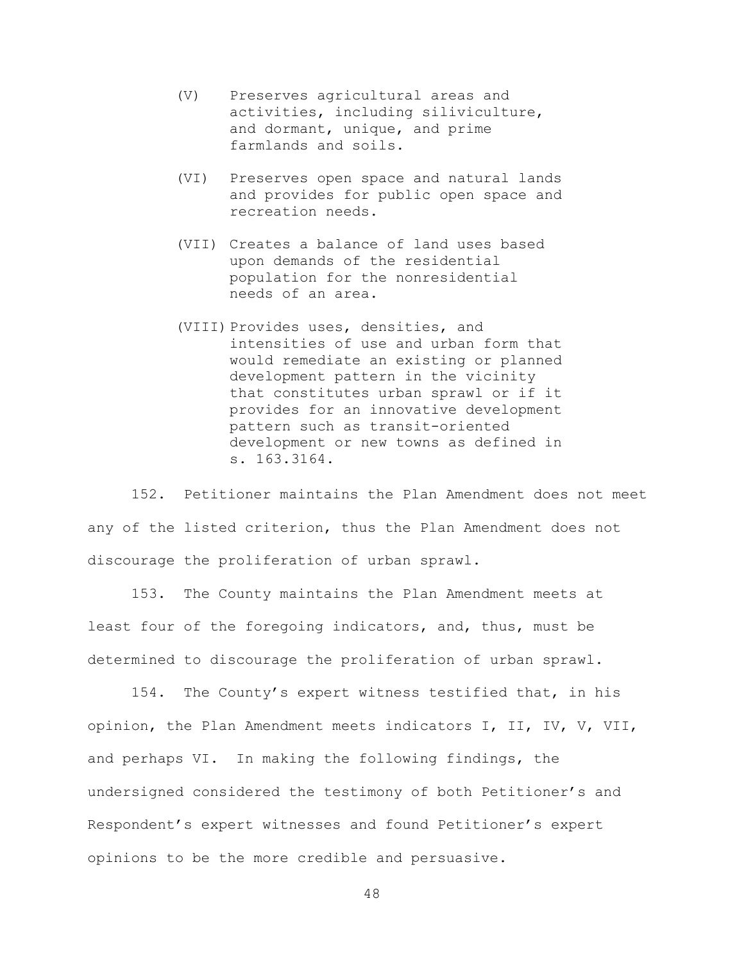- (V) Preserves agricultural areas and activities, including siliviculture, and dormant, unique, and prime farmlands and soils.
- (VI) Preserves open space and natural lands and provides for public open space and recreation needs.
- (VII) Creates a balance of land uses based upon demands of the residential population for the nonresidential needs of an area.
- (VIII) Provides uses, densities, and intensities of use and urban form that would remediate an existing or planned development pattern in the vicinity that constitutes urban sprawl or if it provides for an innovative development pattern such as transit-oriented development or new towns as defined in s. 163.3164.

152. Petitioner maintains the Plan Amendment does not meet any of the listed criterion, thus the Plan Amendment does not discourage the proliferation of urban sprawl.

153. The County maintains the Plan Amendment meets at least four of the foregoing indicators, and, thus, must be determined to discourage the proliferation of urban sprawl.

154. The County's expert witness testified that, in his opinion, the Plan Amendment meets indicators I, II, IV, V, VII, and perhaps VI. In making the following findings, the undersigned considered the testimony of both Petitioner's and Respondent's expert witnesses and found Petitioner's expert opinions to be the more credible and persuasive.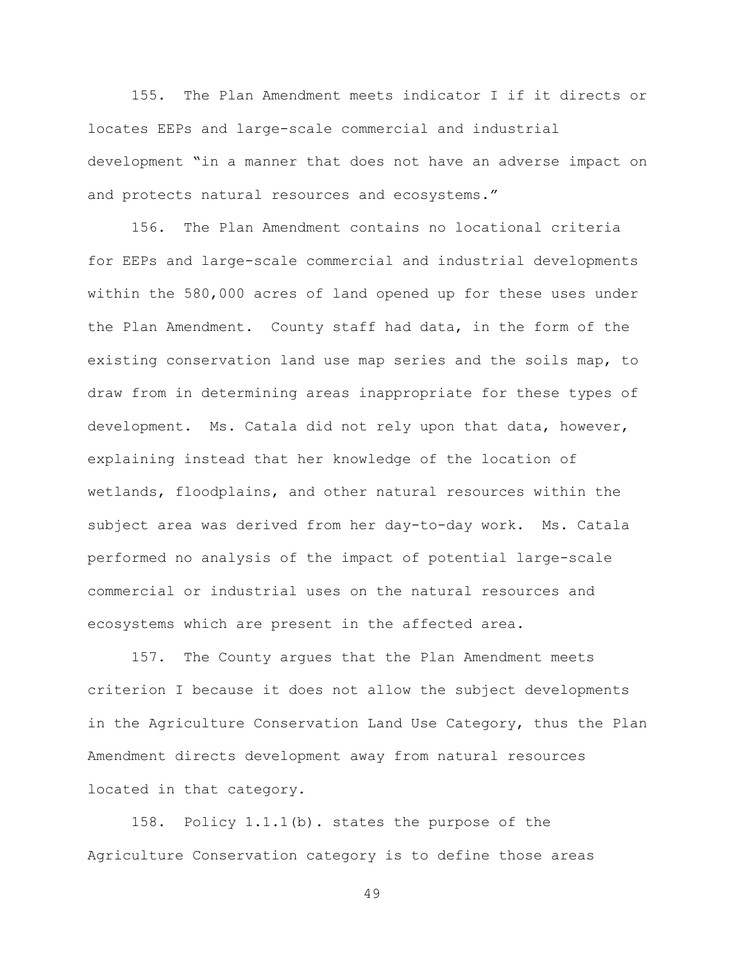155. The Plan Amendment meets indicator I if it directs or locates EEPs and large-scale commercial and industrial development "in a manner that does not have an adverse impact on and protects natural resources and ecosystems."

156. The Plan Amendment contains no locational criteria for EEPs and large-scale commercial and industrial developments within the 580,000 acres of land opened up for these uses under the Plan Amendment. County staff had data, in the form of the existing conservation land use map series and the soils map, to draw from in determining areas inappropriate for these types of development. Ms. Catala did not rely upon that data, however, explaining instead that her knowledge of the location of wetlands, floodplains, and other natural resources within the subject area was derived from her day-to-day work. Ms. Catala performed no analysis of the impact of potential large-scale commercial or industrial uses on the natural resources and ecosystems which are present in the affected area.

157. The County argues that the Plan Amendment meets criterion I because it does not allow the subject developments in the Agriculture Conservation Land Use Category, thus the Plan Amendment directs development away from natural resources located in that category.

158. Policy 1.1.1(b). states the purpose of the Agriculture Conservation category is to define those areas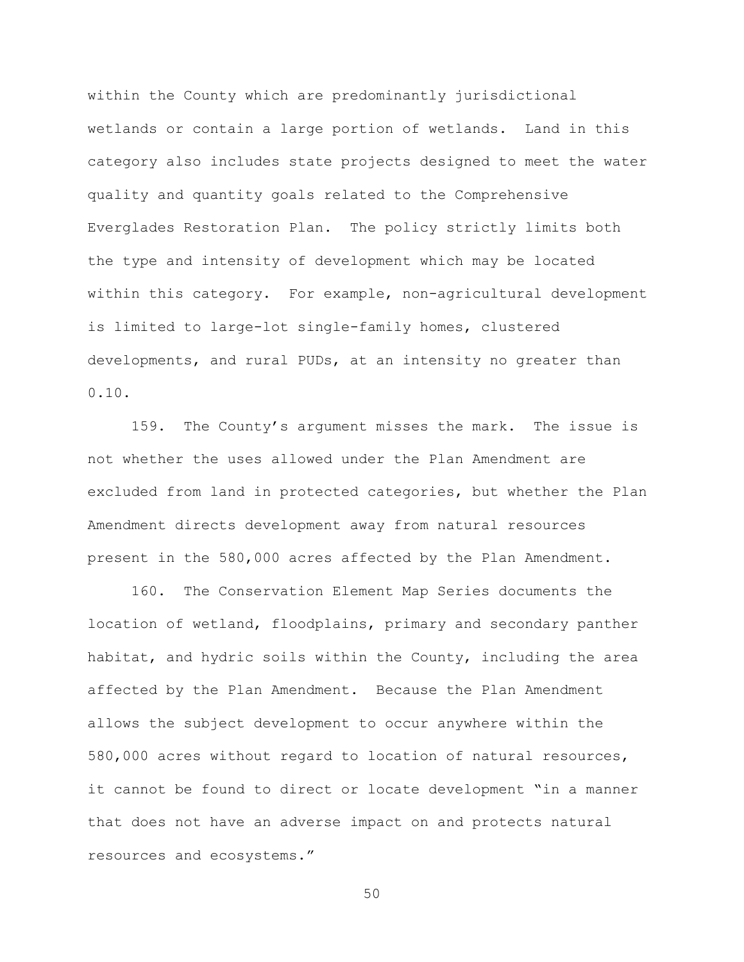within the County which are predominantly jurisdictional wetlands or contain a large portion of wetlands. Land in this category also includes state projects designed to meet the water quality and quantity goals related to the Comprehensive Everglades Restoration Plan. The policy strictly limits both the type and intensity of development which may be located within this category. For example, non-agricultural development is limited to large-lot single-family homes, clustered developments, and rural PUDs, at an intensity no greater than 0.10.

159. The County's argument misses the mark. The issue is not whether the uses allowed under the Plan Amendment are excluded from land in protected categories, but whether the Plan Amendment directs development away from natural resources present in the 580,000 acres affected by the Plan Amendment.

160. The Conservation Element Map Series documents the location of wetland, floodplains, primary and secondary panther habitat, and hydric soils within the County, including the area affected by the Plan Amendment. Because the Plan Amendment allows the subject development to occur anywhere within the 580,000 acres without regard to location of natural resources, it cannot be found to direct or locate development "in a manner that does not have an adverse impact on and protects natural resources and ecosystems."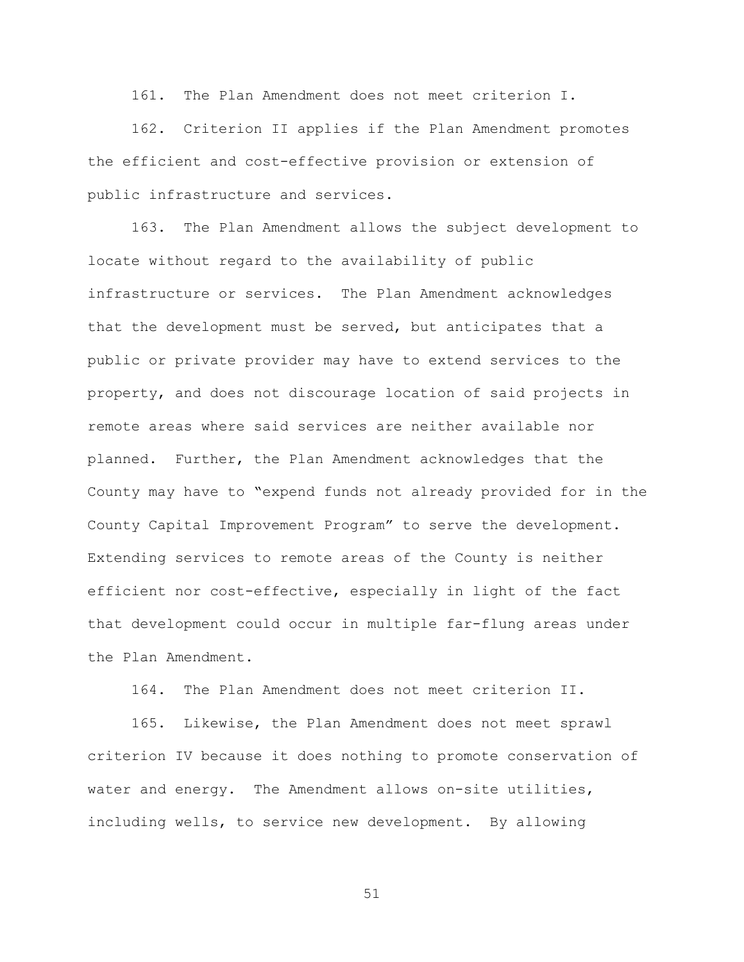161. The Plan Amendment does not meet criterion I.

162. Criterion II applies if the Plan Amendment promotes the efficient and cost-effective provision or extension of public infrastructure and services.

163. The Plan Amendment allows the subject development to locate without regard to the availability of public infrastructure or services. The Plan Amendment acknowledges that the development must be served, but anticipates that a public or private provider may have to extend services to the property, and does not discourage location of said projects in remote areas where said services are neither available nor planned. Further, the Plan Amendment acknowledges that the County may have to "expend funds not already provided for in the County Capital Improvement Program" to serve the development. Extending services to remote areas of the County is neither efficient nor cost-effective, especially in light of the fact that development could occur in multiple far-flung areas under the Plan Amendment.

164. The Plan Amendment does not meet criterion II.

165. Likewise, the Plan Amendment does not meet sprawl criterion IV because it does nothing to promote conservation of water and energy. The Amendment allows on-site utilities, including wells, to service new development. By allowing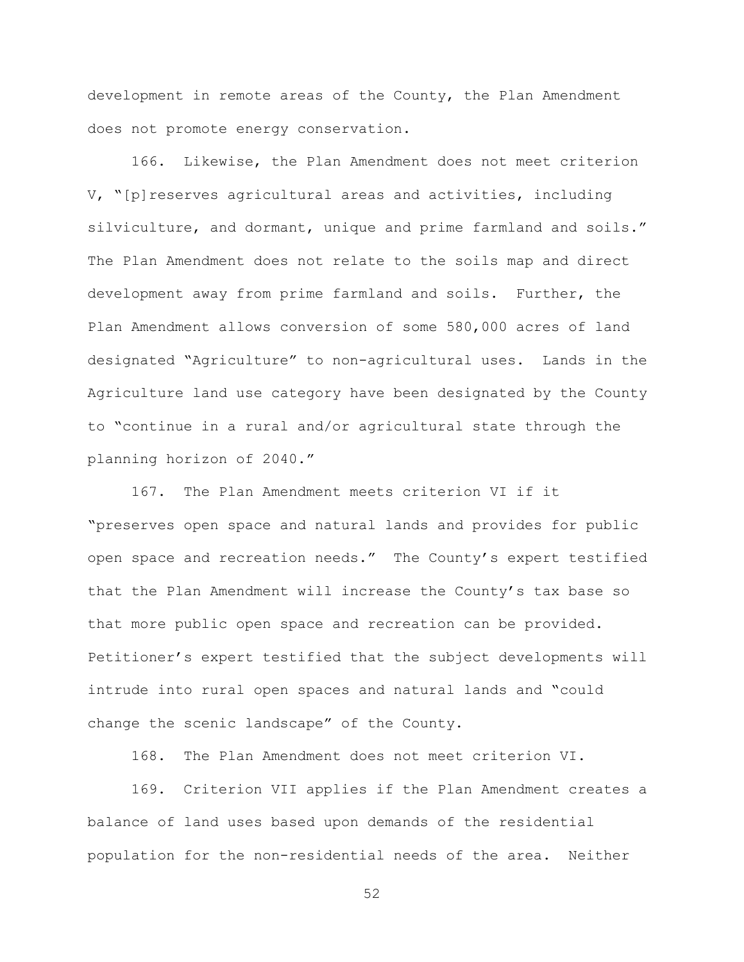development in remote areas of the County, the Plan Amendment does not promote energy conservation.

166. Likewise, the Plan Amendment does not meet criterion V, "[p]reserves agricultural areas and activities, including silviculture, and dormant, unique and prime farmland and soils." The Plan Amendment does not relate to the soils map and direct development away from prime farmland and soils. Further, the Plan Amendment allows conversion of some 580,000 acres of land designated "Agriculture" to non-agricultural uses. Lands in the Agriculture land use category have been designated by the County to "continue in a rural and/or agricultural state through the planning horizon of 2040."

167. The Plan Amendment meets criterion VI if it "preserves open space and natural lands and provides for public open space and recreation needs." The County's expert testified that the Plan Amendment will increase the County's tax base so that more public open space and recreation can be provided. Petitioner's expert testified that the subject developments will intrude into rural open spaces and natural lands and "could change the scenic landscape" of the County.

168. The Plan Amendment does not meet criterion VI.

169. Criterion VII applies if the Plan Amendment creates a balance of land uses based upon demands of the residential population for the non-residential needs of the area. Neither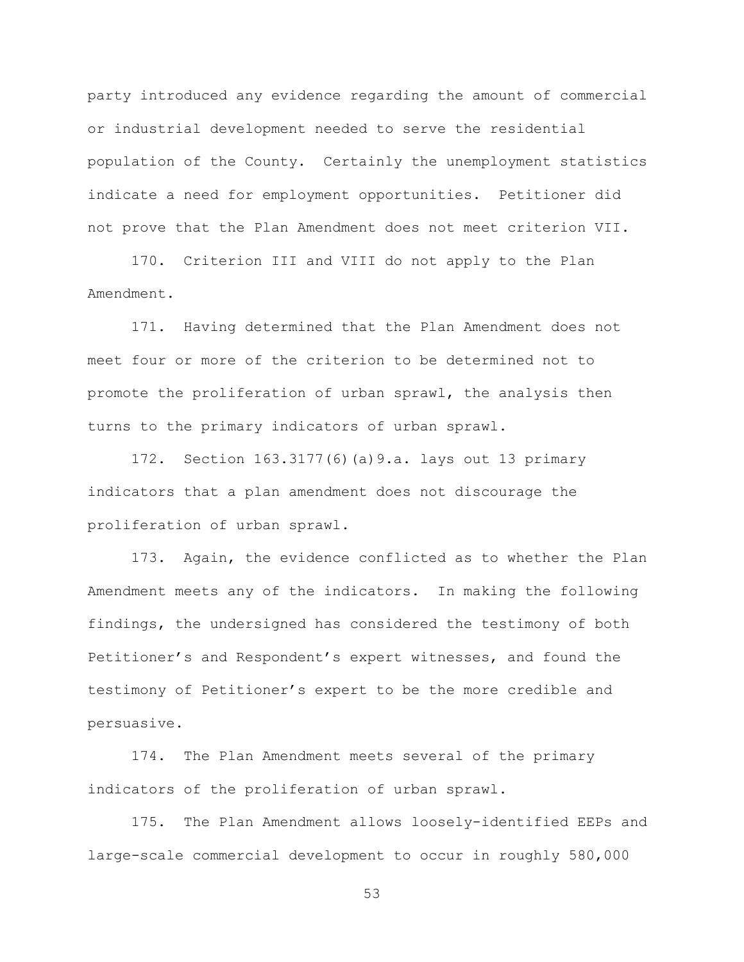party introduced any evidence regarding the amount of commercial or industrial development needed to serve the residential population of the County. Certainly the unemployment statistics indicate a need for employment opportunities. Petitioner did not prove that the Plan Amendment does not meet criterion VII.

170. Criterion III and VIII do not apply to the Plan Amendment.

171. Having determined that the Plan Amendment does not meet four or more of the criterion to be determined not to promote the proliferation of urban sprawl, the analysis then turns to the primary indicators of urban sprawl.

172. Section 163.3177(6)(a)9.a. lays out 13 primary indicators that a plan amendment does not discourage the proliferation of urban sprawl.

173. Again, the evidence conflicted as to whether the Plan Amendment meets any of the indicators. In making the following findings, the undersigned has considered the testimony of both Petitioner's and Respondent's expert witnesses, and found the testimony of Petitioner's expert to be the more credible and persuasive.

174. The Plan Amendment meets several of the primary indicators of the proliferation of urban sprawl.

175. The Plan Amendment allows loosely-identified EEPs and large-scale commercial development to occur in roughly 580,000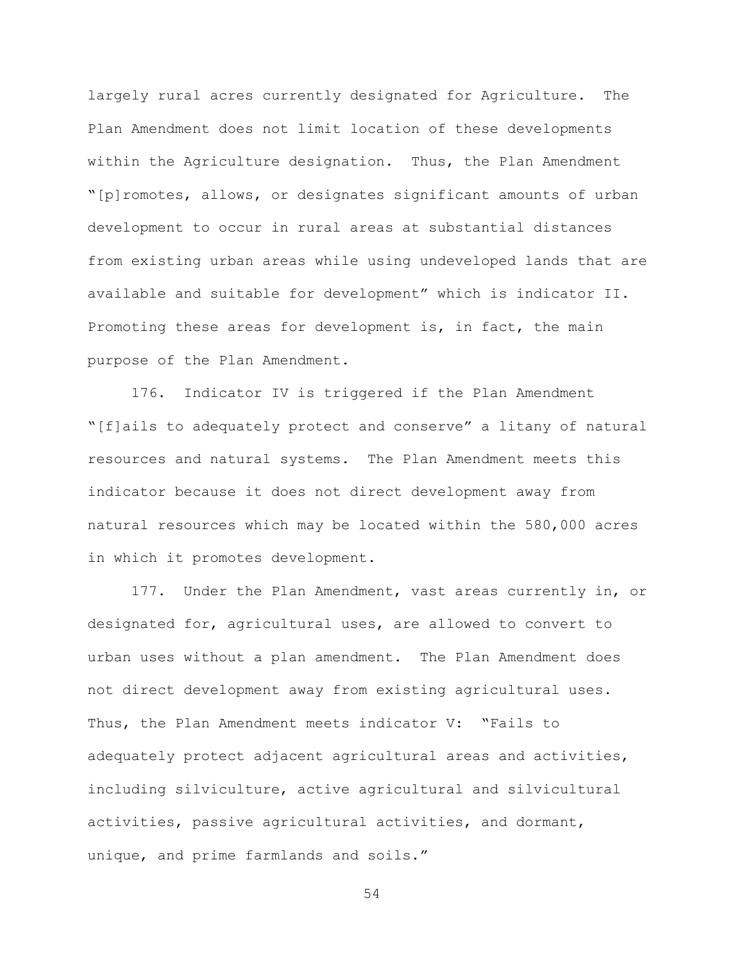largely rural acres currently designated for Agriculture. The Plan Amendment does not limit location of these developments within the Agriculture designation. Thus, the Plan Amendment "[p]romotes, allows, or designates significant amounts of urban development to occur in rural areas at substantial distances from existing urban areas while using undeveloped lands that are available and suitable for development" which is indicator II. Promoting these areas for development is, in fact, the main purpose of the Plan Amendment.

176. Indicator IV is triggered if the Plan Amendment "[f]ails to adequately protect and conserve" a litany of natural resources and natural systems. The Plan Amendment meets this indicator because it does not direct development away from natural resources which may be located within the 580,000 acres in which it promotes development.

177. Under the Plan Amendment, vast areas currently in, or designated for, agricultural uses, are allowed to convert to urban uses without a plan amendment. The Plan Amendment does not direct development away from existing agricultural uses. Thus, the Plan Amendment meets indicator V: "Fails to adequately protect adjacent agricultural areas and activities, including silviculture, active agricultural and silvicultural activities, passive agricultural activities, and dormant, unique, and prime farmlands and soils."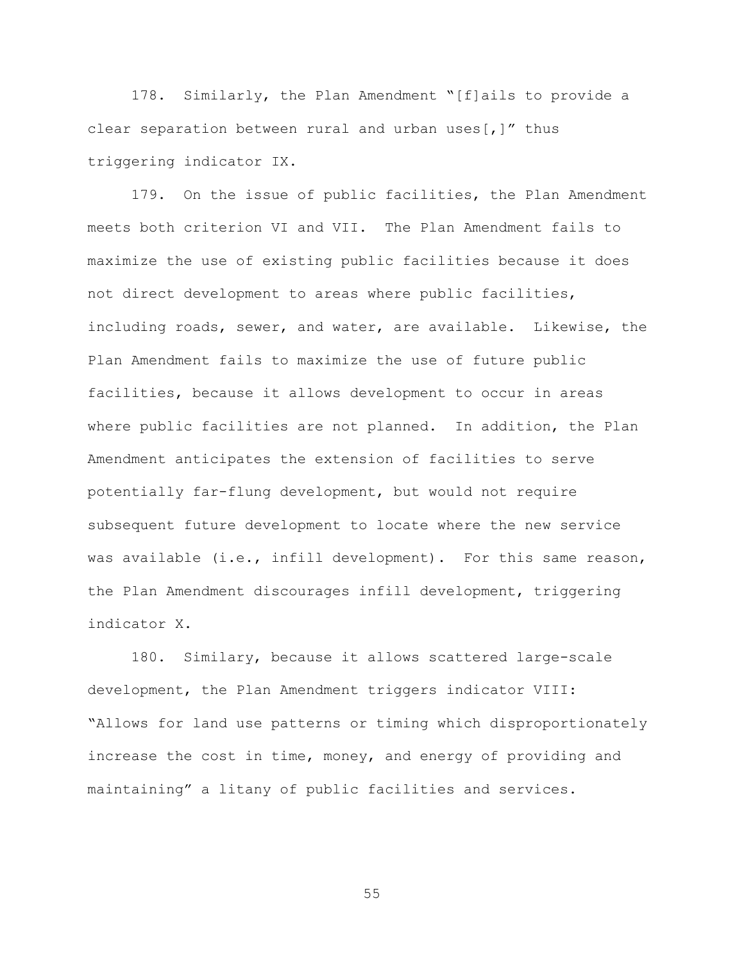178. Similarly, the Plan Amendment "[f]ails to provide a clear separation between rural and urban uses[,]" thus triggering indicator IX.

179. On the issue of public facilities, the Plan Amendment meets both criterion VI and VII. The Plan Amendment fails to maximize the use of existing public facilities because it does not direct development to areas where public facilities, including roads, sewer, and water, are available. Likewise, the Plan Amendment fails to maximize the use of future public facilities, because it allows development to occur in areas where public facilities are not planned. In addition, the Plan Amendment anticipates the extension of facilities to serve potentially far-flung development, but would not require subsequent future development to locate where the new service was available (i.e., infill development). For this same reason, the Plan Amendment discourages infill development, triggering indicator X.

180. Similary, because it allows scattered large-scale development, the Plan Amendment triggers indicator VIII: "Allows for land use patterns or timing which disproportionately increase the cost in time, money, and energy of providing and maintaining" a litany of public facilities and services.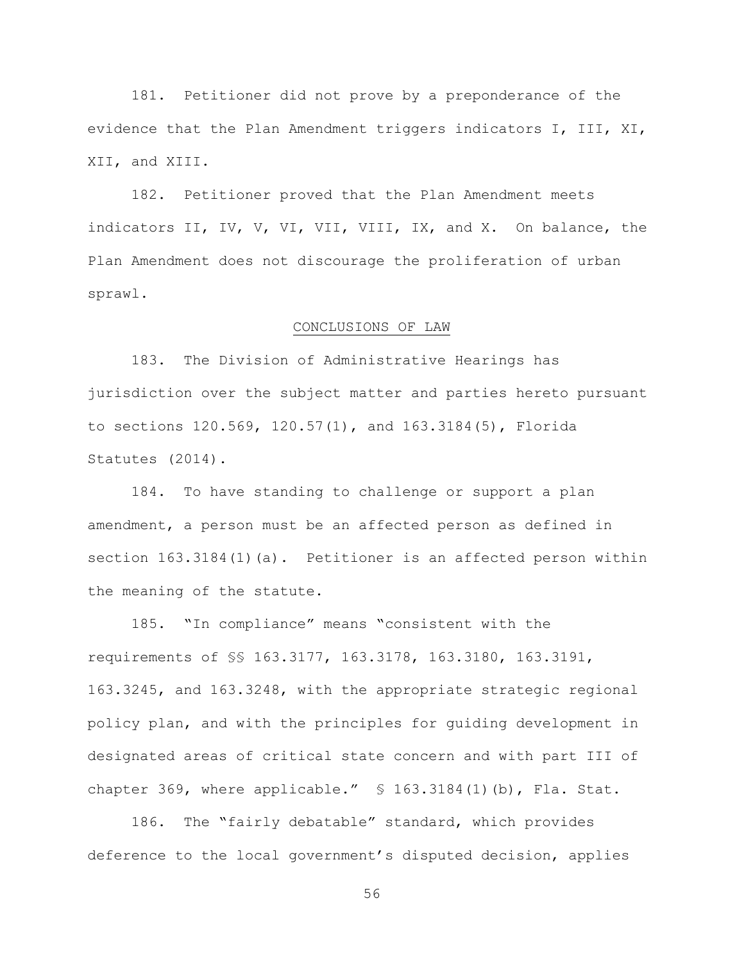181. Petitioner did not prove by a preponderance of the evidence that the Plan Amendment triggers indicators I, III, XI, XII, and XIII.

182. Petitioner proved that the Plan Amendment meets indicators II, IV, V, VI, VII, VIII, IX, and X. On balance, the Plan Amendment does not discourage the proliferation of urban sprawl.

#### CONCLUSIONS OF LAW

183. The Division of Administrative Hearings has jurisdiction over the subject matter and parties hereto pursuant to sections 120.569, 120.57(1), and 163.3184(5), Florida Statutes (2014).

184. To have standing to challenge or support a plan amendment, a person must be an affected person as defined in section 163.3184(1)(a). Petitioner is an affected person within the meaning of the statute.

185. "In compliance" means "consistent with the requirements of §§ 163.3177, 163.3178, 163.3180, 163.3191, 163.3245, and 163.3248, with the appropriate strategic regional policy plan, and with the principles for guiding development in designated areas of critical state concern and with part III of chapter 369, where applicable."  $\$ 163.3184(1)$  (b), Fla. Stat.

186. The "fairly debatable" standard, which provides deference to the local government's disputed decision, applies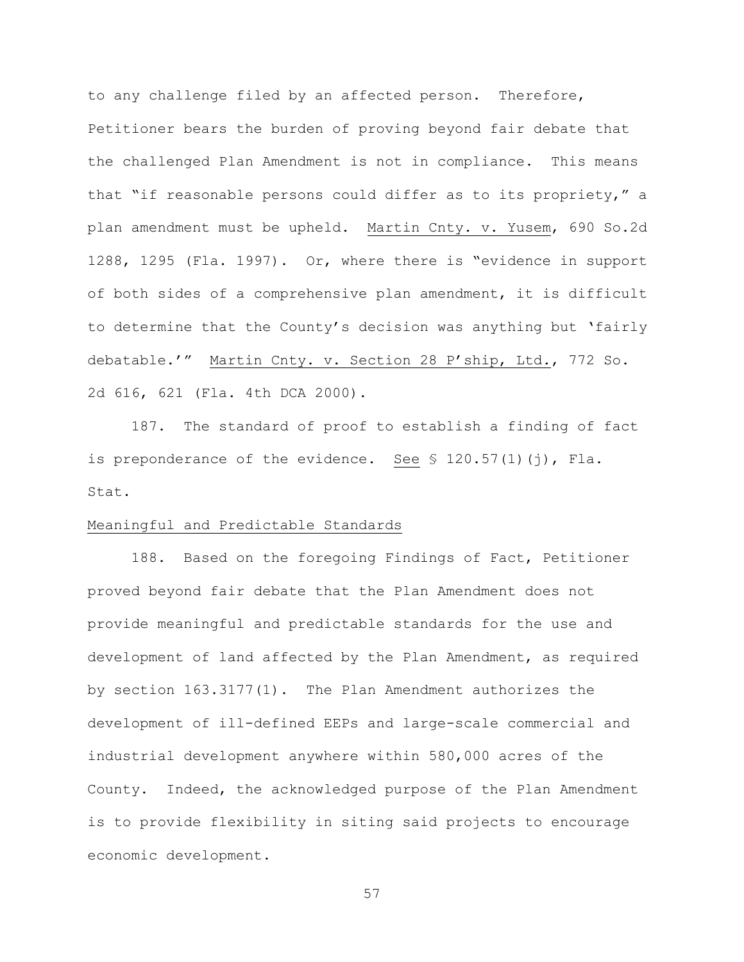to any challenge filed by an affected person. Therefore, Petitioner bears the burden of proving beyond fair debate that the challenged Plan Amendment is not in compliance. This means that "if reasonable persons could differ as to its propriety," a plan amendment must be upheld. Martin Cnty. v. Yusem, 690 So.2d 1288, 1295 (Fla. 1997). Or, where there is "evidence in support of both sides of a comprehensive plan amendment, it is difficult to determine that the County's decision was anything but 'fairly debatable.'" Martin Cnty. v. Section 28 P'ship, Ltd., 772 So. 2d 616, 621 (Fla. 4th DCA 2000).

187. The standard of proof to establish a finding of fact is preponderance of the evidence. See § 120.57(1)(j), Fla. Stat.

## Meaningful and Predictable Standards

188. Based on the foregoing Findings of Fact, Petitioner proved beyond fair debate that the Plan Amendment does not provide meaningful and predictable standards for the use and development of land affected by the Plan Amendment, as required by section 163.3177(1). The Plan Amendment authorizes the development of ill-defined EEPs and large-scale commercial and industrial development anywhere within 580,000 acres of the County. Indeed, the acknowledged purpose of the Plan Amendment is to provide flexibility in siting said projects to encourage economic development.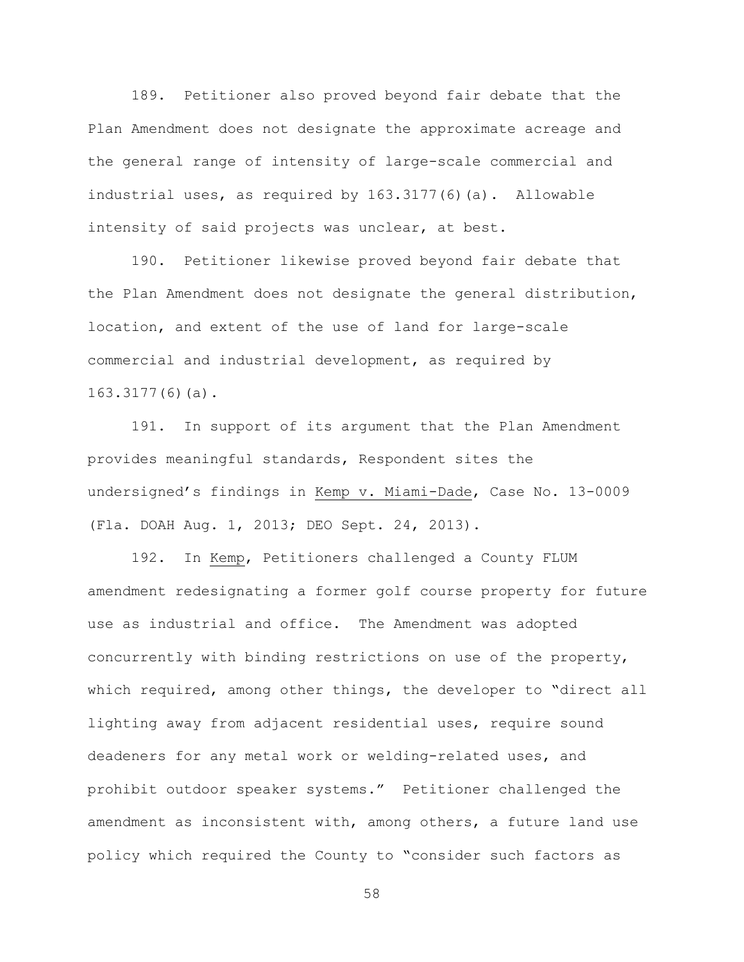189. Petitioner also proved beyond fair debate that the Plan Amendment does not designate the approximate acreage and the general range of intensity of large-scale commercial and industrial uses, as required by 163.3177(6)(a). Allowable intensity of said projects was unclear, at best.

190. Petitioner likewise proved beyond fair debate that the Plan Amendment does not designate the general distribution, location, and extent of the use of land for large-scale commercial and industrial development, as required by 163.3177(6)(a).

191. In support of its argument that the Plan Amendment provides meaningful standards, Respondent sites the undersigned's findings in Kemp v. Miami-Dade, Case No. 13-0009 (Fla. DOAH Aug. 1, 2013; DEO Sept. 24, 2013).

192. In Kemp, Petitioners challenged a County FLUM amendment redesignating a former golf course property for future use as industrial and office. The Amendment was adopted concurrently with binding restrictions on use of the property, which required, among other things, the developer to "direct all lighting away from adjacent residential uses, require sound deadeners for any metal work or welding-related uses, and prohibit outdoor speaker systems." Petitioner challenged the amendment as inconsistent with, among others, a future land use policy which required the County to "consider such factors as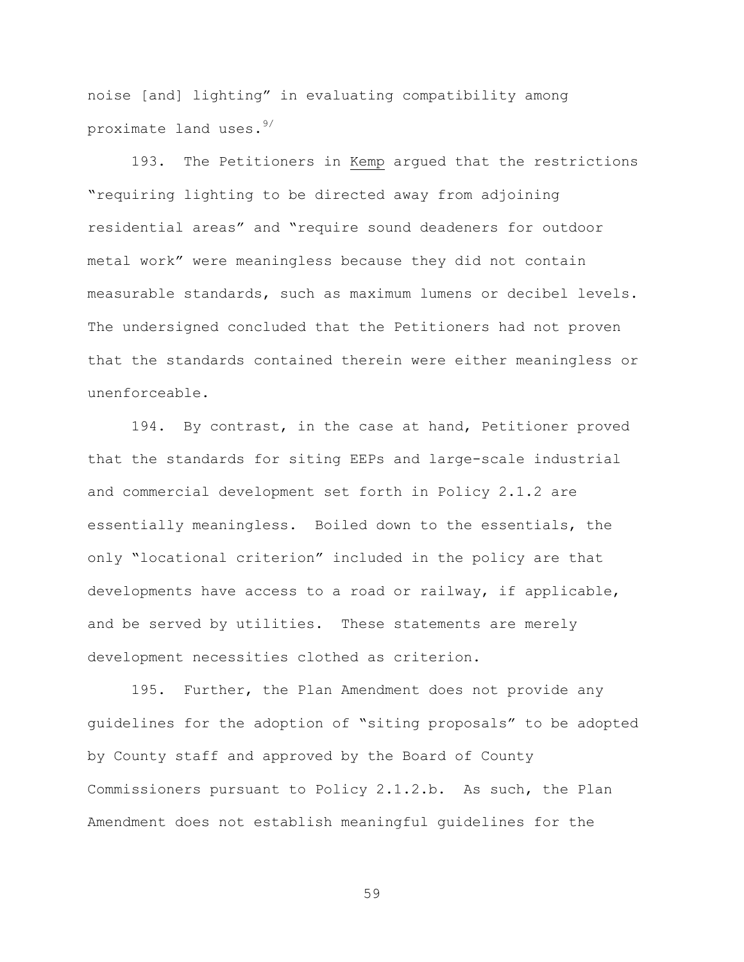noise [and] lighting" in evaluating compatibility among proximate land uses.9/

193. The Petitioners in Kemp argued that the restrictions "requiring lighting to be directed away from adjoining residential areas" and "require sound deadeners for outdoor metal work" were meaningless because they did not contain measurable standards, such as maximum lumens or decibel levels. The undersigned concluded that the Petitioners had not proven that the standards contained therein were either meaningless or unenforceable.

194. By contrast, in the case at hand, Petitioner proved that the standards for siting EEPs and large-scale industrial and commercial development set forth in Policy 2.1.2 are essentially meaningless. Boiled down to the essentials, the only "locational criterion" included in the policy are that developments have access to a road or railway, if applicable, and be served by utilities. These statements are merely development necessities clothed as criterion.

195. Further, the Plan Amendment does not provide any guidelines for the adoption of "siting proposals" to be adopted by County staff and approved by the Board of County Commissioners pursuant to Policy 2.1.2.b. As such, the Plan Amendment does not establish meaningful guidelines for the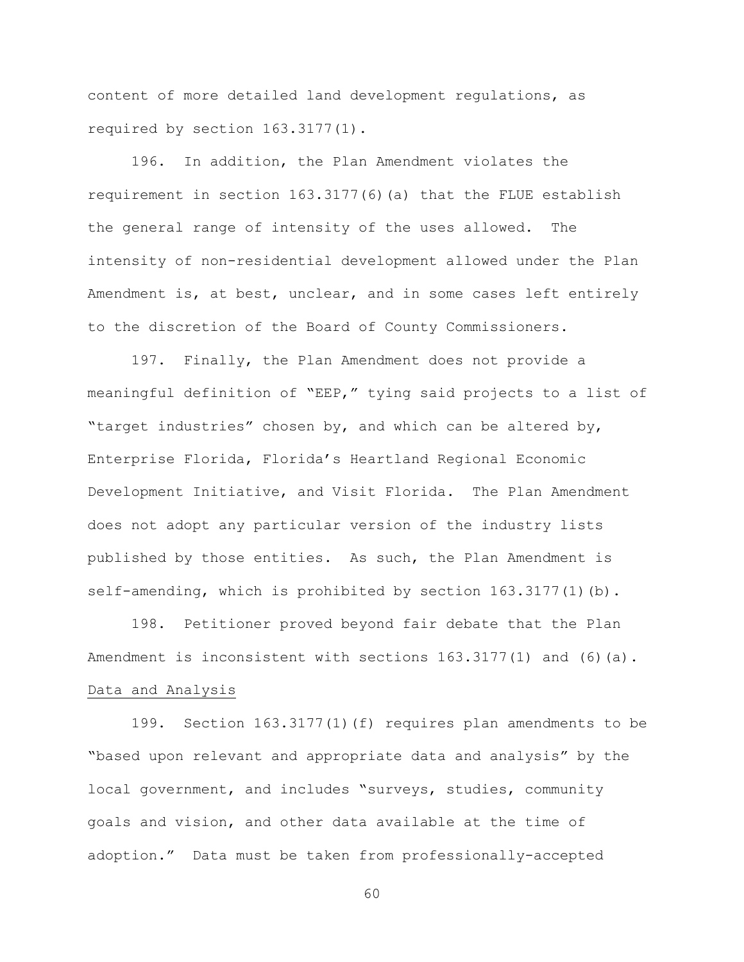content of more detailed land development regulations, as required by section 163.3177(1).

196. In addition, the Plan Amendment violates the requirement in section 163.3177(6)(a) that the FLUE establish the general range of intensity of the uses allowed. The intensity of non-residential development allowed under the Plan Amendment is, at best, unclear, and in some cases left entirely to the discretion of the Board of County Commissioners.

197. Finally, the Plan Amendment does not provide a meaningful definition of "EEP," tying said projects to a list of "target industries" chosen by, and which can be altered by, Enterprise Florida, Florida's Heartland Regional Economic Development Initiative, and Visit Florida. The Plan Amendment does not adopt any particular version of the industry lists published by those entities. As such, the Plan Amendment is self-amending, which is prohibited by section 163.3177(1)(b).

198. Petitioner proved beyond fair debate that the Plan Amendment is inconsistent with sections  $163.3177(1)$  and  $(6)(a)$ . Data and Analysis

199. Section 163.3177(1)(f) requires plan amendments to be "based upon relevant and appropriate data and analysis" by the local government, and includes "surveys, studies, community goals and vision, and other data available at the time of adoption." Data must be taken from professionally-accepted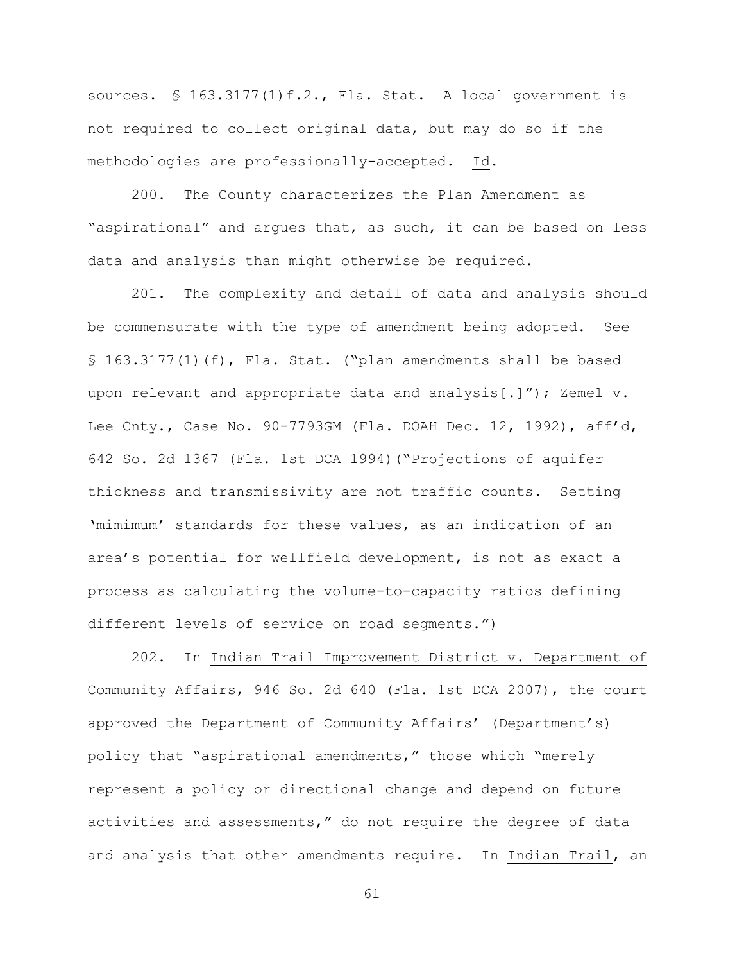sources. § 163.3177(1)f.2., Fla. Stat. A local government is not required to collect original data, but may do so if the methodologies are professionally-accepted. Id.

200. The County characterizes the Plan Amendment as "aspirational" and argues that, as such, it can be based on less data and analysis than might otherwise be required.

201. The complexity and detail of data and analysis should be commensurate with the type of amendment being adopted. See § 163.3177(1)(f), Fla. Stat. ("plan amendments shall be based upon relevant and appropriate data and analysis[.]"); Zemel v. Lee Cnty., Case No. 90-7793GM (Fla. DOAH Dec. 12, 1992), aff'd, 642 So. 2d 1367 (Fla. 1st DCA 1994)("Projections of aquifer thickness and transmissivity are not traffic counts. Setting 'mimimum' standards for these values, as an indication of an area's potential for wellfield development, is not as exact a process as calculating the volume-to-capacity ratios defining different levels of service on road segments.")

202. In Indian Trail Improvement District v. Department of Community Affairs, 946 So. 2d 640 (Fla. 1st DCA 2007), the court approved the Department of Community Affairs' (Department's) policy that "aspirational amendments," those which "merely represent a policy or directional change and depend on future activities and assessments," do not require the degree of data and analysis that other amendments require. In Indian Trail, an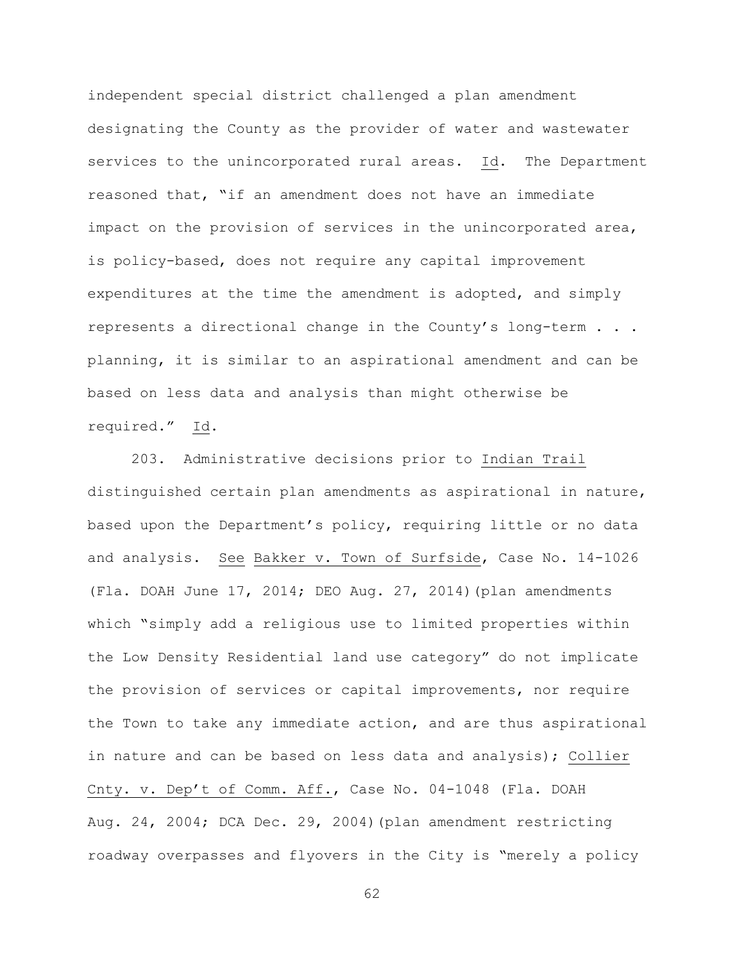independent special district challenged a plan amendment designating the County as the provider of water and wastewater services to the unincorporated rural areas. Id. The Department reasoned that, "if an amendment does not have an immediate impact on the provision of services in the unincorporated area, is policy-based, does not require any capital improvement expenditures at the time the amendment is adopted, and simply represents a directional change in the County's long-term . . . planning, it is similar to an aspirational amendment and can be based on less data and analysis than might otherwise be required." Id.

203. Administrative decisions prior to Indian Trail distinguished certain plan amendments as aspirational in nature, based upon the Department's policy, requiring little or no data and analysis. See Bakker v. Town of Surfside, Case No. 14-1026 (Fla. DOAH June 17, 2014; DEO Aug. 27, 2014)(plan amendments which "simply add a religious use to limited properties within the Low Density Residential land use category" do not implicate the provision of services or capital improvements, nor require the Town to take any immediate action, and are thus aspirational in nature and can be based on less data and analysis); Collier Cnty. v. Dep't of Comm. Aff., Case No. 04-1048 (Fla. DOAH Aug. 24, 2004; DCA Dec. 29, 2004)(plan amendment restricting roadway overpasses and flyovers in the City is "merely a policy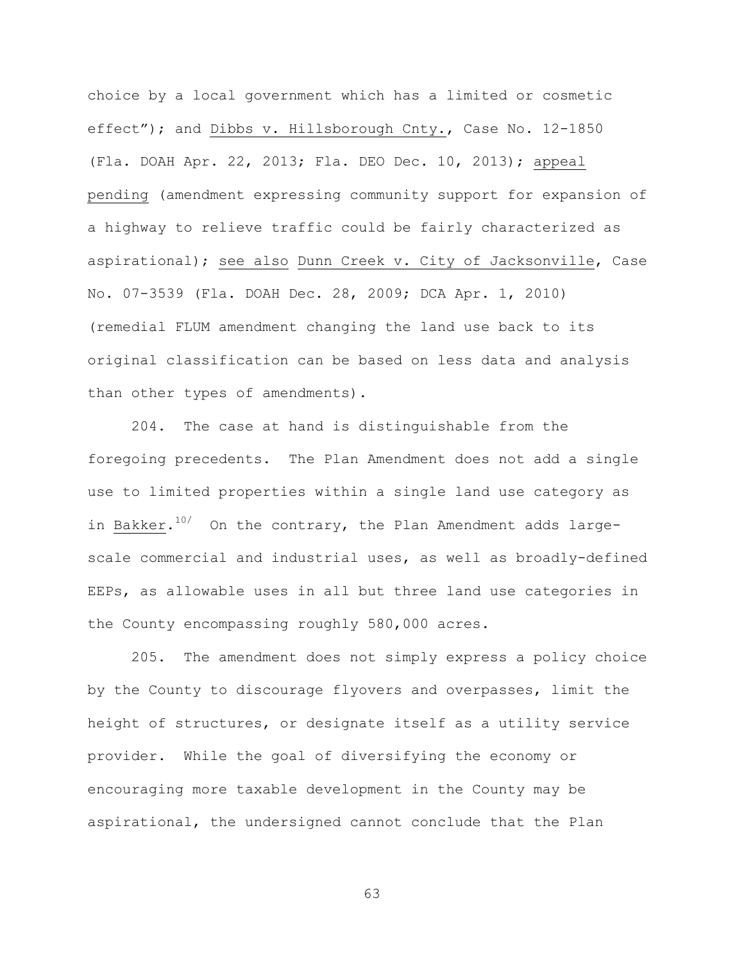choice by a local government which has a limited or cosmetic effect"); and Dibbs v. Hillsborough Cnty., Case No. 12-1850 (Fla. DOAH Apr. 22, 2013; Fla. DEO Dec. 10, 2013); appeal pending (amendment expressing community support for expansion of a highway to relieve traffic could be fairly characterized as aspirational); see also Dunn Creek v. City of Jacksonville, Case No. 07-3539 (Fla. DOAH Dec. 28, 2009; DCA Apr. 1, 2010) (remedial FLUM amendment changing the land use back to its original classification can be based on less data and analysis than other types of amendments).

204. The case at hand is distinguishable from the foregoing precedents. The Plan Amendment does not add a single use to limited properties within a single land use category as in Bakker. $^{10/2}$  On the contrary, the Plan Amendment adds largescale commercial and industrial uses, as well as broadly-defined EEPs, as allowable uses in all but three land use categories in the County encompassing roughly 580,000 acres.

205. The amendment does not simply express a policy choice by the County to discourage flyovers and overpasses, limit the height of structures, or designate itself as a utility service provider. While the goal of diversifying the economy or encouraging more taxable development in the County may be aspirational, the undersigned cannot conclude that the Plan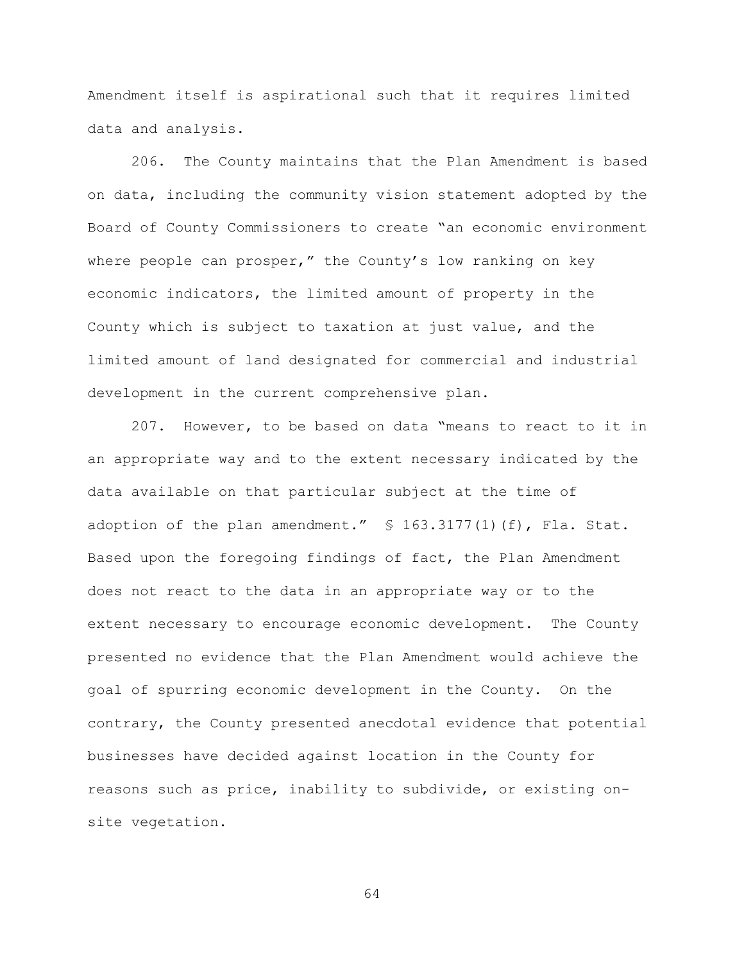Amendment itself is aspirational such that it requires limited data and analysis.

206. The County maintains that the Plan Amendment is based on data, including the community vision statement adopted by the Board of County Commissioners to create "an economic environment where people can prosper," the County's low ranking on key economic indicators, the limited amount of property in the County which is subject to taxation at just value, and the limited amount of land designated for commercial and industrial development in the current comprehensive plan.

207. However, to be based on data "means to react to it in an appropriate way and to the extent necessary indicated by the data available on that particular subject at the time of adoption of the plan amendment." § 163.3177(1)(f), Fla. Stat. Based upon the foregoing findings of fact, the Plan Amendment does not react to the data in an appropriate way or to the extent necessary to encourage economic development. The County presented no evidence that the Plan Amendment would achieve the goal of spurring economic development in the County. On the contrary, the County presented anecdotal evidence that potential businesses have decided against location in the County for reasons such as price, inability to subdivide, or existing onsite vegetation.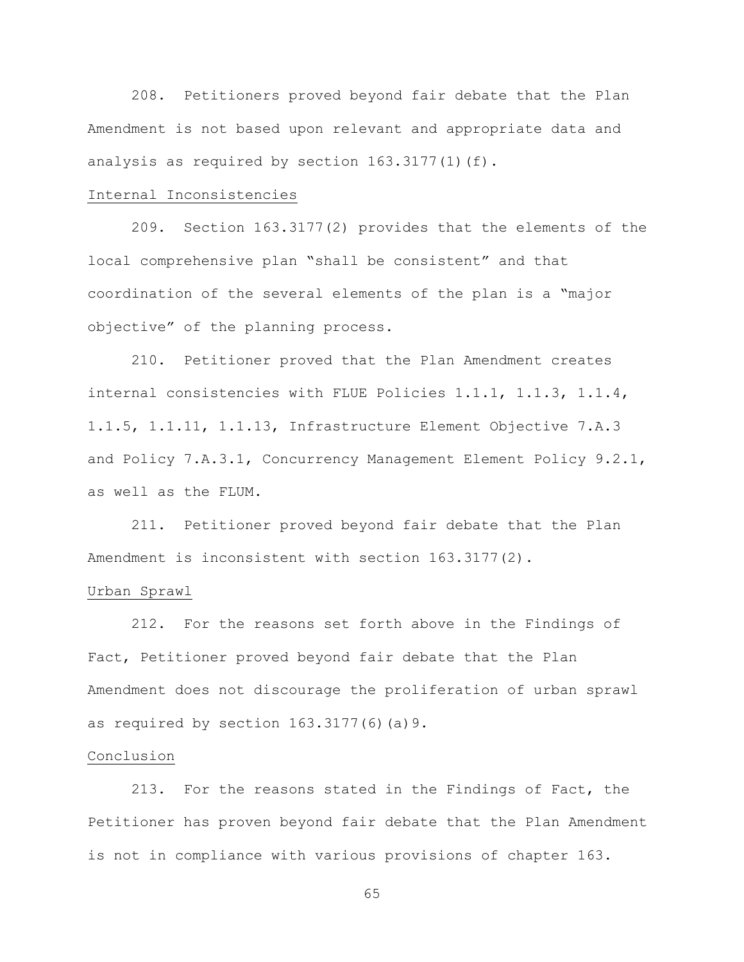208. Petitioners proved beyond fair debate that the Plan Amendment is not based upon relevant and appropriate data and analysis as required by section 163.3177(1)(f).

## Internal Inconsistencies

209. Section 163.3177(2) provides that the elements of the local comprehensive plan "shall be consistent" and that coordination of the several elements of the plan is a "major objective" of the planning process.

210. Petitioner proved that the Plan Amendment creates internal consistencies with FLUE Policies 1.1.1, 1.1.3, 1.1.4, 1.1.5, 1.1.11, 1.1.13, Infrastructure Element Objective 7.A.3 and Policy 7.A.3.1, Concurrency Management Element Policy 9.2.1, as well as the FLUM.

211. Petitioner proved beyond fair debate that the Plan Amendment is inconsistent with section 163.3177(2).

#### Urban Sprawl

212. For the reasons set forth above in the Findings of Fact, Petitioner proved beyond fair debate that the Plan Amendment does not discourage the proliferation of urban sprawl as required by section 163.3177(6)(a)9.

## Conclusion

213. For the reasons stated in the Findings of Fact, the Petitioner has proven beyond fair debate that the Plan Amendment is not in compliance with various provisions of chapter 163.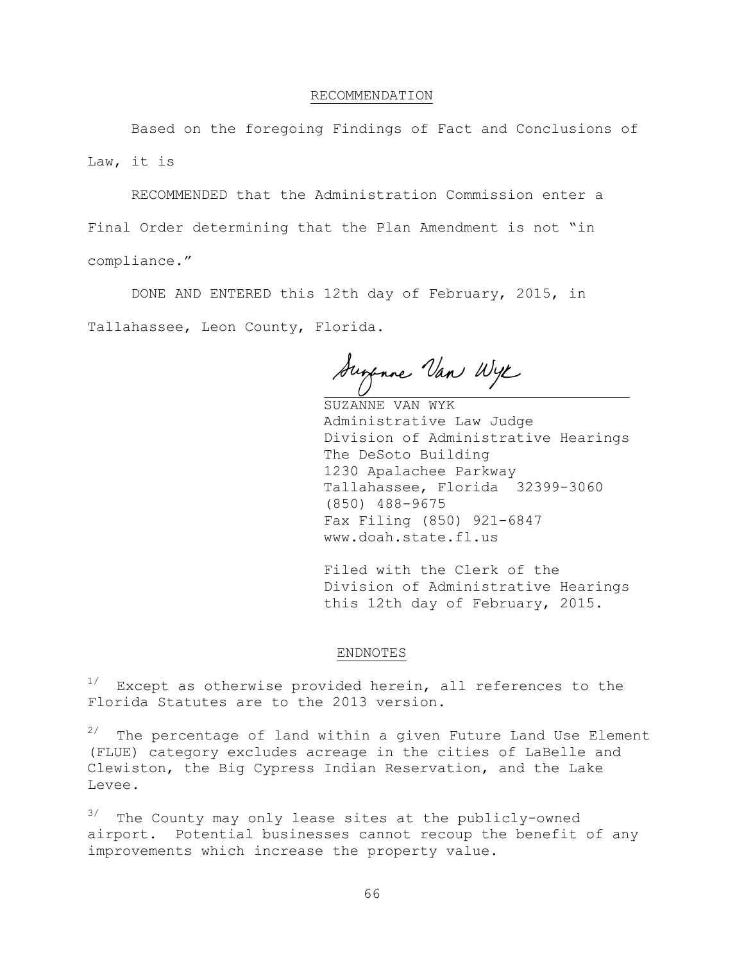#### RECOMMENDATION

Based on the foregoing Findings of Fact and Conclusions of Law, it is

RECOMMENDED that the Administration Commission enter a Final Order determining that the Plan Amendment is not "in compliance."

DONE AND ENTERED this 12th day of February, 2015, in Tallahassee, Leon County, Florida.

Suspone Van Wye

SUZANNE VAN WYK Administrative Law Judge Division of Administrative Hearings The DeSoto Building 1230 Apalachee Parkway Tallahassee, Florida 32399-3060 (850) 488-9675 Fax Filing (850) 921-6847 www.doah.state.fl.us

Filed with the Clerk of the Division of Administrative Hearings this 12th day of February, 2015.

#### ENDNOTES

 $1/$  Except as otherwise provided herein, all references to the Florida Statutes are to the 2013 version.

 $2/$  The percentage of land within a given Future Land Use Element (FLUE) category excludes acreage in the cities of LaBelle and Clewiston, the Big Cypress Indian Reservation, and the Lake Levee.

 $3/$  The County may only lease sites at the publicly-owned airport. Potential businesses cannot recoup the benefit of any improvements which increase the property value.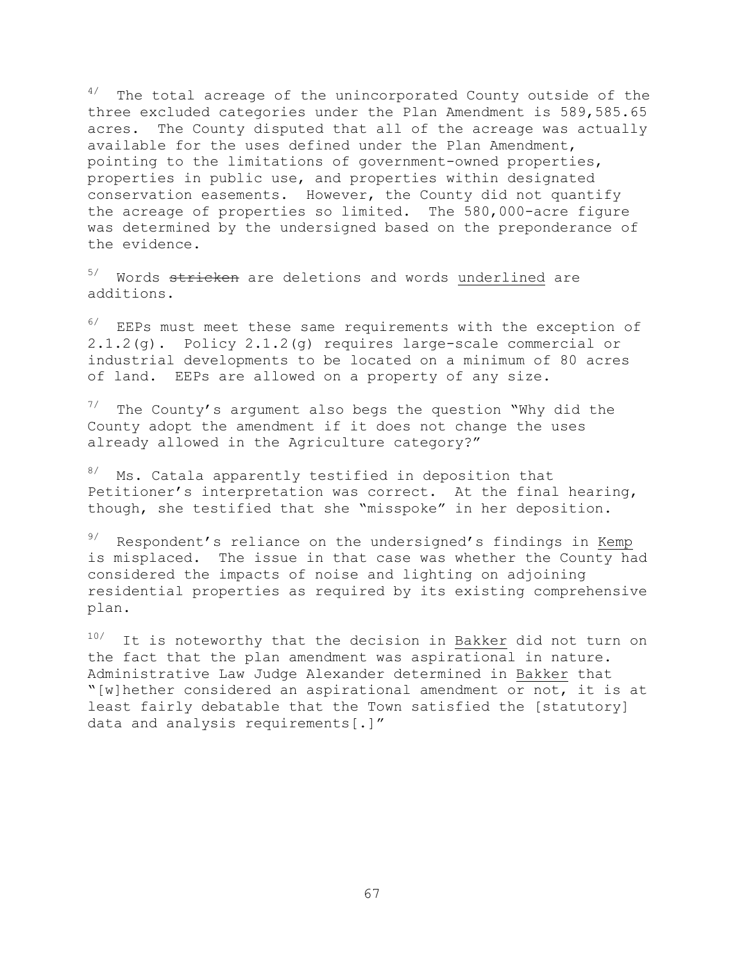$4/$  The total acreage of the unincorporated County outside of the three excluded categories under the Plan Amendment is 589,585.65 acres. The County disputed that all of the acreage was actually available for the uses defined under the Plan Amendment, pointing to the limitations of government-owned properties, properties in public use, and properties within designated conservation easements. However, the County did not quantify the acreage of properties so limited. The 580,000-acre figure was determined by the undersigned based on the preponderance of the evidence.

Words stricken are deletions and words underlined are additions.

 $6/$  EEPs must meet these same requirements with the exception of 2.1.2(g). Policy 2.1.2(g) requires large-scale commercial or industrial developments to be located on a minimum of 80 acres of land. EEPs are allowed on a property of any size.

 $7/$  The County's argument also begs the question "Why did the County adopt the amendment if it does not change the uses already allowed in the Agriculture category?"

8/ Ms. Catala apparently testified in deposition that Petitioner's interpretation was correct. At the final hearing, though, she testified that she "misspoke" in her deposition.

 $9/$  Respondent's reliance on the undersigned's findings in Kemp is misplaced. The issue in that case was whether the County had considered the impacts of noise and lighting on adjoining residential properties as required by its existing comprehensive plan.

 $10/$  It is noteworthy that the decision in Bakker did not turn on the fact that the plan amendment was aspirational in nature. Administrative Law Judge Alexander determined in Bakker that "[w]hether considered an aspirational amendment or not, it is at least fairly debatable that the Town satisfied the [statutory] data and analysis requirements[.]"